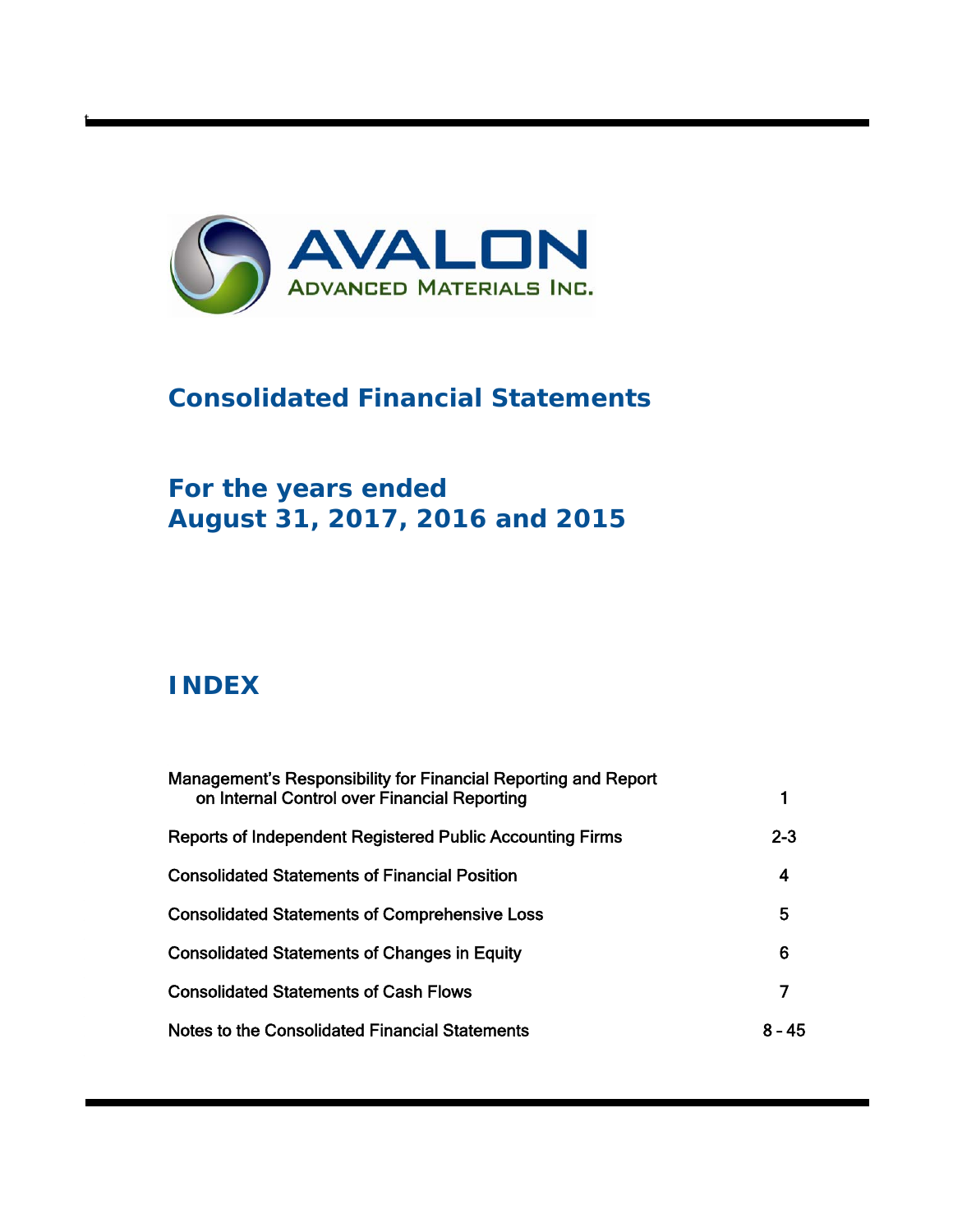

# **Consolidated Financial Statements**

# **For the years ended August 31, 2017, 2016 and 2015**

# **INDEX**

t

| Management's Responsibility for Financial Reporting and Report<br>on Internal Control over Financial Reporting |          |
|----------------------------------------------------------------------------------------------------------------|----------|
| Reports of Independent Registered Public Accounting Firms                                                      | $2 - 3$  |
| <b>Consolidated Statements of Financial Position</b>                                                           | 4        |
| <b>Consolidated Statements of Comprehensive Loss</b>                                                           | 5        |
| <b>Consolidated Statements of Changes in Equity</b>                                                            | 6        |
| <b>Consolidated Statements of Cash Flows</b>                                                                   | 7        |
| Notes to the Consolidated Financial Statements                                                                 | $8 - 45$ |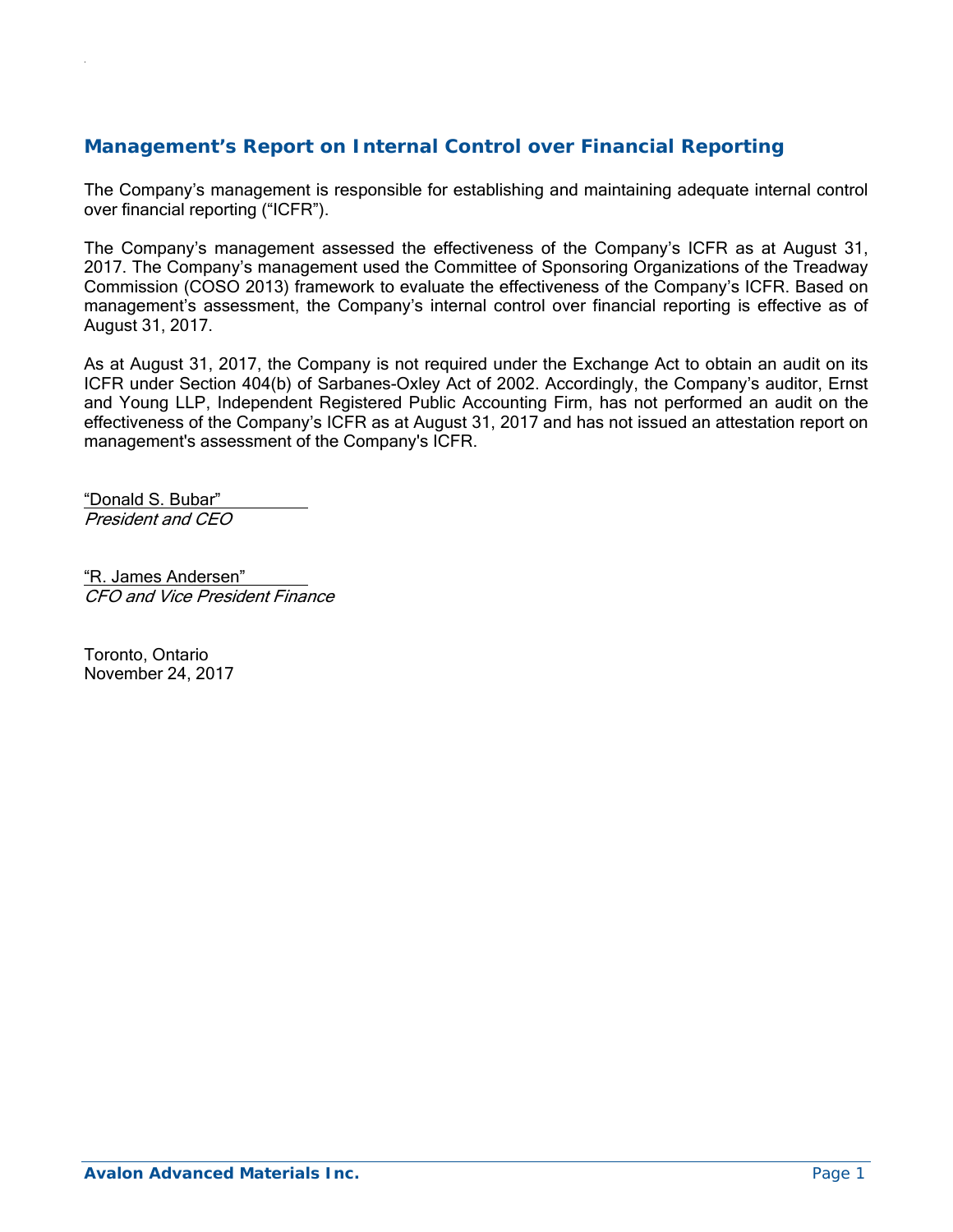# **Management's Report on Internal Control over Financial Reporting**

The Company's management is responsible for establishing and maintaining adequate internal control over financial reporting ("ICFR").

The Company's management assessed the effectiveness of the Company's ICFR as at August 31, 2017. The Company's management used the Committee of Sponsoring Organizations of the Treadway Commission (COSO 2013) framework to evaluate the effectiveness of the Company's ICFR. Based on management's assessment, the Company's internal control over financial reporting is effective as of August 31, 2017.

As at August 31, 2017, the Company is not required under the Exchange Act to obtain an audit on its ICFR under Section 404(b) of Sarbanes-Oxley Act of 2002. Accordingly, the Company's auditor, Ernst and Young LLP, Independent Registered Public Accounting Firm, has not performed an audit on the effectiveness of the Company's ICFR as at August 31, 2017 and has not issued an attestation report on management's assessment of the Company's ICFR.

"Donald S. Bubar" President and CEO

.

"R. James Andersen" CFO and Vice President Finance

Toronto, Ontario November 24, 2017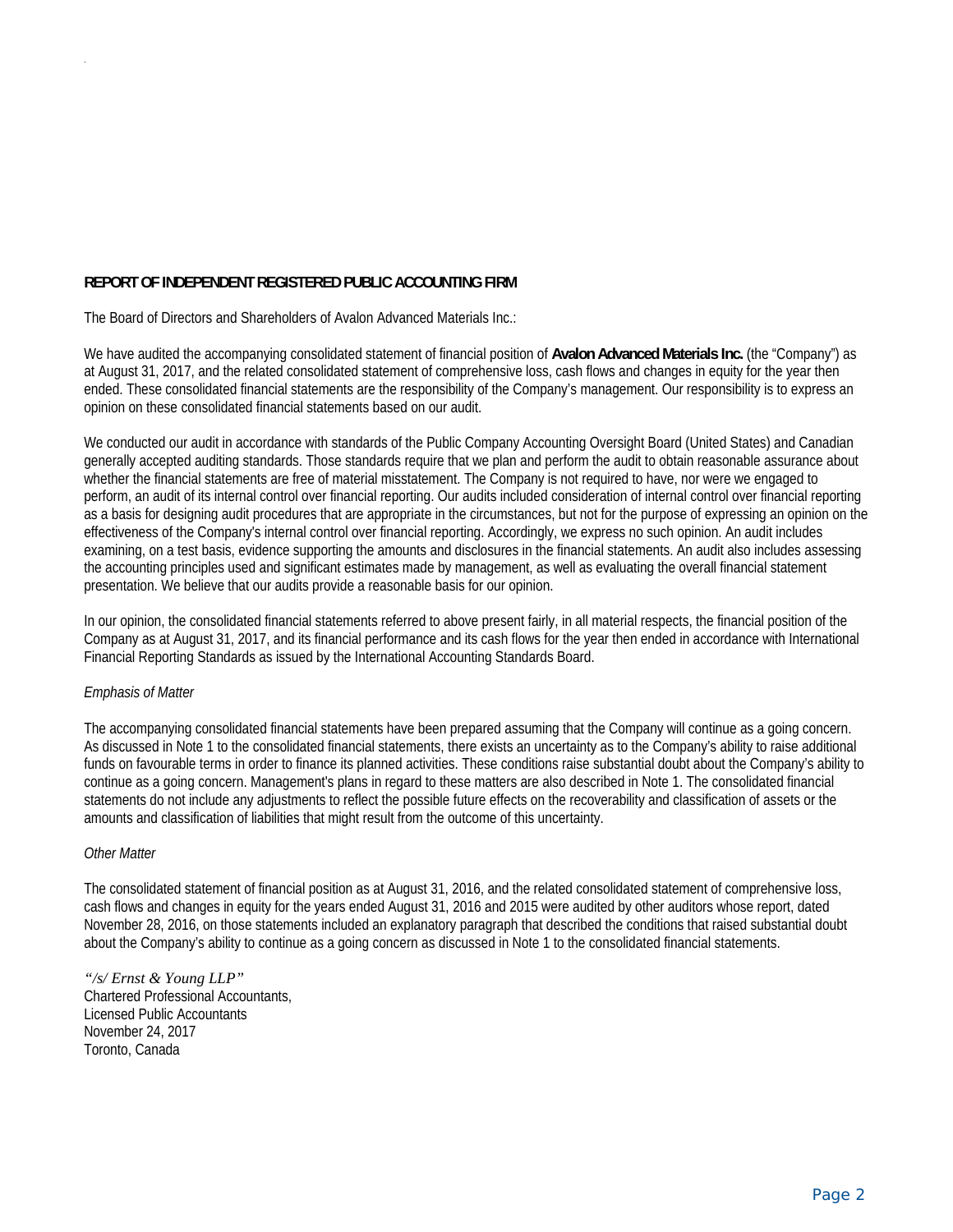#### **REPORT OF INDEPENDENT REGISTERED PUBLIC ACCOUNTING FIRM**

The Board of Directors and Shareholders of Avalon Advanced Materials Inc.:

We have audited the accompanying consolidated statement of financial position of **Avalon Advanced Materials Inc.** (the "Company") as at August 31, 2017, and the related consolidated statement of comprehensive loss, cash flows and changes in equity for the year then ended. These consolidated financial statements are the responsibility of the Company's management. Our responsibility is to express an opinion on these consolidated financial statements based on our audit.

We conducted our audit in accordance with standards of the Public Company Accounting Oversight Board (United States) and Canadian generally accepted auditing standards. Those standards require that we plan and perform the audit to obtain reasonable assurance about whether the financial statements are free of material misstatement. The Company is not required to have, nor were we engaged to perform, an audit of its internal control over financial reporting. Our audits included consideration of internal control over financial reporting as a basis for designing audit procedures that are appropriate in the circumstances, but not for the purpose of expressing an opinion on the effectiveness of the Company's internal control over financial reporting. Accordingly, we express no such opinion. An audit includes examining, on a test basis, evidence supporting the amounts and disclosures in the financial statements. An audit also includes assessing the accounting principles used and significant estimates made by management, as well as evaluating the overall financial statement presentation. We believe that our audits provide a reasonable basis for our opinion.

In our opinion, the consolidated financial statements referred to above present fairly, in all material respects, the financial position of the Company as at August 31, 2017, and its financial performance and its cash flows for the year then ended in accordance with International Financial Reporting Standards as issued by the International Accounting Standards Board.

#### *Emphasis of Matter*

.

The accompanying consolidated financial statements have been prepared assuming that the Company will continue as a going concern. As discussed in Note 1 to the consolidated financial statements, there exists an uncertainty as to the Company's ability to raise additional funds on favourable terms in order to finance its planned activities. These conditions raise substantial doubt about the Company's ability to continue as a going concern. Management's plans in regard to these matters are also described in Note 1. The consolidated financial statements do not include any adjustments to reflect the possible future effects on the recoverability and classification of assets or the amounts and classification of liabilities that might result from the outcome of this uncertainty.

#### *Other Matter*

The consolidated statement of financial position as at August 31, 2016, and the related consolidated statement of comprehensive loss, cash flows and changes in equity for the years ended August 31, 2016 and 2015 were audited by other auditors whose report, dated November 28, 2016, on those statements included an explanatory paragraph that described the conditions that raised substantial doubt about the Company's ability to continue as a going concern as discussed in Note 1 to the consolidated financial statements.

*"/s/ Ernst & Young LLP"*  Chartered Professional Accountants, Licensed Public Accountants November 24, 2017 Toronto, Canada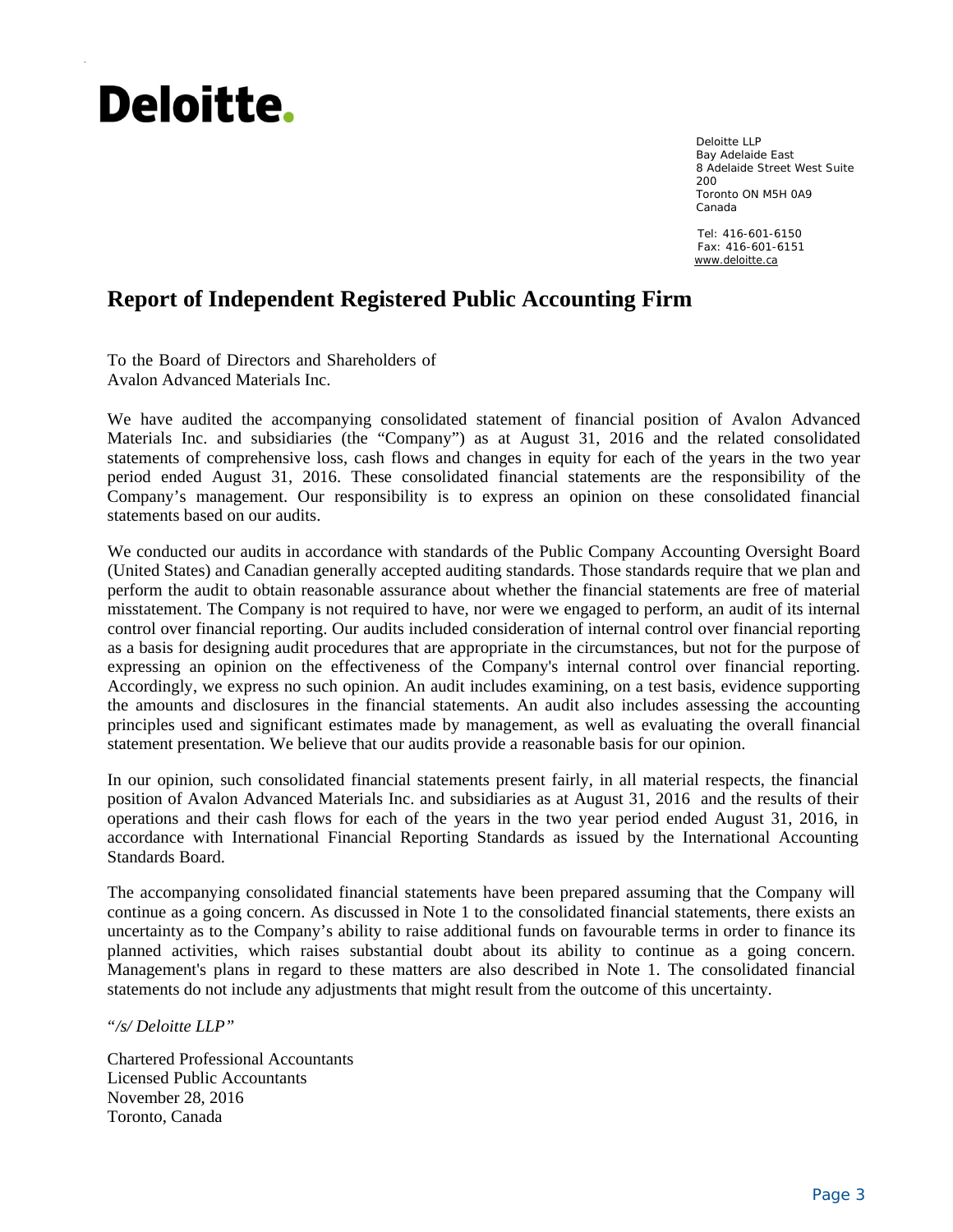# Deloitte.

.

Deloitte LLP Bay Adelaide East 8 Adelaide Street West Suite 200 Toronto ON M5H 0A9 Canada

Tel: 416-601-6150 Fax: 416-601-6151 www.deloitte.ca

# **Report of Independent Registered Public Accounting Firm**

To the Board of Directors and Shareholders of Avalon Advanced Materials Inc.

We have audited the accompanying consolidated statement of financial position of Avalon Advanced Materials Inc. and subsidiaries (the "Company") as at August 31, 2016 and the related consolidated statements of comprehensive loss, cash flows and changes in equity for each of the years in the two year period ended August 31, 2016. These consolidated financial statements are the responsibility of the Company's management. Our responsibility is to express an opinion on these consolidated financial statements based on our audits.

We conducted our audits in accordance with standards of the Public Company Accounting Oversight Board (United States) and Canadian generally accepted auditing standards. Those standards require that we plan and perform the audit to obtain reasonable assurance about whether the financial statements are free of material misstatement. The Company is not required to have, nor were we engaged to perform, an audit of its internal control over financial reporting. Our audits included consideration of internal control over financial reporting as a basis for designing audit procedures that are appropriate in the circumstances, but not for the purpose of expressing an opinion on the effectiveness of the Company's internal control over financial reporting. Accordingly, we express no such opinion. An audit includes examining, on a test basis, evidence supporting the amounts and disclosures in the financial statements. An audit also includes assessing the accounting principles used and significant estimates made by management, as well as evaluating the overall financial statement presentation. We believe that our audits provide a reasonable basis for our opinion.

In our opinion, such consolidated financial statements present fairly, in all material respects, the financial position of Avalon Advanced Materials Inc. and subsidiaries as at August 31, 2016 and the results of their operations and their cash flows for each of the years in the two year period ended August 31, 2016, in accordance with International Financial Reporting Standards as issued by the International Accounting Standards Board.

The accompanying consolidated financial statements have been prepared assuming that the Company will continue as a going concern. As discussed in Note 1 to the consolidated financial statements, there exists an uncertainty as to the Company's ability to raise additional funds on favourable terms in order to finance its planned activities, which raises substantial doubt about its ability to continue as a going concern. Management's plans in regard to these matters are also described in Note 1. The consolidated financial statements do not include any adjustments that might result from the outcome of this uncertainty.

 *"/s/ Deloitte LLP"*

Chartered Professional Accountants Licensed Public Accountants November 28, 2016 Toronto, Canada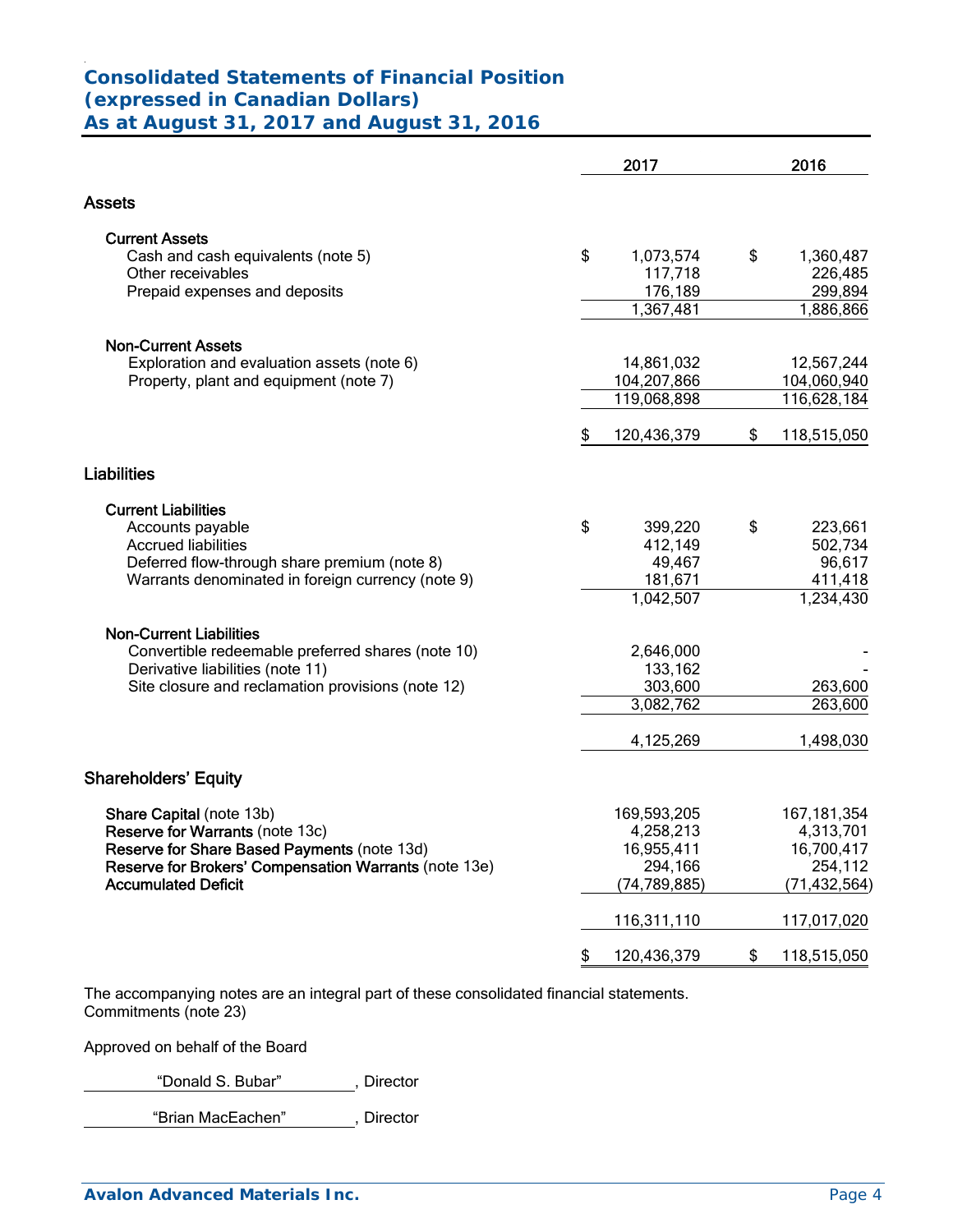#### . **Consolidated Statements of Financial Position (expressed in Canadian Dollars) As at August 31, 2017 and August 31, 2016**

|                                                       | 2017              | 2016              |
|-------------------------------------------------------|-------------------|-------------------|
| <b>Assets</b>                                         |                   |                   |
| <b>Current Assets</b>                                 |                   |                   |
| Cash and cash equivalents (note 5)                    | \$<br>1,073,574   | \$<br>1,360,487   |
| Other receivables                                     | 117,718           | 226,485           |
| Prepaid expenses and deposits                         | 176,189           | 299,894           |
|                                                       | 1,367,481         | 1,886,866         |
| <b>Non-Current Assets</b>                             |                   |                   |
| Exploration and evaluation assets (note 6)            | 14,861,032        | 12,567,244        |
| Property, plant and equipment (note 7)                | 104,207,866       | 104,060,940       |
|                                                       | 119,068,898       | 116,628,184       |
|                                                       | \$<br>120,436,379 | \$<br>118,515,050 |
| <b>Liabilities</b>                                    |                   |                   |
| <b>Current Liabilities</b>                            |                   |                   |
| Accounts payable                                      | \$<br>399,220     | \$<br>223,661     |
| <b>Accrued liabilities</b>                            | 412,149           | 502,734           |
| Deferred flow-through share premium (note 8)          | 49,467            | 96,617            |
| Warrants denominated in foreign currency (note 9)     | 181,671           | 411,418           |
|                                                       | 1,042,507         | 1,234,430         |
| <b>Non-Current Liabilities</b>                        |                   |                   |
| Convertible redeemable preferred shares (note 10)     | 2,646,000         |                   |
| Derivative liabilities (note 11)                      | 133,162           |                   |
| Site closure and reclamation provisions (note 12)     | 303,600           | 263,600           |
|                                                       | 3,082,762         | 263,600           |
|                                                       |                   |                   |
|                                                       | 4,125,269         | 1,498,030         |
| <b>Shareholders' Equity</b>                           |                   |                   |
| Share Capital (note 13b)                              | 169,593,205       | 167, 181, 354     |
| Reserve for Warrants (note 13c)                       | 4,258,213         | 4,313,701         |
| Reserve for Share Based Payments (note 13d)           | 16,955,411        | 16,700,417        |
| Reserve for Brokers' Compensation Warrants (note 13e) | 294,166           | 254,112           |
| <b>Accumulated Deficit</b>                            | (74,789,885)      | (71, 432, 564)    |
|                                                       | 116,311,110       | 117,017,020       |
|                                                       | \$<br>120,436,379 | \$<br>118,515,050 |

The accompanying notes are an integral part of these consolidated financial statements. Commitments (note 23)

Approved on behalf of the Board

"Donald S. Bubar", Director

"Brian MacEachen" , Director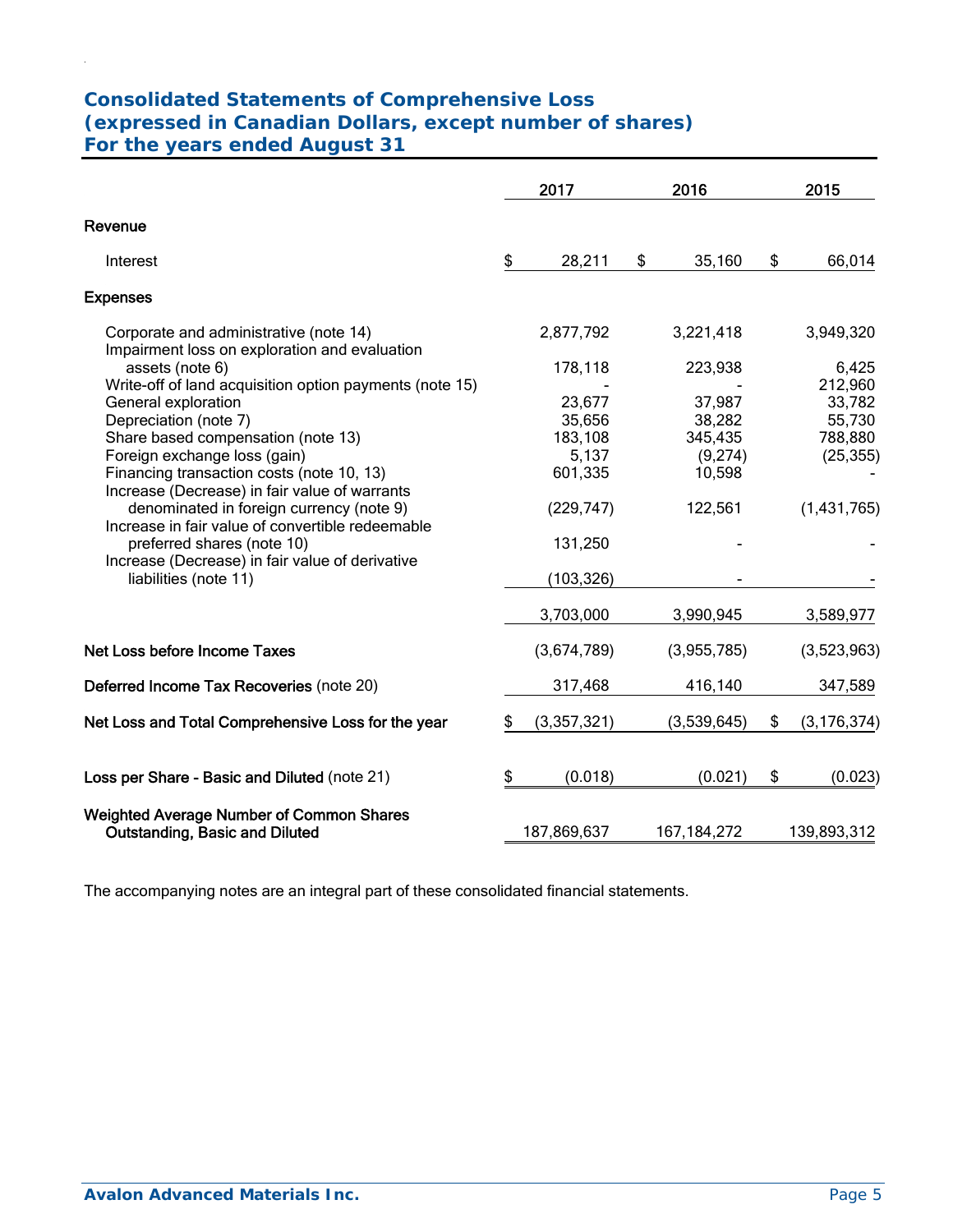# **Consolidated Statements of Comprehensive Loss (expressed in Canadian Dollars, except number of shares) For the years ended August 31**

.

|                                                                                | 2017              | 2016          | 2015                |
|--------------------------------------------------------------------------------|-------------------|---------------|---------------------|
| Revenue                                                                        |                   |               |                     |
| Interest                                                                       | \$<br>28,211      | \$<br>35,160  | \$<br>66,014        |
| <b>Expenses</b>                                                                |                   |               |                     |
| Corporate and administrative (note 14)                                         | 2,877,792         | 3,221,418     | 3,949,320           |
| Impairment loss on exploration and evaluation<br>assets (note 6)               | 178,118           | 223,938       | 6,425               |
| Write-off of land acquisition option payments (note 15)                        |                   |               | 212,960             |
| General exploration                                                            | 23,677            | 37,987        | 33,782              |
| Depreciation (note 7)                                                          | 35,656            | 38,282        | 55,730              |
| Share based compensation (note 13)                                             | 183,108           | 345,435       | 788,880             |
| Foreign exchange loss (gain)                                                   | 5,137             | (9,274)       | (25, 355)           |
| Financing transaction costs (note 10, 13)                                      | 601,335           | 10,598        |                     |
| Increase (Decrease) in fair value of warrants                                  |                   |               |                     |
| denominated in foreign currency (note 9)                                       | (229, 747)        | 122,561       | (1,431,765)         |
| Increase in fair value of convertible redeemable<br>preferred shares (note 10) | 131,250           |               |                     |
| Increase (Decrease) in fair value of derivative                                |                   |               |                     |
| liabilities (note 11)                                                          | (103, 326)        |               |                     |
|                                                                                | 3,703,000         | 3,990,945     | 3,589,977           |
| Net Loss before Income Taxes                                                   | (3,674,789)       | (3,955,785)   | (3,523,963)         |
| Deferred Income Tax Recoveries (note 20)                                       | 317,468           | 416,140       | 347,589             |
| Net Loss and Total Comprehensive Loss for the year                             | \$<br>(3,357,321) | (3,539,645)   | \$<br>(3, 176, 374) |
|                                                                                |                   |               |                     |
| Loss per Share - Basic and Diluted (note 21)                                   | \$<br>(0.018)     | (0.021)       | \$<br>(0.023)       |
| <b>Weighted Average Number of Common Shares</b>                                |                   |               |                     |
| <b>Outstanding, Basic and Diluted</b>                                          | 187,869,637       | 167, 184, 272 | 139,893,312         |

The accompanying notes are an integral part of these consolidated financial statements.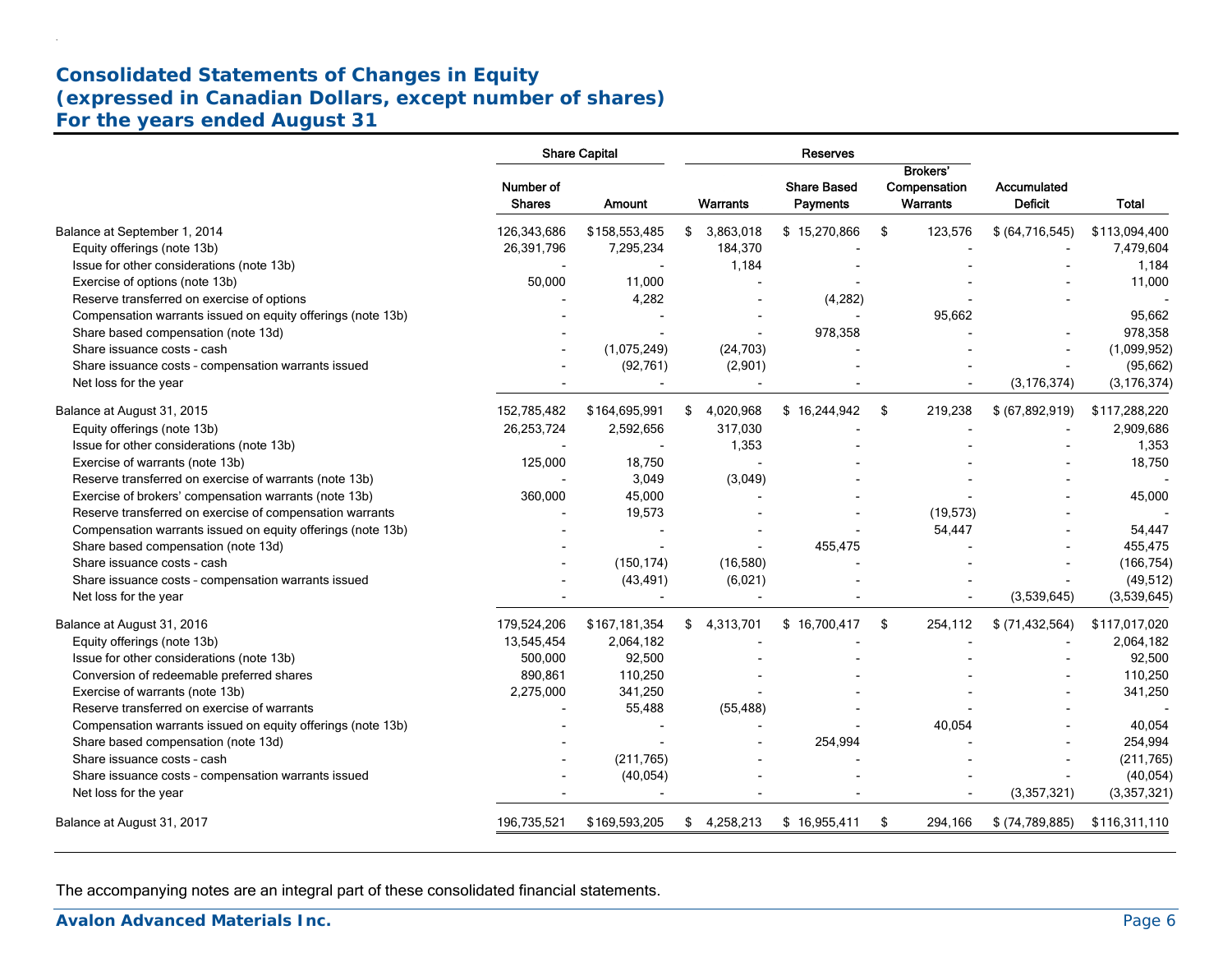# **Consolidated Statements of Changes in Equity (expressed in Canadian Dollars, except number of shares) For the years ended August 31**

|                                                             |                            | <b>Share Capital</b> | Reserves        |                                |    |                                             |                                      |               |
|-------------------------------------------------------------|----------------------------|----------------------|-----------------|--------------------------------|----|---------------------------------------------|--------------------------------------|---------------|
|                                                             | Number of<br><b>Shares</b> | <b>Amount</b>        | <b>Warrants</b> | <b>Share Based</b><br>Payments |    | <b>Brokers'</b><br>Compensation<br>Warrants | <b>Accumulated</b><br><b>Deficit</b> | Total         |
| Balance at September 1, 2014                                | 126,343,686                | \$158,553,485        | \$<br>3.863.018 | \$15,270,866                   | \$ | 123,576                                     | \$ (64, 716, 545)                    | \$113,094,400 |
| Equity offerings (note 13b)                                 | 26,391,796                 | 7,295,234            | 184,370         |                                |    |                                             |                                      | 7,479,604     |
| Issue for other considerations (note 13b)                   |                            |                      | 1,184           |                                |    |                                             |                                      | 1,184         |
| Exercise of options (note 13b)                              | 50,000                     | 11,000               |                 |                                |    |                                             |                                      | 11,000        |
| Reserve transferred on exercise of options                  |                            | 4,282                |                 | (4,282)                        |    |                                             |                                      |               |
| Compensation warrants issued on equity offerings (note 13b) |                            |                      |                 |                                |    | 95,662                                      |                                      | 95,662        |
| Share based compensation (note 13d)                         |                            |                      |                 | 978,358                        |    |                                             |                                      | 978,358       |
| Share issuance costs - cash                                 |                            | (1,075,249)          | (24, 703)       |                                |    |                                             |                                      | (1,099,952)   |
| Share issuance costs - compensation warrants issued         |                            | (92, 761)            | (2,901)         |                                |    |                                             |                                      | (95, 662)     |
| Net loss for the year                                       |                            |                      |                 |                                |    |                                             | (3, 176, 374)                        | (3, 176, 374) |
| Balance at August 31, 2015                                  | 152,785,482                | \$164,695,991        | \$<br>4,020,968 | \$16,244,942                   | \$ | 219,238                                     | \$ (67,892,919)                      | \$117,288,220 |
| Equity offerings (note 13b)                                 | 26,253,724                 | 2,592,656            | 317,030         |                                |    |                                             |                                      | 2,909,686     |
| Issue for other considerations (note 13b)                   |                            |                      | 1,353           |                                |    |                                             |                                      | 1,353         |
| Exercise of warrants (note 13b)                             | 125,000                    | 18,750               | $\overline{a}$  |                                |    |                                             |                                      | 18,750        |
| Reserve transferred on exercise of warrants (note 13b)      | $\blacksquare$             | 3,049                | (3,049)         |                                |    |                                             |                                      |               |
| Exercise of brokers' compensation warrants (note 13b)       | 360,000                    | 45,000               |                 |                                |    |                                             |                                      | 45,000        |
| Reserve transferred on exercise of compensation warrants    |                            | 19,573               |                 |                                |    | (19, 573)                                   |                                      |               |
| Compensation warrants issued on equity offerings (note 13b) |                            |                      |                 |                                |    | 54,447                                      |                                      | 54,447        |
| Share based compensation (note 13d)                         |                            |                      | $\blacksquare$  | 455,475                        |    |                                             |                                      | 455,475       |
| Share issuance costs - cash                                 |                            | (150, 174)           | (16,580)        |                                |    |                                             |                                      | (166, 754)    |
| Share issuance costs - compensation warrants issued         |                            | (43, 491)            | (6,021)         |                                |    |                                             |                                      | (49, 512)     |
| Net loss for the year                                       |                            |                      | $\blacksquare$  |                                |    |                                             | (3,539,645)                          | (3,539,645)   |
| Balance at August 31, 2016                                  | 179,524,206                | \$167,181,354        | \$<br>4,313,701 | \$16,700,417                   | \$ | 254,112                                     | $$$ (71,432,564)                     | \$117,017,020 |
| Equity offerings (note 13b)                                 | 13,545,454                 | 2,064,182            |                 |                                |    |                                             |                                      | 2,064,182     |
| Issue for other considerations (note 13b)                   | 500,000                    | 92,500               |                 |                                |    |                                             |                                      | 92,500        |
| Conversion of redeemable preferred shares                   | 890,861                    | 110,250              |                 |                                |    |                                             |                                      | 110,250       |
| Exercise of warrants (note 13b)                             | 2,275,000                  | 341,250              |                 |                                |    |                                             |                                      | 341,250       |
| Reserve transferred on exercise of warrants                 |                            | 55,488               | (55, 488)       |                                |    |                                             |                                      |               |
| Compensation warrants issued on equity offerings (note 13b) |                            |                      |                 |                                |    | 40,054                                      |                                      | 40,054        |
| Share based compensation (note 13d)                         |                            |                      |                 | 254,994                        |    |                                             |                                      | 254,994       |
| Share issuance costs - cash                                 |                            | (211, 765)           |                 |                                |    |                                             |                                      | (211, 765)    |
| Share issuance costs - compensation warrants issued         |                            | (40, 054)            |                 |                                |    |                                             |                                      | (40, 054)     |
| Net loss for the year                                       |                            |                      |                 |                                |    |                                             | (3,357,321)                          | (3,357,321)   |
| Balance at August 31, 2017                                  | 196,735,521                | \$169,593,205        | \$<br>4,258,213 | \$16,955,411                   | \$ | 294,166                                     | $$$ (74,789,885)                     | \$116,311,110 |

The accompanying notes are an integral part of these consolidated financial statements.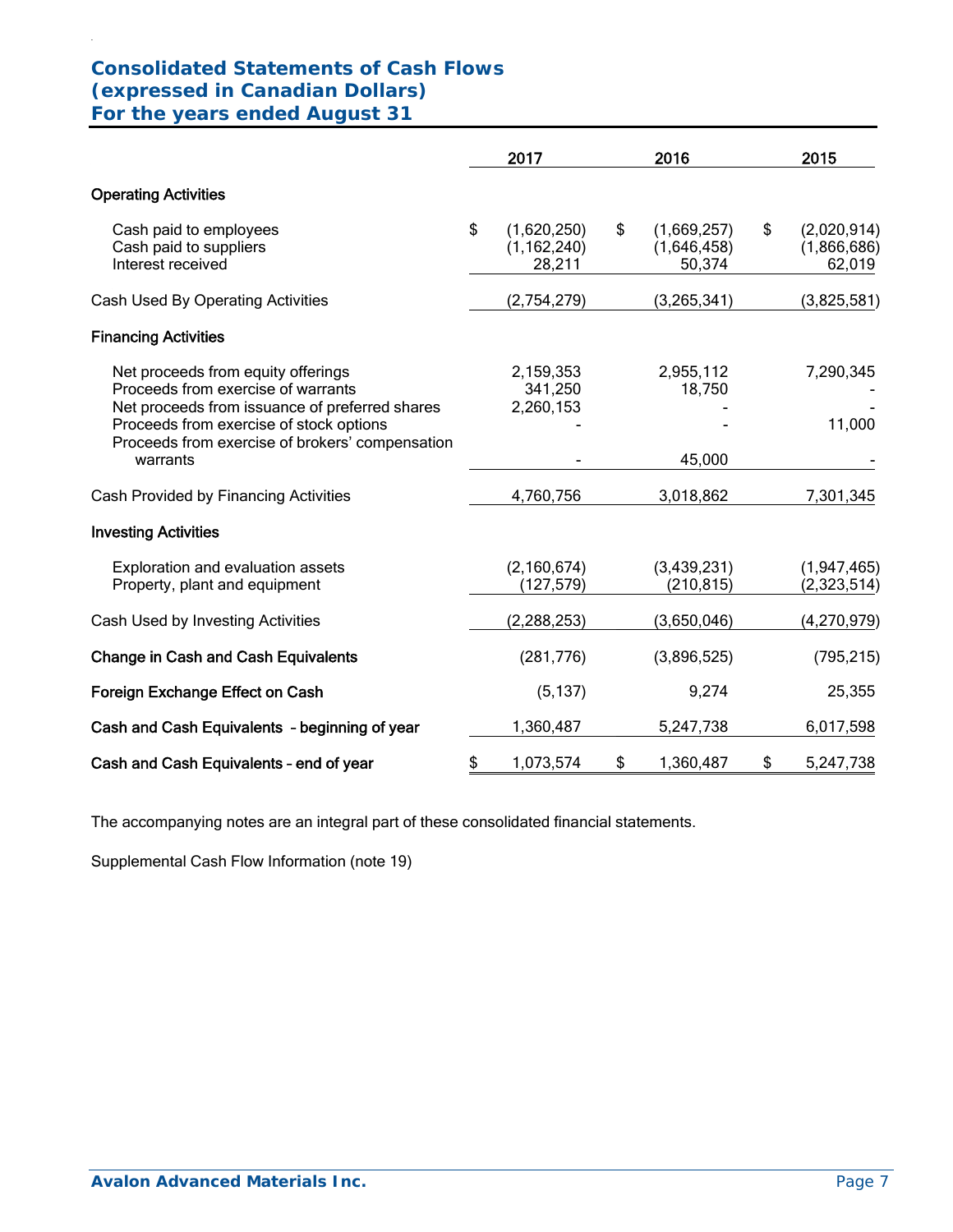# **Consolidated Statements of Cash Flows (expressed in Canadian Dollars) For the years ended August 31**

.

|                                                                                                                                                                                                                                      | 2017                                         | 2016                                       | 2015                                       |
|--------------------------------------------------------------------------------------------------------------------------------------------------------------------------------------------------------------------------------------|----------------------------------------------|--------------------------------------------|--------------------------------------------|
| <b>Operating Activities</b>                                                                                                                                                                                                          |                                              |                                            |                                            |
| Cash paid to employees<br>Cash paid to suppliers<br>Interest received                                                                                                                                                                | \$<br>(1,620,250)<br>(1, 162, 240)<br>28,211 | \$<br>(1,669,257)<br>(1,646,458)<br>50,374 | \$<br>(2,020,914)<br>(1,866,686)<br>62,019 |
| Cash Used By Operating Activities                                                                                                                                                                                                    | (2,754,279)                                  | (3, 265, 341)                              | (3,825,581)                                |
| <b>Financing Activities</b>                                                                                                                                                                                                          |                                              |                                            |                                            |
| Net proceeds from equity offerings<br>Proceeds from exercise of warrants<br>Net proceeds from issuance of preferred shares<br>Proceeds from exercise of stock options<br>Proceeds from exercise of brokers' compensation<br>warrants | 2,159,353<br>341,250<br>2,260,153            | 2,955,112<br>18,750<br>45,000              | 7,290,345<br>11,000                        |
| Cash Provided by Financing Activities                                                                                                                                                                                                | 4,760,756                                    | 3,018,862                                  | 7,301,345                                  |
| <b>Investing Activities</b>                                                                                                                                                                                                          |                                              |                                            |                                            |
| Exploration and evaluation assets<br>Property, plant and equipment                                                                                                                                                                   | (2, 160, 674)<br>(127, 579)                  | (3,439,231)<br>(210, 815)                  | (1,947,465)<br>(2,323,514)                 |
| Cash Used by Investing Activities                                                                                                                                                                                                    | (2, 288, 253)                                | (3,650,046)                                | (4,270,979)                                |
| <b>Change in Cash and Cash Equivalents</b>                                                                                                                                                                                           | (281, 776)                                   | (3,896,525)                                | (795, 215)                                 |
| Foreign Exchange Effect on Cash                                                                                                                                                                                                      | (5, 137)                                     | 9,274                                      | 25,355                                     |
| Cash and Cash Equivalents - beginning of year                                                                                                                                                                                        | 1,360,487                                    | 5,247,738                                  | 6,017,598                                  |
| Cash and Cash Equivalents - end of year                                                                                                                                                                                              | \$<br>1,073,574                              | \$<br>1,360,487                            | \$<br>5,247,738                            |

The accompanying notes are an integral part of these consolidated financial statements.

Supplemental Cash Flow Information (note 19)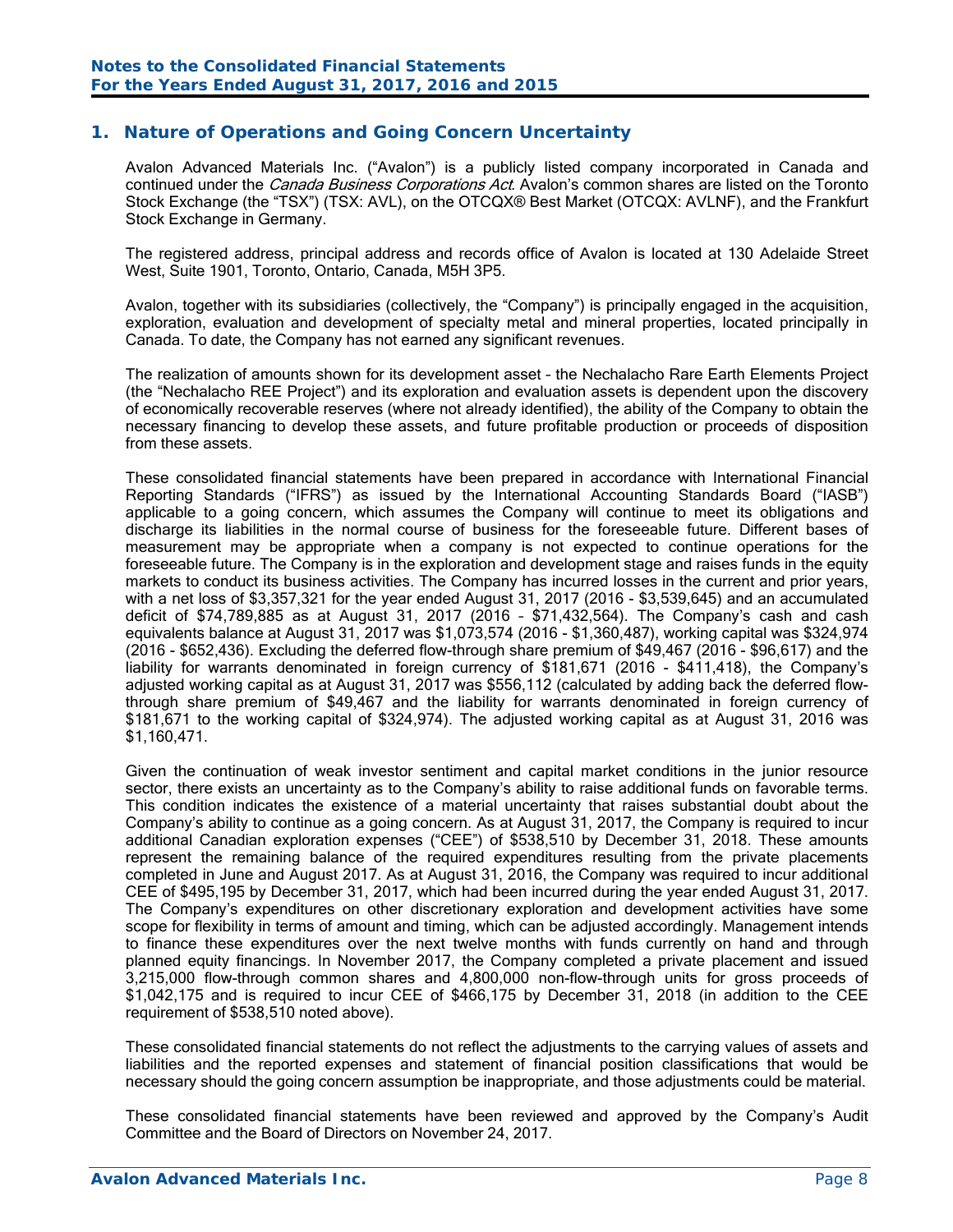# **1. Nature of Operations and Going Concern Uncertainty**

Avalon Advanced Materials Inc. ("Avalon") is a publicly listed company incorporated in Canada and continued under the *Canada Business Corporations Act*. Avalon's common shares are listed on the Toronto Stock Exchange (the "TSX") (TSX: AVL), on the OTCQX® Best Market (OTCQX: AVLNF), and the Frankfurt Stock Exchange in Germany.

The registered address, principal address and records office of Avalon is located at 130 Adelaide Street West, Suite 1901, Toronto, Ontario, Canada, M5H 3P5.

Avalon, together with its subsidiaries (collectively, the "Company") is principally engaged in the acquisition, exploration, evaluation and development of specialty metal and mineral properties, located principally in Canada. To date, the Company has not earned any significant revenues.

The realization of amounts shown for its development asset – the Nechalacho Rare Earth Elements Project (the "Nechalacho REE Project") and its exploration and evaluation assets is dependent upon the discovery of economically recoverable reserves (where not already identified), the ability of the Company to obtain the necessary financing to develop these assets, and future profitable production or proceeds of disposition from these assets.

These consolidated financial statements have been prepared in accordance with International Financial Reporting Standards ("IFRS") as issued by the International Accounting Standards Board ("IASB") applicable to a going concern, which assumes the Company will continue to meet its obligations and discharge its liabilities in the normal course of business for the foreseeable future. Different bases of measurement may be appropriate when a company is not expected to continue operations for the foreseeable future. The Company is in the exploration and development stage and raises funds in the equity markets to conduct its business activities. The Company has incurred losses in the current and prior years, with a net loss of \$3,357,321 for the year ended August 31, 2017 (2016 - \$3,539,645) and an accumulated deficit of \$74,789,885 as at August 31, 2017 (2016 – \$71,432,564). The Company's cash and cash equivalents balance at August 31, 2017 was \$1,073,574 (2016 - \$1,360,487), working capital was \$324,974 (2016 - \$652,436). Excluding the deferred flow-through share premium of \$49,467 (2016 - \$96,617) and the liability for warrants denominated in foreign currency of \$181,671 (2016 - \$411,418), the Company's adjusted working capital as at August 31, 2017 was \$556,112 (calculated by adding back the deferred flowthrough share premium of \$49,467 and the liability for warrants denominated in foreign currency of \$181,671 to the working capital of \$324,974). The adjusted working capital as at August 31, 2016 was \$1,160,471.

Given the continuation of weak investor sentiment and capital market conditions in the junior resource sector, there exists an uncertainty as to the Company's ability to raise additional funds on favorable terms. This condition indicates the existence of a material uncertainty that raises substantial doubt about the Company's ability to continue as a going concern. As at August 31, 2017, the Company is required to incur additional Canadian exploration expenses ("CEE") of \$538,510 by December 31, 2018. These amounts represent the remaining balance of the required expenditures resulting from the private placements completed in June and August 2017. As at August 31, 2016, the Company was required to incur additional CEE of \$495,195 by December 31, 2017, which had been incurred during the year ended August 31, 2017. The Company's expenditures on other discretionary exploration and development activities have some scope for flexibility in terms of amount and timing, which can be adjusted accordingly. Management intends to finance these expenditures over the next twelve months with funds currently on hand and through planned equity financings. In November 2017, the Company completed a private placement and issued 3,215,000 flow-through common shares and 4,800,000 non-flow-through units for gross proceeds of \$1,042,175 and is required to incur CEE of \$466,175 by December 31, 2018 (in addition to the CEE requirement of \$538,510 noted above).

These consolidated financial statements do not reflect the adjustments to the carrying values of assets and liabilities and the reported expenses and statement of financial position classifications that would be necessary should the going concern assumption be inappropriate, and those adjustments could be material.

These consolidated financial statements have been reviewed and approved by the Company's Audit Committee and the Board of Directors on November 24, 2017.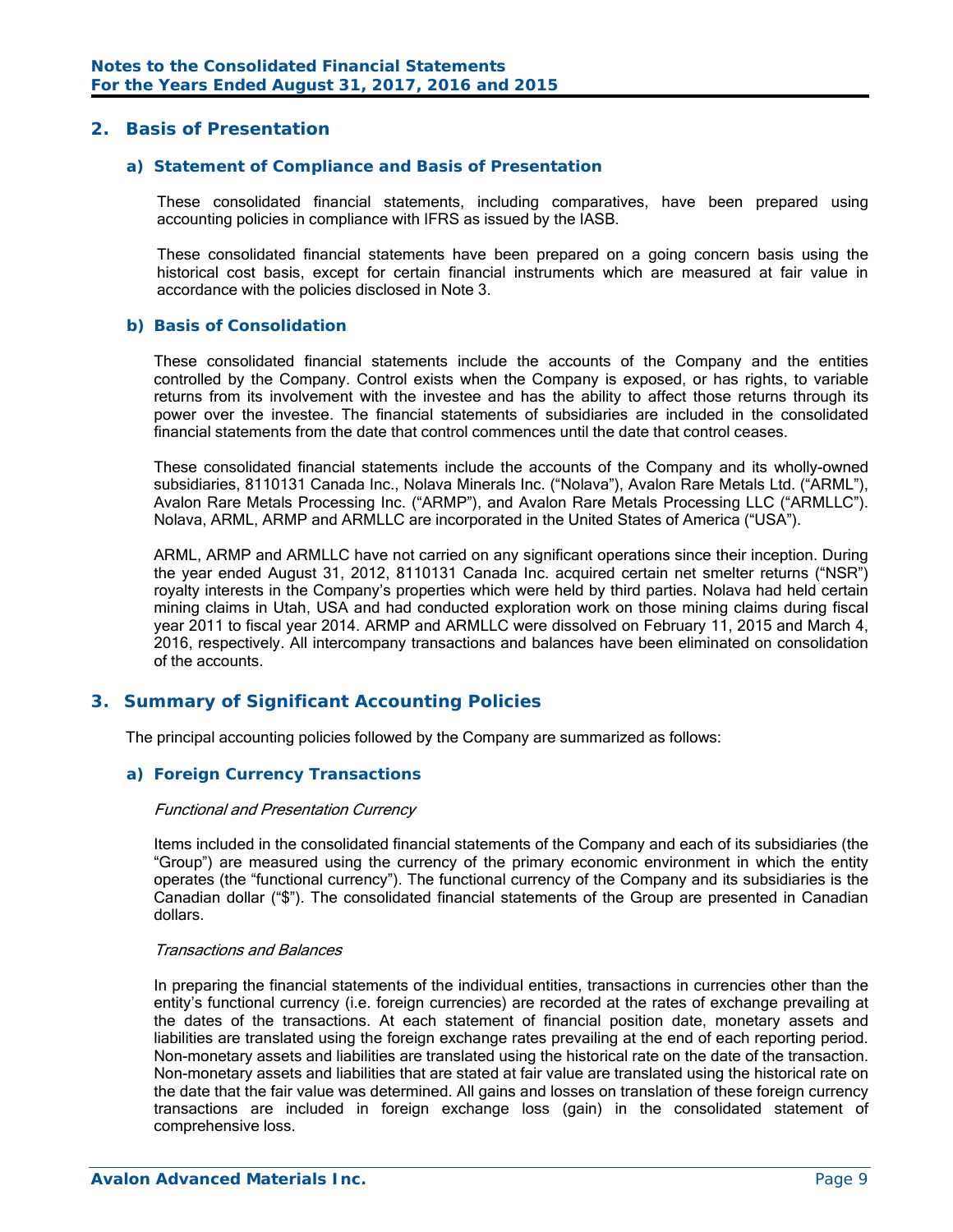#### **2. Basis of Presentation**

#### *a) Statement of Compliance and Basis of Presentation*

These consolidated financial statements, including comparatives, have been prepared using accounting policies in compliance with IFRS as issued by the IASB.

These consolidated financial statements have been prepared on a going concern basis using the historical cost basis, except for certain financial instruments which are measured at fair value in accordance with the policies disclosed in Note 3.

#### *b) Basis of Consolidation*

These consolidated financial statements include the accounts of the Company and the entities controlled by the Company. Control exists when the Company is exposed, or has rights, to variable returns from its involvement with the investee and has the ability to affect those returns through its power over the investee. The financial statements of subsidiaries are included in the consolidated financial statements from the date that control commences until the date that control ceases.

These consolidated financial statements include the accounts of the Company and its wholly-owned subsidiaries, 8110131 Canada Inc., Nolava Minerals Inc. ("Nolava"), Avalon Rare Metals Ltd. ("ARML"), Avalon Rare Metals Processing Inc. ("ARMP"), and Avalon Rare Metals Processing LLC ("ARMLLC"). Nolava, ARML, ARMP and ARMLLC are incorporated in the United States of America ("USA").

ARML, ARMP and ARMLLC have not carried on any significant operations since their inception. During the year ended August 31, 2012, 8110131 Canada Inc. acquired certain net smelter returns ("NSR") royalty interests in the Company's properties which were held by third parties. Nolava had held certain mining claims in Utah, USA and had conducted exploration work on those mining claims during fiscal year 2011 to fiscal year 2014. ARMP and ARMLLC were dissolved on February 11, 2015 and March 4, 2016, respectively. All intercompany transactions and balances have been eliminated on consolidation of the accounts.

#### **3. Summary of Significant Accounting Policies**

The principal accounting policies followed by the Company are summarized as follows:

#### *a) Foreign Currency Transactions*

#### Functional and Presentation Currency

Items included in the consolidated financial statements of the Company and each of its subsidiaries (the "Group") are measured using the currency of the primary economic environment in which the entity operates (the "functional currency"). The functional currency of the Company and its subsidiaries is the Canadian dollar ("\$"). The consolidated financial statements of the Group are presented in Canadian dollars.

#### Transactions and Balances

In preparing the financial statements of the individual entities, transactions in currencies other than the entity's functional currency (i.e. foreign currencies) are recorded at the rates of exchange prevailing at the dates of the transactions. At each statement of financial position date, monetary assets and liabilities are translated using the foreign exchange rates prevailing at the end of each reporting period. Non-monetary assets and liabilities are translated using the historical rate on the date of the transaction. Non-monetary assets and liabilities that are stated at fair value are translated using the historical rate on the date that the fair value was determined. All gains and losses on translation of these foreign currency transactions are included in foreign exchange loss (gain) in the consolidated statement of comprehensive loss.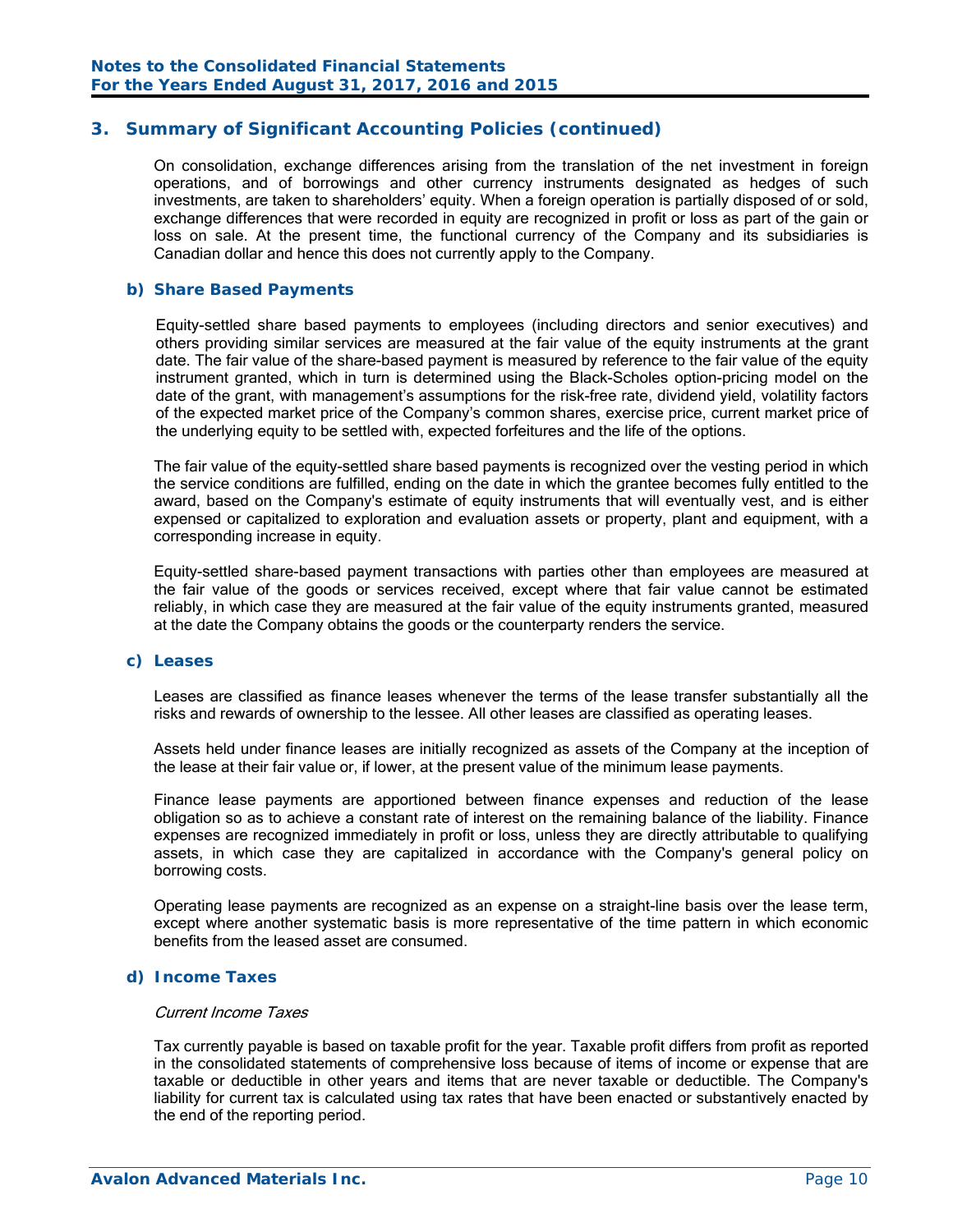On consolidation, exchange differences arising from the translation of the net investment in foreign operations, and of borrowings and other currency instruments designated as hedges of such investments, are taken to shareholders' equity. When a foreign operation is partially disposed of or sold, exchange differences that were recorded in equity are recognized in profit or loss as part of the gain or loss on sale. At the present time, the functional currency of the Company and its subsidiaries is Canadian dollar and hence this does not currently apply to the Company.

#### *b) Share Based Payments*

Equity-settled share based payments to employees (including directors and senior executives) and others providing similar services are measured at the fair value of the equity instruments at the grant date. The fair value of the share-based payment is measured by reference to the fair value of the equity instrument granted, which in turn is determined using the Black-Scholes option-pricing model on the date of the grant, with management's assumptions for the risk-free rate, dividend yield, volatility factors of the expected market price of the Company's common shares, exercise price, current market price of the underlying equity to be settled with, expected forfeitures and the life of the options.

The fair value of the equity-settled share based payments is recognized over the vesting period in which the service conditions are fulfilled, ending on the date in which the grantee becomes fully entitled to the award, based on the Company's estimate of equity instruments that will eventually vest, and is either expensed or capitalized to exploration and evaluation assets or property, plant and equipment, with a corresponding increase in equity.

Equity-settled share-based payment transactions with parties other than employees are measured at the fair value of the goods or services received, except where that fair value cannot be estimated reliably, in which case they are measured at the fair value of the equity instruments granted, measured at the date the Company obtains the goods or the counterparty renders the service.

#### *c) Leases*

Leases are classified as finance leases whenever the terms of the lease transfer substantially all the risks and rewards of ownership to the lessee. All other leases are classified as operating leases.

Assets held under finance leases are initially recognized as assets of the Company at the inception of the lease at their fair value or, if lower, at the present value of the minimum lease payments.

Finance lease payments are apportioned between finance expenses and reduction of the lease obligation so as to achieve a constant rate of interest on the remaining balance of the liability. Finance expenses are recognized immediately in profit or loss, unless they are directly attributable to qualifying assets, in which case they are capitalized in accordance with the Company's general policy on borrowing costs.

Operating lease payments are recognized as an expense on a straight-line basis over the lease term, except where another systematic basis is more representative of the time pattern in which economic benefits from the leased asset are consumed.

#### *d) Income Taxes*

#### Current Income Taxes

 Tax currently payable is based on taxable profit for the year. Taxable profit differs from profit as reported in the consolidated statements of comprehensive loss because of items of income or expense that are taxable or deductible in other years and items that are never taxable or deductible. The Company's liability for current tax is calculated using tax rates that have been enacted or substantively enacted by the end of the reporting period.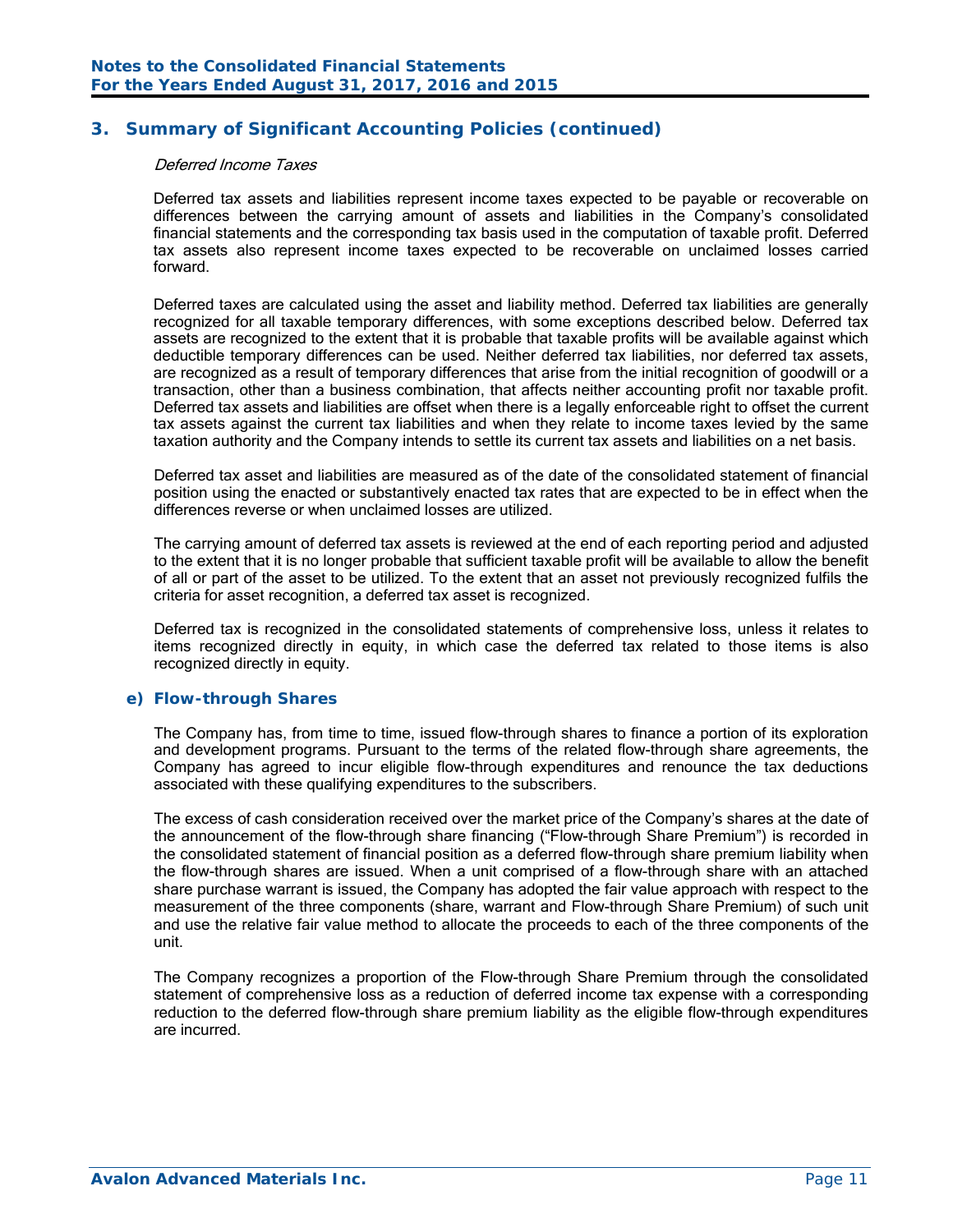#### Deferred Income Taxes

Deferred tax assets and liabilities represent income taxes expected to be payable or recoverable on differences between the carrying amount of assets and liabilities in the Company's consolidated financial statements and the corresponding tax basis used in the computation of taxable profit. Deferred tax assets also represent income taxes expected to be recoverable on unclaimed losses carried forward.

Deferred taxes are calculated using the asset and liability method. Deferred tax liabilities are generally recognized for all taxable temporary differences, with some exceptions described below. Deferred tax assets are recognized to the extent that it is probable that taxable profits will be available against which deductible temporary differences can be used. Neither deferred tax liabilities, nor deferred tax assets, are recognized as a result of temporary differences that arise from the initial recognition of goodwill or a transaction, other than a business combination, that affects neither accounting profit nor taxable profit. Deferred tax assets and liabilities are offset when there is a legally enforceable right to offset the current tax assets against the current tax liabilities and when they relate to income taxes levied by the same taxation authority and the Company intends to settle its current tax assets and liabilities on a net basis.

Deferred tax asset and liabilities are measured as of the date of the consolidated statement of financial position using the enacted or substantively enacted tax rates that are expected to be in effect when the differences reverse or when unclaimed losses are utilized.

The carrying amount of deferred tax assets is reviewed at the end of each reporting period and adjusted to the extent that it is no longer probable that sufficient taxable profit will be available to allow the benefit of all or part of the asset to be utilized. To the extent that an asset not previously recognized fulfils the criteria for asset recognition, a deferred tax asset is recognized.

Deferred tax is recognized in the consolidated statements of comprehensive loss, unless it relates to items recognized directly in equity, in which case the deferred tax related to those items is also recognized directly in equity.

#### *e) Flow-through Shares*

The Company has, from time to time, issued flow-through shares to finance a portion of its exploration and development programs. Pursuant to the terms of the related flow-through share agreements, the Company has agreed to incur eligible flow-through expenditures and renounce the tax deductions associated with these qualifying expenditures to the subscribers.

The excess of cash consideration received over the market price of the Company's shares at the date of the announcement of the flow-through share financing ("Flow-through Share Premium") is recorded in the consolidated statement of financial position as a deferred flow-through share premium liability when the flow-through shares are issued. When a unit comprised of a flow-through share with an attached share purchase warrant is issued, the Company has adopted the fair value approach with respect to the measurement of the three components (share, warrant and Flow-through Share Premium) of such unit and use the relative fair value method to allocate the proceeds to each of the three components of the unit.

The Company recognizes a proportion of the Flow-through Share Premium through the consolidated statement of comprehensive loss as a reduction of deferred income tax expense with a corresponding reduction to the deferred flow-through share premium liability as the eligible flow-through expenditures are incurred.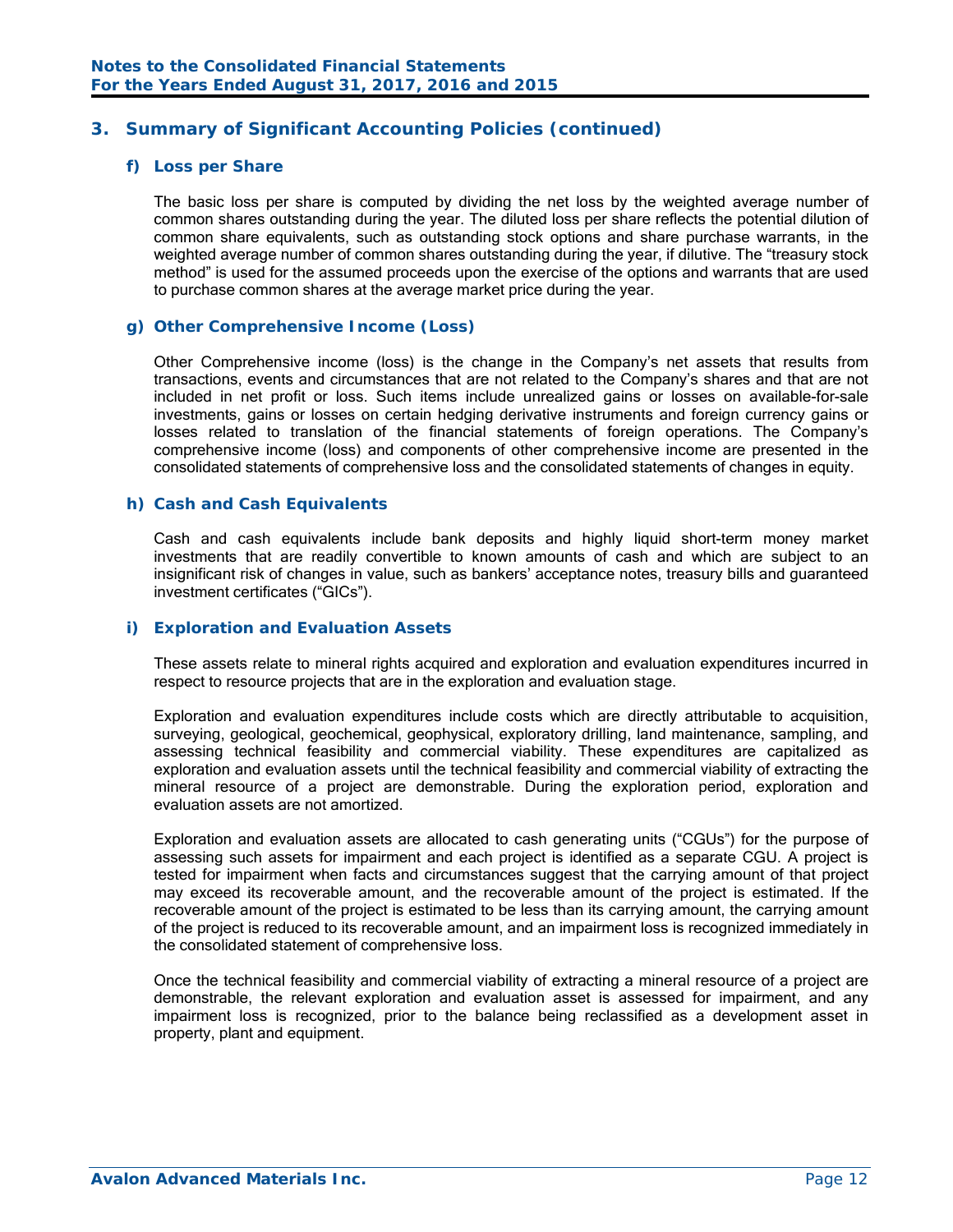#### *f) Loss per Share*

The basic loss per share is computed by dividing the net loss by the weighted average number of common shares outstanding during the year. The diluted loss per share reflects the potential dilution of common share equivalents, such as outstanding stock options and share purchase warrants, in the weighted average number of common shares outstanding during the year, if dilutive. The "treasury stock method" is used for the assumed proceeds upon the exercise of the options and warrants that are used to purchase common shares at the average market price during the year.

#### *g) Other Comprehensive Income (Loss)*

Other Comprehensive income (loss) is the change in the Company's net assets that results from transactions, events and circumstances that are not related to the Company's shares and that are not included in net profit or loss. Such items include unrealized gains or losses on available-for-sale investments, gains or losses on certain hedging derivative instruments and foreign currency gains or losses related to translation of the financial statements of foreign operations. The Company's comprehensive income (loss) and components of other comprehensive income are presented in the consolidated statements of comprehensive loss and the consolidated statements of changes in equity.

#### *h) Cash and Cash Equivalents*

Cash and cash equivalents include bank deposits and highly liquid short-term money market investments that are readily convertible to known amounts of cash and which are subject to an insignificant risk of changes in value, such as bankers' acceptance notes, treasury bills and guaranteed investment certificates ("GICs").

#### *i) Exploration and Evaluation Assets*

These assets relate to mineral rights acquired and exploration and evaluation expenditures incurred in respect to resource projects that are in the exploration and evaluation stage.

Exploration and evaluation expenditures include costs which are directly attributable to acquisition, surveying, geological, geochemical, geophysical, exploratory drilling, land maintenance, sampling, and assessing technical feasibility and commercial viability. These expenditures are capitalized as exploration and evaluation assets until the technical feasibility and commercial viability of extracting the mineral resource of a project are demonstrable. During the exploration period, exploration and evaluation assets are not amortized.

Exploration and evaluation assets are allocated to cash generating units ("CGUs") for the purpose of assessing such assets for impairment and each project is identified as a separate CGU. A project is tested for impairment when facts and circumstances suggest that the carrying amount of that project may exceed its recoverable amount, and the recoverable amount of the project is estimated. If the recoverable amount of the project is estimated to be less than its carrying amount, the carrying amount of the project is reduced to its recoverable amount, and an impairment loss is recognized immediately in the consolidated statement of comprehensive loss.

 Once the technical feasibility and commercial viability of extracting a mineral resource of a project are demonstrable, the relevant exploration and evaluation asset is assessed for impairment, and any impairment loss is recognized, prior to the balance being reclassified as a development asset in property, plant and equipment.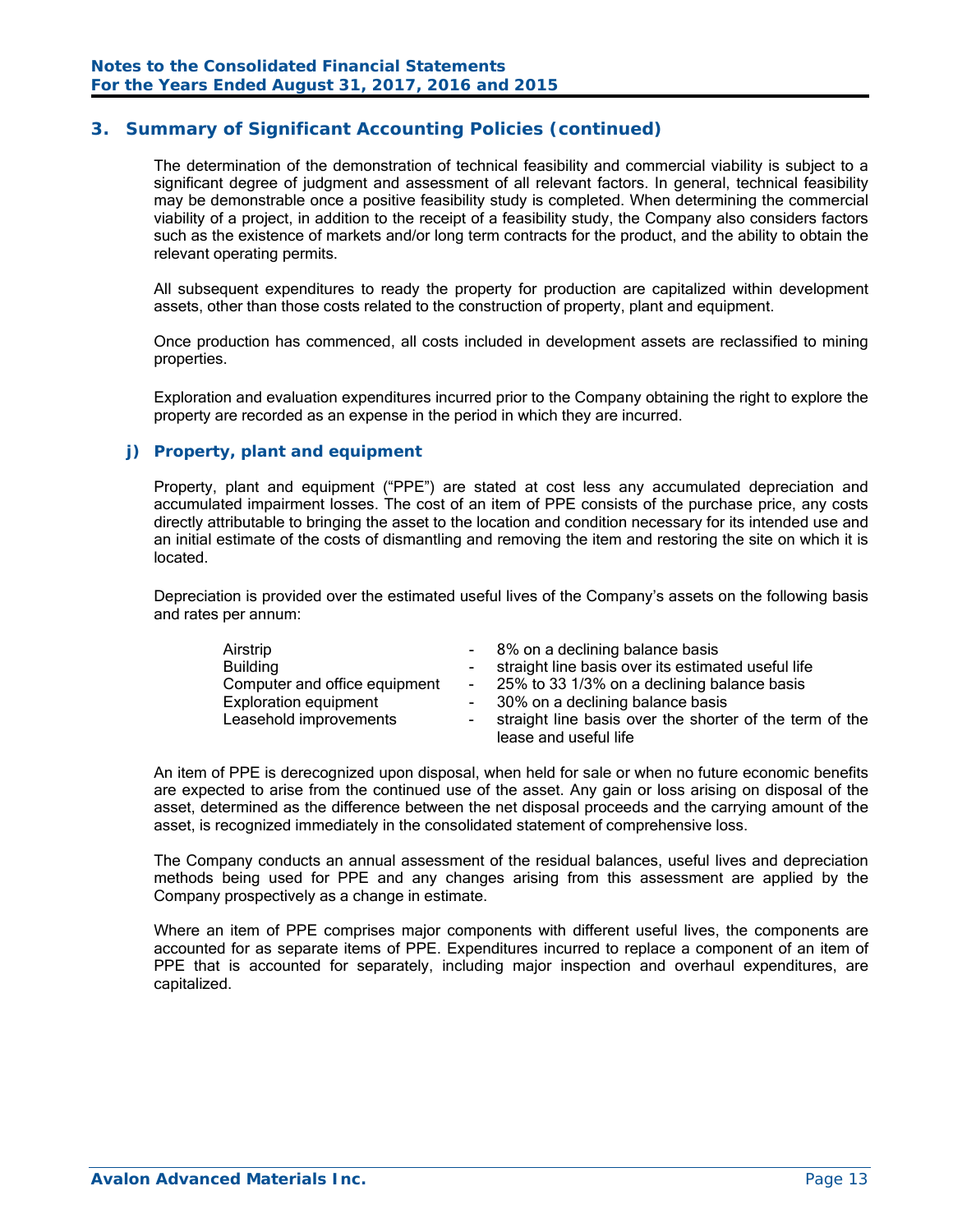The determination of the demonstration of technical feasibility and commercial viability is subject to a significant degree of judgment and assessment of all relevant factors. In general, technical feasibility may be demonstrable once a positive feasibility study is completed. When determining the commercial viability of a project, in addition to the receipt of a feasibility study, the Company also considers factors such as the existence of markets and/or long term contracts for the product, and the ability to obtain the relevant operating permits.

All subsequent expenditures to ready the property for production are capitalized within development assets, other than those costs related to the construction of property, plant and equipment.

Once production has commenced, all costs included in development assets are reclassified to mining properties.

Exploration and evaluation expenditures incurred prior to the Company obtaining the right to explore the property are recorded as an expense in the period in which they are incurred.

#### *j) Property, plant and equipment*

Property, plant and equipment ("PPE") are stated at cost less any accumulated depreciation and accumulated impairment losses. The cost of an item of PPE consists of the purchase price, any costs directly attributable to bringing the asset to the location and condition necessary for its intended use and an initial estimate of the costs of dismantling and removing the item and restoring the site on which it is located.

Depreciation is provided over the estimated useful lives of the Company's assets on the following basis and rates per annum:

| Airstrip<br><b>Building</b><br>Computer and office equipment<br><b>Exploration equipment</b><br>Leasehold improvements | - 8% on a declining balance basis<br>straight line basis over its estimated useful life<br>- 25% to 33 1/3% on a declining balance basis<br>- 30% on a declining balance basis<br>straight line basis over the shorter of the term of the |
|------------------------------------------------------------------------------------------------------------------------|-------------------------------------------------------------------------------------------------------------------------------------------------------------------------------------------------------------------------------------------|
|                                                                                                                        | lease and useful life                                                                                                                                                                                                                     |

An item of PPE is derecognized upon disposal, when held for sale or when no future economic benefits are expected to arise from the continued use of the asset. Any gain or loss arising on disposal of the asset, determined as the difference between the net disposal proceeds and the carrying amount of the asset, is recognized immediately in the consolidated statement of comprehensive loss.

The Company conducts an annual assessment of the residual balances, useful lives and depreciation methods being used for PPE and any changes arising from this assessment are applied by the Company prospectively as a change in estimate.

Where an item of PPE comprises major components with different useful lives, the components are accounted for as separate items of PPE. Expenditures incurred to replace a component of an item of PPE that is accounted for separately, including major inspection and overhaul expenditures, are capitalized.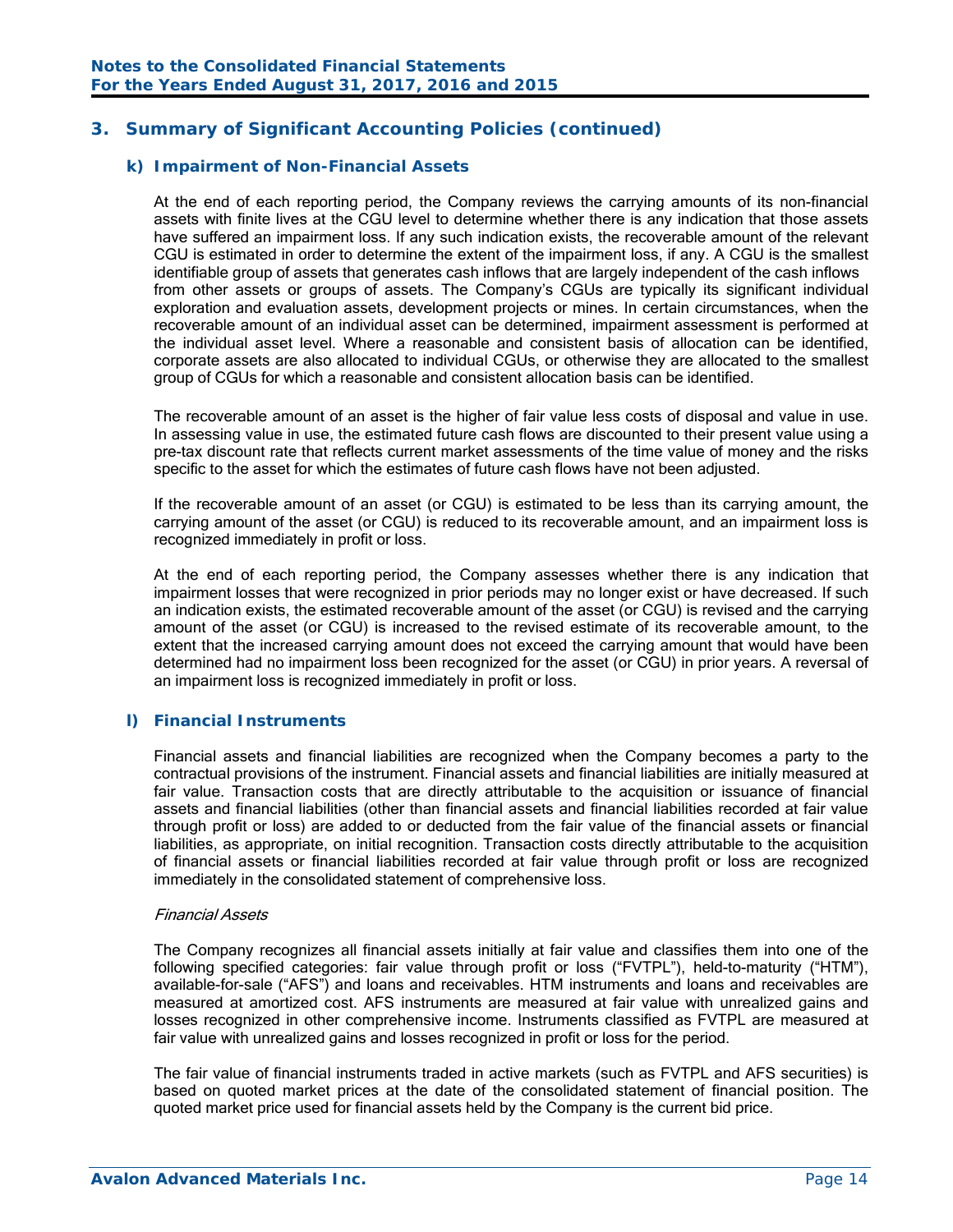#### *k) Impairment of Non-Financial Assets*

At the end of each reporting period, the Company reviews the carrying amounts of its non-financial assets with finite lives at the CGU level to determine whether there is any indication that those assets have suffered an impairment loss. If any such indication exists, the recoverable amount of the relevant CGU is estimated in order to determine the extent of the impairment loss, if any. A CGU is the smallest identifiable group of assets that generates cash inflows that are largely independent of the cash inflows from other assets or groups of assets. The Company's CGUs are typically its significant individual exploration and evaluation assets, development projects or mines. In certain circumstances, when the recoverable amount of an individual asset can be determined, impairment assessment is performed at the individual asset level. Where a reasonable and consistent basis of allocation can be identified, corporate assets are also allocated to individual CGUs, or otherwise they are allocated to the smallest group of CGUs for which a reasonable and consistent allocation basis can be identified.

The recoverable amount of an asset is the higher of fair value less costs of disposal and value in use. In assessing value in use, the estimated future cash flows are discounted to their present value using a pre-tax discount rate that reflects current market assessments of the time value of money and the risks specific to the asset for which the estimates of future cash flows have not been adjusted.

If the recoverable amount of an asset (or CGU) is estimated to be less than its carrying amount, the carrying amount of the asset (or CGU) is reduced to its recoverable amount, and an impairment loss is recognized immediately in profit or loss.

At the end of each reporting period, the Company assesses whether there is any indication that impairment losses that were recognized in prior periods may no longer exist or have decreased. If such an indication exists, the estimated recoverable amount of the asset (or CGU) is revised and the carrying amount of the asset (or CGU) is increased to the revised estimate of its recoverable amount, to the extent that the increased carrying amount does not exceed the carrying amount that would have been determined had no impairment loss been recognized for the asset (or CGU) in prior years. A reversal of an impairment loss is recognized immediately in profit or loss.

#### *l) Financial Instruments*

Financial assets and financial liabilities are recognized when the Company becomes a party to the contractual provisions of the instrument. Financial assets and financial liabilities are initially measured at fair value. Transaction costs that are directly attributable to the acquisition or issuance of financial assets and financial liabilities (other than financial assets and financial liabilities recorded at fair value through profit or loss) are added to or deducted from the fair value of the financial assets or financial liabilities, as appropriate, on initial recognition. Transaction costs directly attributable to the acquisition of financial assets or financial liabilities recorded at fair value through profit or loss are recognized immediately in the consolidated statement of comprehensive loss.

#### Financial Assets

The Company recognizes all financial assets initially at fair value and classifies them into one of the following specified categories: fair value through profit or loss ("FVTPL"), held-to-maturity ("HTM"), available-for-sale ("AFS") and loans and receivables. HTM instruments and loans and receivables are measured at amortized cost. AFS instruments are measured at fair value with unrealized gains and losses recognized in other comprehensive income. Instruments classified as FVTPL are measured at fair value with unrealized gains and losses recognized in profit or loss for the period.

 The fair value of financial instruments traded in active markets (such as FVTPL and AFS securities) is based on quoted market prices at the date of the consolidated statement of financial position. The quoted market price used for financial assets held by the Company is the current bid price.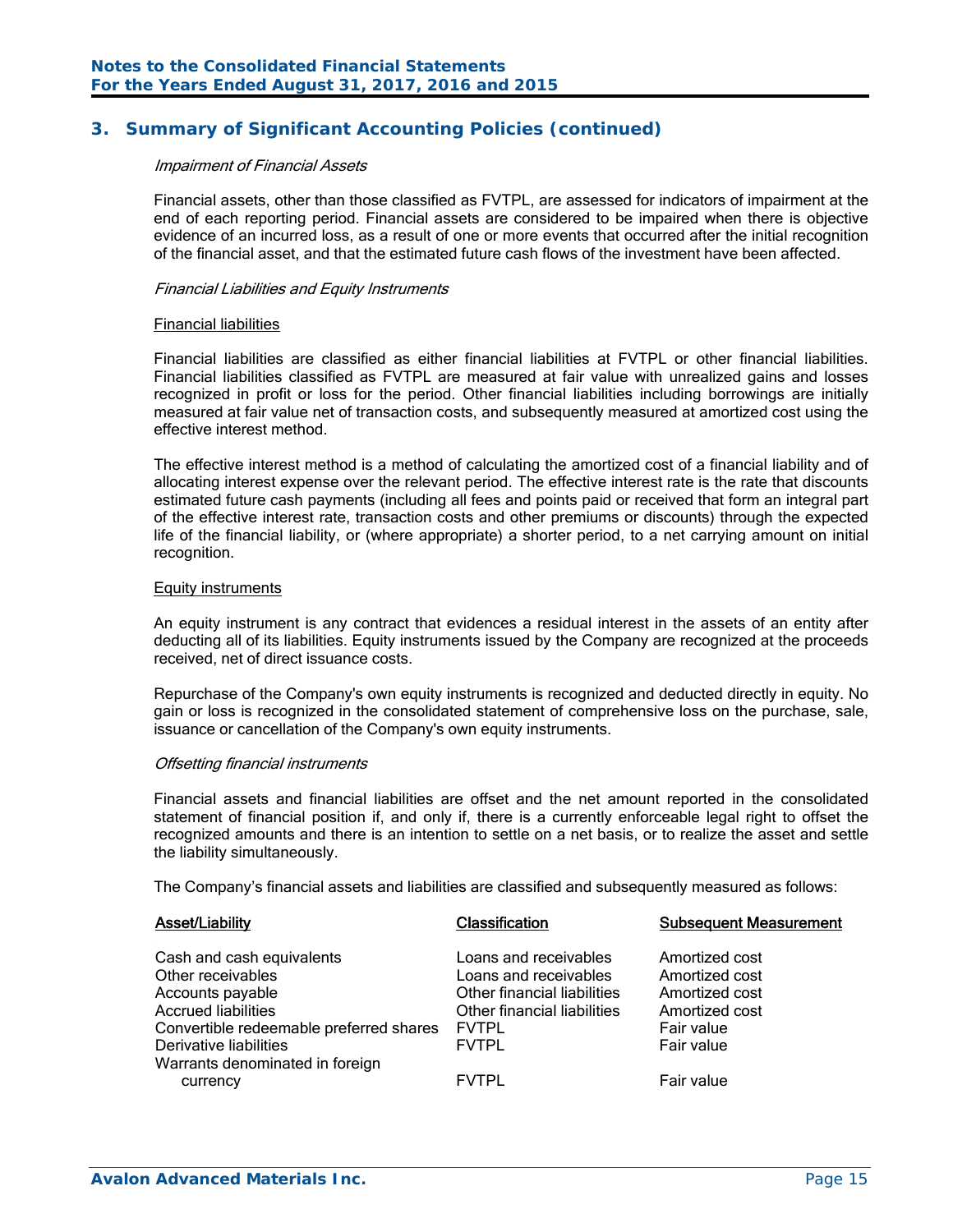#### Impairment of Financial Assets

Financial assets, other than those classified as FVTPL, are assessed for indicators of impairment at the end of each reporting period. Financial assets are considered to be impaired when there is objective evidence of an incurred loss, as a result of one or more events that occurred after the initial recognition of the financial asset, and that the estimated future cash flows of the investment have been affected.

#### Financial Liabilities and Equity Instruments

#### Financial liabilities

Financial liabilities are classified as either financial liabilities at FVTPL or other financial liabilities. Financial liabilities classified as FVTPL are measured at fair value with unrealized gains and losses recognized in profit or loss for the period. Other financial liabilities including borrowings are initially measured at fair value net of transaction costs, and subsequently measured at amortized cost using the effective interest method.

The effective interest method is a method of calculating the amortized cost of a financial liability and of allocating interest expense over the relevant period. The effective interest rate is the rate that discounts estimated future cash payments (including all fees and points paid or received that form an integral part of the effective interest rate, transaction costs and other premiums or discounts) through the expected life of the financial liability, or (where appropriate) a shorter period, to a net carrying amount on initial recognition.

#### Equity instruments

An equity instrument is any contract that evidences a residual interest in the assets of an entity after deducting all of its liabilities. Equity instruments issued by the Company are recognized at the proceeds received, net of direct issuance costs.

Repurchase of the Company's own equity instruments is recognized and deducted directly in equity. No gain or loss is recognized in the consolidated statement of comprehensive loss on the purchase, sale, issuance or cancellation of the Company's own equity instruments.

#### Offsetting financial instruments

Financial assets and financial liabilities are offset and the net amount reported in the consolidated statement of financial position if, and only if, there is a currently enforceable legal right to offset the recognized amounts and there is an intention to settle on a net basis, or to realize the asset and settle the liability simultaneously.

The Company's financial assets and liabilities are classified and subsequently measured as follows:

| <b>Asset/Liability</b>                      | <b>Classification</b>       | <b>Subsequent Measurement</b> |
|---------------------------------------------|-----------------------------|-------------------------------|
| Cash and cash equivalents                   | Loans and receivables       | Amortized cost                |
| Other receivables                           | Loans and receivables       | Amortized cost                |
| Accounts payable                            | Other financial liabilities | Amortized cost                |
| <b>Accrued liabilities</b>                  | Other financial liabilities | Amortized cost                |
| Convertible redeemable preferred shares     | <b>FVTPL</b>                | Fair value                    |
| Derivative liabilities                      | <b>FVTPL</b>                | Fair value                    |
| Warrants denominated in foreign<br>currency | <b>FVTPL</b>                | Fair value                    |
|                                             |                             |                               |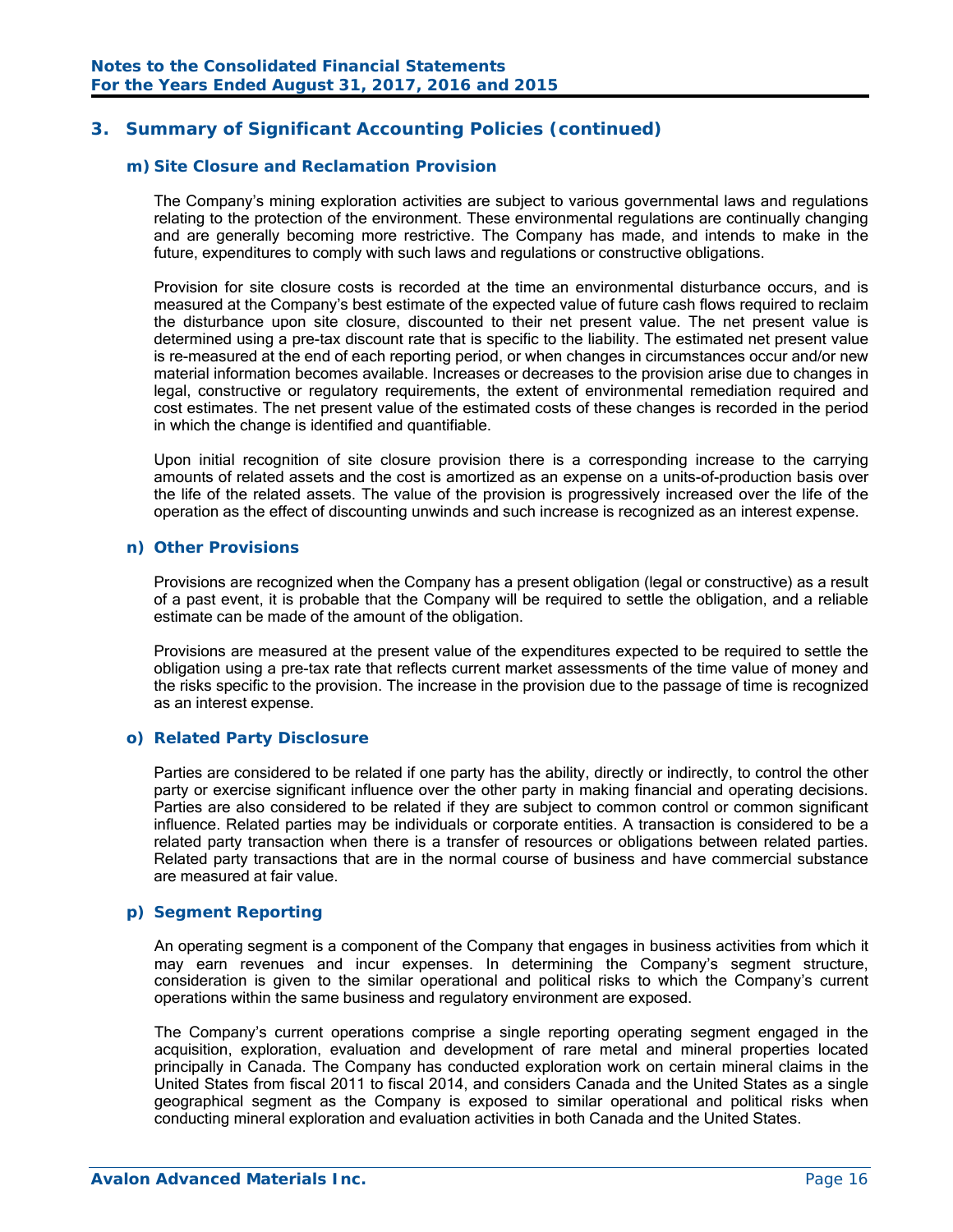#### *m) Site Closure and Reclamation Provision*

The Company's mining exploration activities are subject to various governmental laws and regulations relating to the protection of the environment. These environmental regulations are continually changing and are generally becoming more restrictive. The Company has made, and intends to make in the future, expenditures to comply with such laws and regulations or constructive obligations.

Provision for site closure costs is recorded at the time an environmental disturbance occurs, and is measured at the Company's best estimate of the expected value of future cash flows required to reclaim the disturbance upon site closure, discounted to their net present value. The net present value is determined using a pre-tax discount rate that is specific to the liability. The estimated net present value is re-measured at the end of each reporting period, or when changes in circumstances occur and/or new material information becomes available. Increases or decreases to the provision arise due to changes in legal, constructive or regulatory requirements, the extent of environmental remediation required and cost estimates. The net present value of the estimated costs of these changes is recorded in the period in which the change is identified and quantifiable.

Upon initial recognition of site closure provision there is a corresponding increase to the carrying amounts of related assets and the cost is amortized as an expense on a units-of-production basis over the life of the related assets. The value of the provision is progressively increased over the life of the operation as the effect of discounting unwinds and such increase is recognized as an interest expense.

#### *n) Other Provisions*

 Provisions are recognized when the Company has a present obligation (legal or constructive) as a result of a past event, it is probable that the Company will be required to settle the obligation, and a reliable estimate can be made of the amount of the obligation.

 Provisions are measured at the present value of the expenditures expected to be required to settle the obligation using a pre-tax rate that reflects current market assessments of the time value of money and the risks specific to the provision. The increase in the provision due to the passage of time is recognized as an interest expense.

#### *o) Related Party Disclosure*

 Parties are considered to be related if one party has the ability, directly or indirectly, to control the other party or exercise significant influence over the other party in making financial and operating decisions. Parties are also considered to be related if they are subject to common control or common significant influence. Related parties may be individuals or corporate entities. A transaction is considered to be a related party transaction when there is a transfer of resources or obligations between related parties. Related party transactions that are in the normal course of business and have commercial substance are measured at fair value.

#### *p) Segment Reporting*

An operating segment is a component of the Company that engages in business activities from which it may earn revenues and incur expenses. In determining the Company's segment structure, consideration is given to the similar operational and political risks to which the Company's current operations within the same business and regulatory environment are exposed.

The Company's current operations comprise a single reporting operating segment engaged in the acquisition, exploration, evaluation and development of rare metal and mineral properties located principally in Canada. The Company has conducted exploration work on certain mineral claims in the United States from fiscal 2011 to fiscal 2014, and considers Canada and the United States as a single geographical segment as the Company is exposed to similar operational and political risks when conducting mineral exploration and evaluation activities in both Canada and the United States.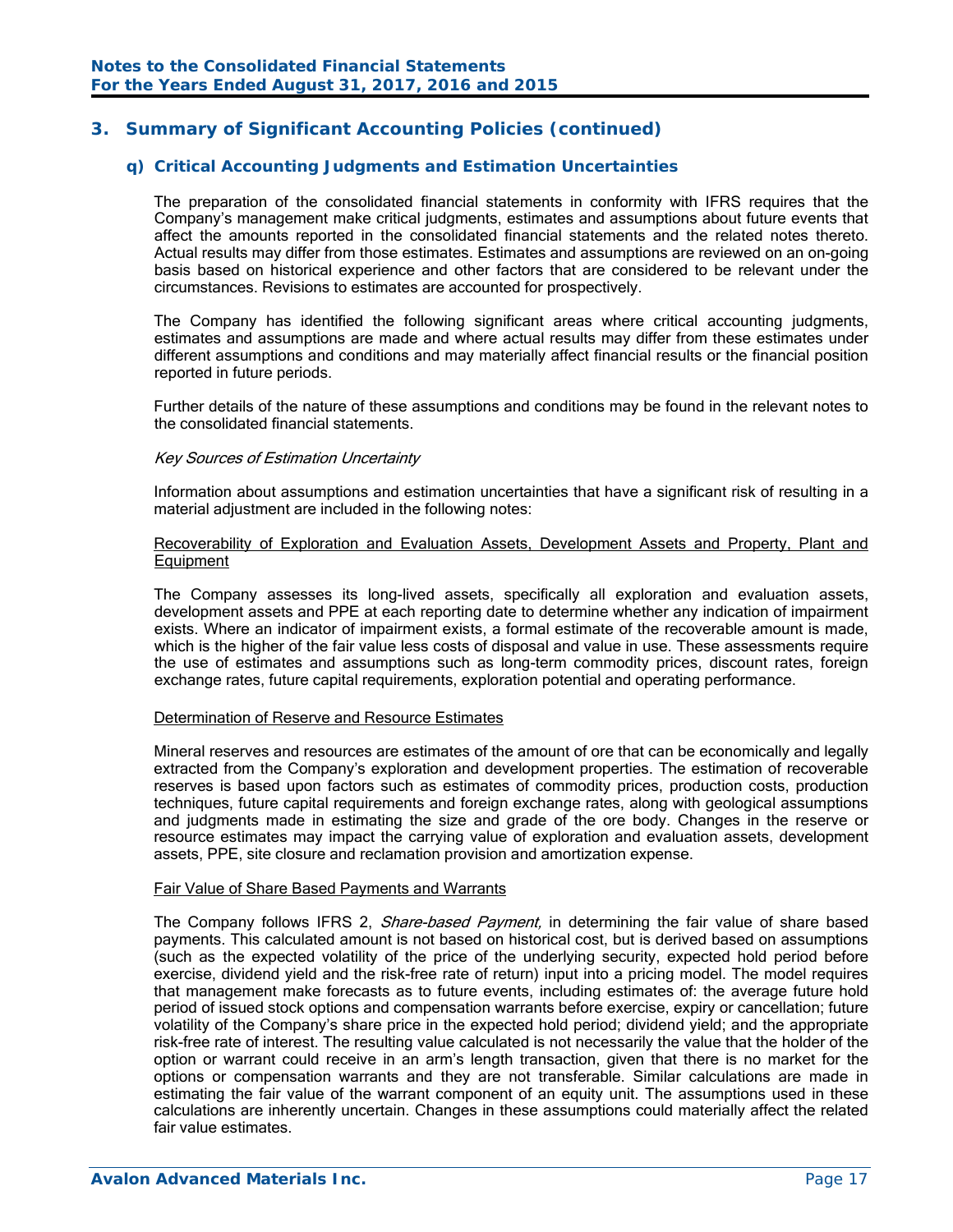#### *q) Critical Accounting Judgments and Estimation Uncertainties*

 The preparation of the consolidated financial statements in conformity with IFRS requires that the Company's management make critical judgments, estimates and assumptions about future events that affect the amounts reported in the consolidated financial statements and the related notes thereto. Actual results may differ from those estimates. Estimates and assumptions are reviewed on an on-going basis based on historical experience and other factors that are considered to be relevant under the circumstances. Revisions to estimates are accounted for prospectively.

 The Company has identified the following significant areas where critical accounting judgments, estimates and assumptions are made and where actual results may differ from these estimates under different assumptions and conditions and may materially affect financial results or the financial position reported in future periods.

 Further details of the nature of these assumptions and conditions may be found in the relevant notes to the consolidated financial statements.

#### Key Sources of Estimation Uncertainty

Information about assumptions and estimation uncertainties that have a significant risk of resulting in a material adjustment are included in the following notes:

#### Recoverability of Exploration and Evaluation Assets, Development Assets and Property, Plant and **Equipment**

 The Company assesses its long-lived assets, specifically all exploration and evaluation assets, development assets and PPE at each reporting date to determine whether any indication of impairment exists. Where an indicator of impairment exists, a formal estimate of the recoverable amount is made, which is the higher of the fair value less costs of disposal and value in use. These assessments require the use of estimates and assumptions such as long-term commodity prices, discount rates, foreign exchange rates, future capital requirements, exploration potential and operating performance.

#### Determination of Reserve and Resource Estimates

Mineral reserves and resources are estimates of the amount of ore that can be economically and legally extracted from the Company's exploration and development properties. The estimation of recoverable reserves is based upon factors such as estimates of commodity prices, production costs, production techniques, future capital requirements and foreign exchange rates, along with geological assumptions and judgments made in estimating the size and grade of the ore body. Changes in the reserve or resource estimates may impact the carrying value of exploration and evaluation assets, development assets, PPE, site closure and reclamation provision and amortization expense.

#### Fair Value of Share Based Payments and Warrants

The Company follows IFRS 2, Share-based Payment, in determining the fair value of share based payments. This calculated amount is not based on historical cost, but is derived based on assumptions (such as the expected volatility of the price of the underlying security, expected hold period before exercise, dividend yield and the risk-free rate of return) input into a pricing model. The model requires that management make forecasts as to future events, including estimates of: the average future hold period of issued stock options and compensation warrants before exercise, expiry or cancellation; future volatility of the Company's share price in the expected hold period; dividend yield; and the appropriate risk-free rate of interest. The resulting value calculated is not necessarily the value that the holder of the option or warrant could receive in an arm's length transaction, given that there is no market for the options or compensation warrants and they are not transferable. Similar calculations are made in estimating the fair value of the warrant component of an equity unit. The assumptions used in these calculations are inherently uncertain. Changes in these assumptions could materially affect the related fair value estimates.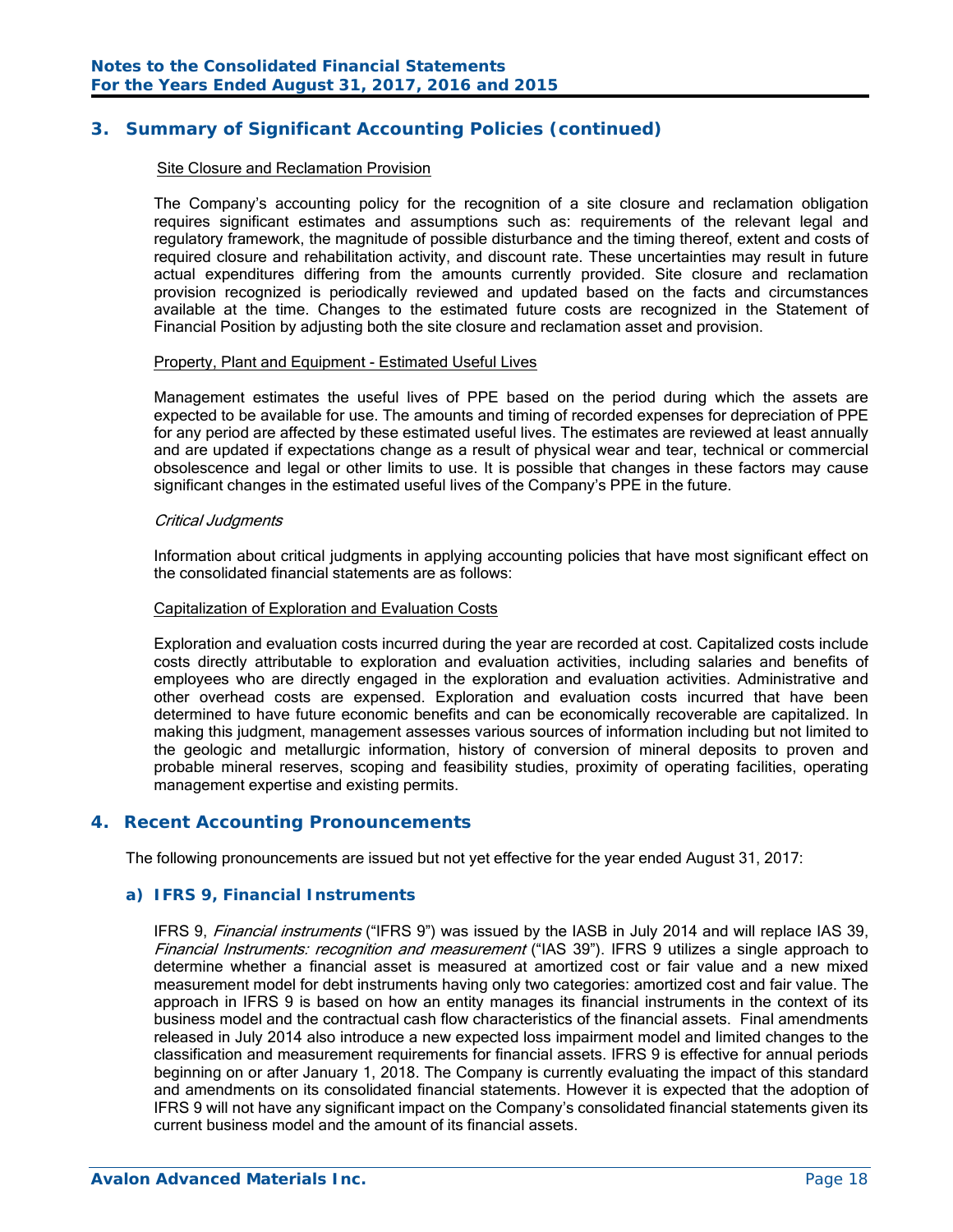#### Site Closure and Reclamation Provision

The Company's accounting policy for the recognition of a site closure and reclamation obligation requires significant estimates and assumptions such as: requirements of the relevant legal and regulatory framework, the magnitude of possible disturbance and the timing thereof, extent and costs of required closure and rehabilitation activity, and discount rate. These uncertainties may result in future actual expenditures differing from the amounts currently provided. Site closure and reclamation provision recognized is periodically reviewed and updated based on the facts and circumstances available at the time. Changes to the estimated future costs are recognized in the Statement of Financial Position by adjusting both the site closure and reclamation asset and provision.

#### Property, Plant and Equipment - Estimated Useful Lives

Management estimates the useful lives of PPE based on the period during which the assets are expected to be available for use. The amounts and timing of recorded expenses for depreciation of PPE for any period are affected by these estimated useful lives. The estimates are reviewed at least annually and are updated if expectations change as a result of physical wear and tear, technical or commercial obsolescence and legal or other limits to use. It is possible that changes in these factors may cause significant changes in the estimated useful lives of the Company's PPE in the future.

#### Critical Judgments

Information about critical judgments in applying accounting policies that have most significant effect on the consolidated financial statements are as follows:

#### Capitalization of Exploration and Evaluation Costs

Exploration and evaluation costs incurred during the year are recorded at cost. Capitalized costs include costs directly attributable to exploration and evaluation activities, including salaries and benefits of employees who are directly engaged in the exploration and evaluation activities. Administrative and other overhead costs are expensed. Exploration and evaluation costs incurred that have been determined to have future economic benefits and can be economically recoverable are capitalized. In making this judgment, management assesses various sources of information including but not limited to the geologic and metallurgic information, history of conversion of mineral deposits to proven and probable mineral reserves, scoping and feasibility studies, proximity of operating facilities, operating management expertise and existing permits.

#### **4. Recent Accounting Pronouncements**

The following pronouncements are issued but not yet effective for the year ended August 31, 2017:

#### *a) IFRS 9, Financial Instruments*

IFRS 9, *Financial instruments* ("IFRS 9") was issued by the IASB in July 2014 and will replace IAS 39, Financial Instruments: recognition and measurement ("IAS 39"). IFRS 9 utilizes a single approach to determine whether a financial asset is measured at amortized cost or fair value and a new mixed measurement model for debt instruments having only two categories: amortized cost and fair value. The approach in IFRS 9 is based on how an entity manages its financial instruments in the context of its business model and the contractual cash flow characteristics of the financial assets. Final amendments released in July 2014 also introduce a new expected loss impairment model and limited changes to the classification and measurement requirements for financial assets. IFRS 9 is effective for annual periods beginning on or after January 1, 2018. The Company is currently evaluating the impact of this standard and amendments on its consolidated financial statements. However it is expected that the adoption of IFRS 9 will not have any significant impact on the Company's consolidated financial statements given its current business model and the amount of its financial assets.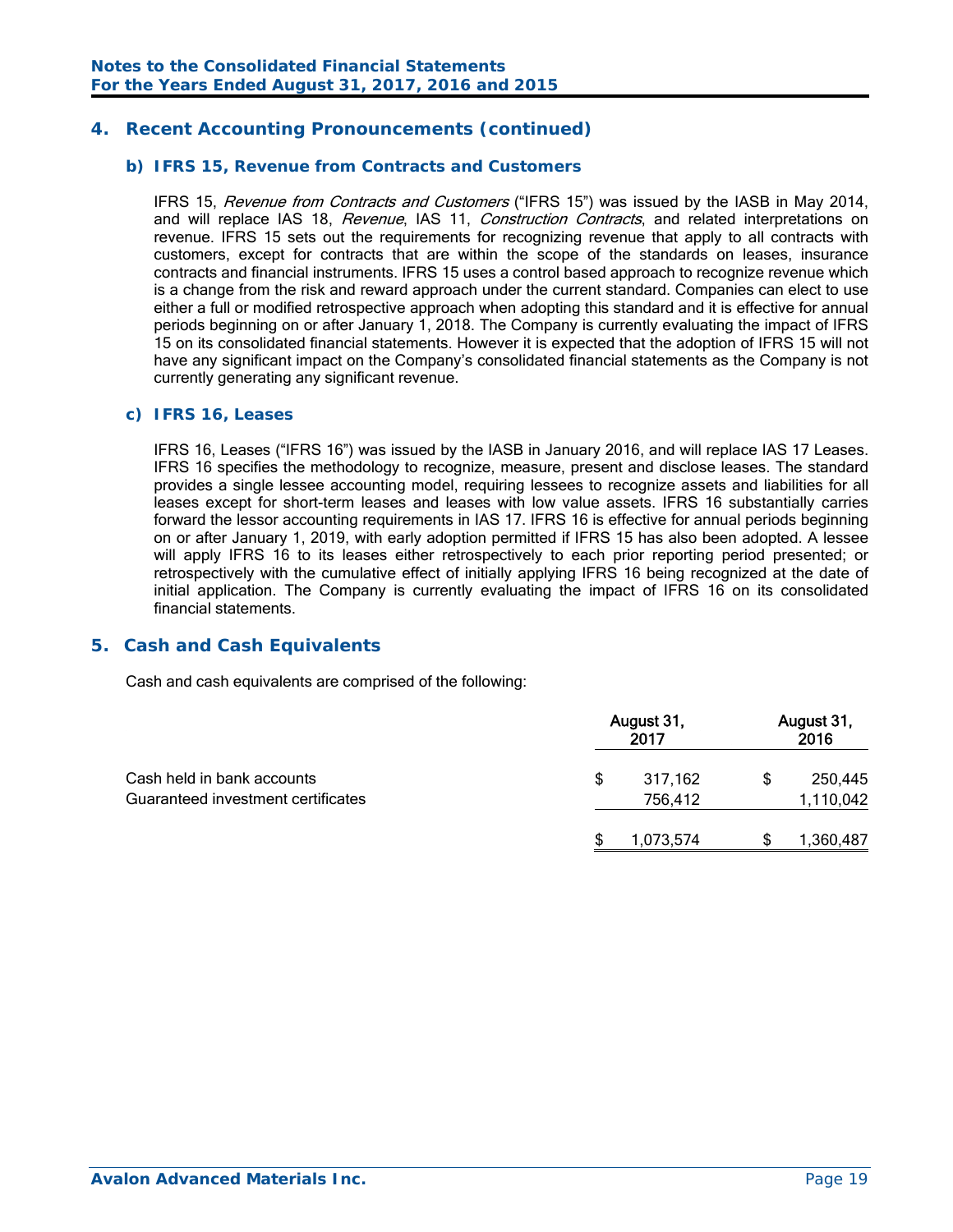# **4. Recent Accounting Pronouncements (continued)**

#### *b) IFRS 15, Revenue from Contracts and Customers*

IFRS 15, Revenue from Contracts and Customers ("IFRS 15") was issued by the IASB in May 2014, and will replace IAS 18, Revenue, IAS 11, Construction Contracts, and related interpretations on revenue. IFRS 15 sets out the requirements for recognizing revenue that apply to all contracts with customers, except for contracts that are within the scope of the standards on leases, insurance contracts and financial instruments. IFRS 15 uses a control based approach to recognize revenue which is a change from the risk and reward approach under the current standard. Companies can elect to use either a full or modified retrospective approach when adopting this standard and it is effective for annual periods beginning on or after January 1, 2018. The Company is currently evaluating the impact of IFRS 15 on its consolidated financial statements. However it is expected that the adoption of IFRS 15 will not have any significant impact on the Company's consolidated financial statements as the Company is not currently generating any significant revenue.

#### *c) IFRS 16, Leases*

 IFRS 16, Leases ("IFRS 16") was issued by the IASB in January 2016, and will replace IAS 17 Leases. IFRS 16 specifies the methodology to recognize, measure, present and disclose leases. The standard provides a single lessee accounting model, requiring lessees to recognize assets and liabilities for all leases except for short-term leases and leases with low value assets. IFRS 16 substantially carries forward the lessor accounting requirements in IAS 17. IFRS 16 is effective for annual periods beginning on or after January 1, 2019, with early adoption permitted if IFRS 15 has also been adopted. A lessee will apply IFRS 16 to its leases either retrospectively to each prior reporting period presented; or retrospectively with the cumulative effect of initially applying IFRS 16 being recognized at the date of initial application. The Company is currently evaluating the impact of IFRS 16 on its consolidated financial statements.

#### **5. Cash and Cash Equivalents**

Cash and cash equivalents are comprised of the following:

|                                    |    | August 31,<br>2017 |  |           |  |
|------------------------------------|----|--------------------|--|-----------|--|
| Cash held in bank accounts         | S. | 317,162            |  | 250,445   |  |
| Guaranteed investment certificates |    | 756,412            |  | 1,110,042 |  |
|                                    |    | 1,073,574          |  | 1,360,487 |  |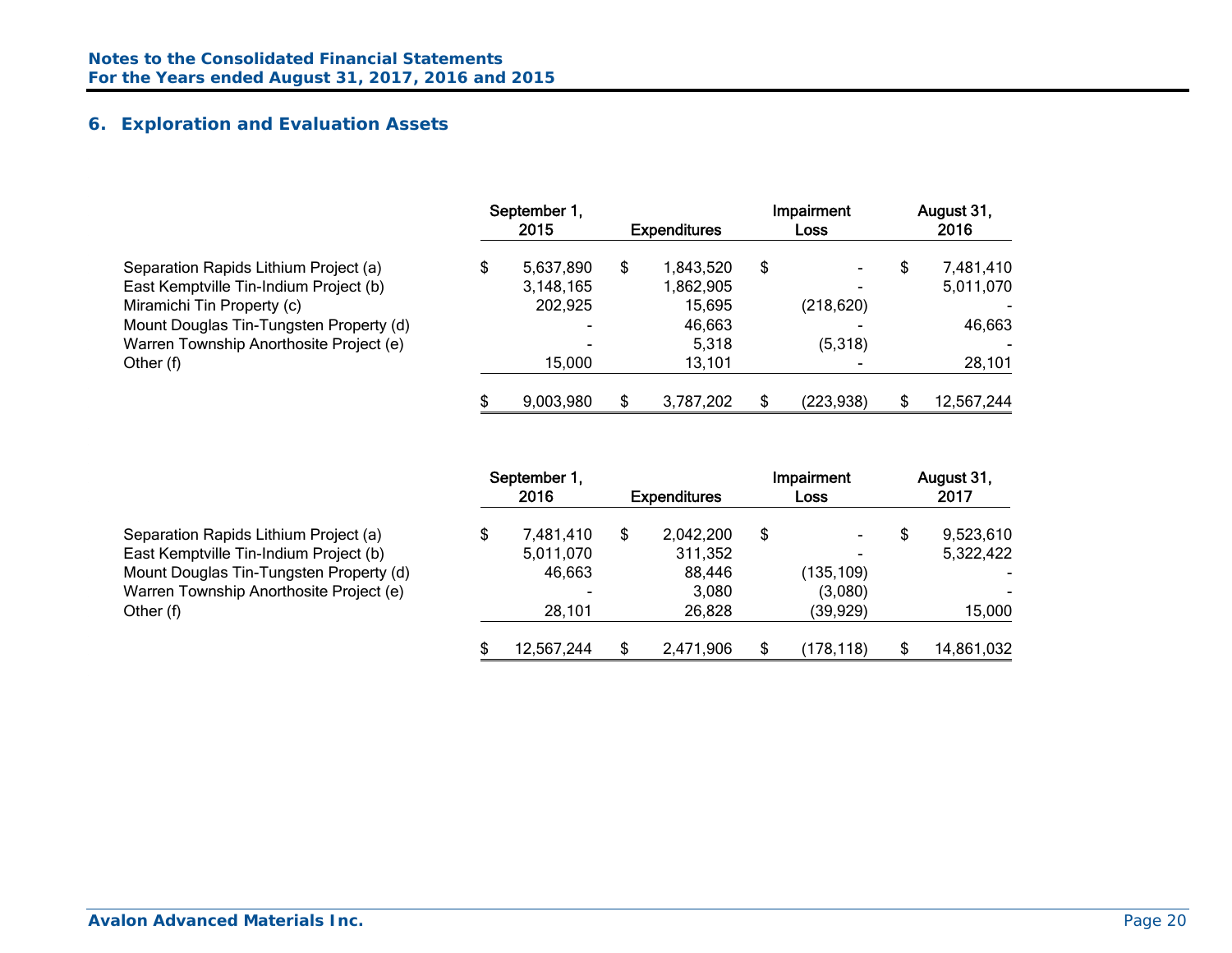# **6. Exploration and Evaluation Assets**

|                                         |   | September 1,<br>2015 |   | <b>Expenditures</b> |    | Impairment<br>Loss |   | August 31,<br>2016 |
|-----------------------------------------|---|----------------------|---|---------------------|----|--------------------|---|--------------------|
| Separation Rapids Lithium Project (a)   | S | 5,637,890            | S | 1,843,520           | \$ |                    | S | 7,481,410          |
| East Kemptville Tin-Indium Project (b)  |   | 3,148,165            |   | 1,862,905           |    |                    |   | 5,011,070          |
| Miramichi Tin Property (c)              |   | 202,925              |   | 15,695              |    | (218, 620)         |   |                    |
| Mount Douglas Tin-Tungsten Property (d) |   |                      |   | 46,663              |    |                    |   | 46,663             |
| Warren Township Anorthosite Project (e) |   |                      |   | 5,318               |    | (5,318)            |   |                    |
| Other (f)                               |   | 15,000               |   | 13,101              |    |                    |   | 28,101             |
|                                         |   | 9,003,980            |   | 3,787,202           | S  | (223, 938)         |   | 12,567,244         |

|                                                                                   | September 1,<br>2016 | <b>Expenditures</b> | Impairment<br>Loss           | August 31,<br>2017 |
|-----------------------------------------------------------------------------------|----------------------|---------------------|------------------------------|--------------------|
| Separation Rapids Lithium Project (a)                                             | 7,481,410            | 2,042,200           | \$<br>٠                      | 9,523,610          |
| East Kemptville Tin-Indium Project (b)<br>Mount Douglas Tin-Tungsten Property (d) | 5,011,070<br>46,663  | 311,352<br>88,446   | $\blacksquare$<br>(135, 109) | 5,322,422          |
| Warren Township Anorthosite Project (e)                                           |                      | 3,080               | (3,080)                      |                    |
| Other (f)                                                                         | 28,101               | 26,828              | (39,929)                     | 15,000             |
|                                                                                   | 12,567,244           | 2,471,906           | (178, 118)                   | 14,861,032         |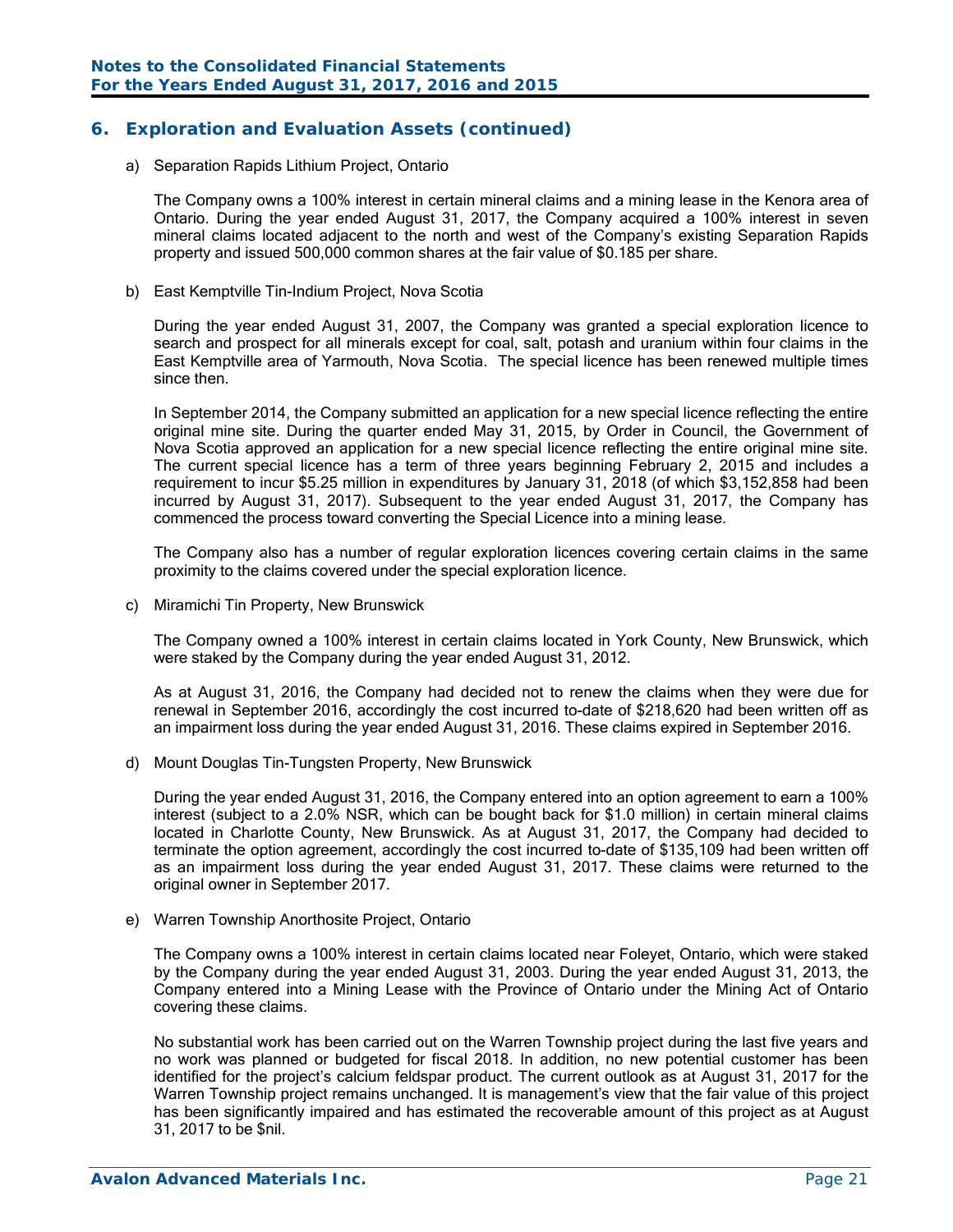# **6. Exploration and Evaluation Assets (continued)**

a) Separation Rapids Lithium Project, Ontario

The Company owns a 100% interest in certain mineral claims and a mining lease in the Kenora area of Ontario. During the year ended August 31, 2017, the Company acquired a 100% interest in seven mineral claims located adjacent to the north and west of the Company's existing Separation Rapids property and issued 500,000 common shares at the fair value of \$0.185 per share.

b) East Kemptville Tin-Indium Project, Nova Scotia

During the year ended August 31, 2007, the Company was granted a special exploration licence to search and prospect for all minerals except for coal, salt, potash and uranium within four claims in the East Kemptville area of Yarmouth, Nova Scotia. The special licence has been renewed multiple times since then.

In September 2014, the Company submitted an application for a new special licence reflecting the entire original mine site. During the quarter ended May 31, 2015, by Order in Council, the Government of Nova Scotia approved an application for a new special licence reflecting the entire original mine site. The current special licence has a term of three years beginning February 2, 2015 and includes a requirement to incur \$5.25 million in expenditures by January 31, 2018 (of which \$3,152,858 had been incurred by August 31, 2017). Subsequent to the year ended August 31, 2017, the Company has commenced the process toward converting the Special Licence into a mining lease.

The Company also has a number of regular exploration licences covering certain claims in the same proximity to the claims covered under the special exploration licence.

c) Miramichi Tin Property, New Brunswick

The Company owned a 100% interest in certain claims located in York County, New Brunswick, which were staked by the Company during the year ended August 31, 2012.

As at August 31, 2016, the Company had decided not to renew the claims when they were due for renewal in September 2016, accordingly the cost incurred to-date of \$218,620 had been written off as an impairment loss during the year ended August 31, 2016. These claims expired in September 2016.

d) Mount Douglas Tin-Tungsten Property, New Brunswick

During the year ended August 31, 2016, the Company entered into an option agreement to earn a 100% interest (subject to a 2.0% NSR, which can be bought back for \$1.0 million) in certain mineral claims located in Charlotte County, New Brunswick. As at August 31, 2017, the Company had decided to terminate the option agreement, accordingly the cost incurred to-date of \$135,109 had been written off as an impairment loss during the year ended August 31, 2017. These claims were returned to the original owner in September 2017.

e) Warren Township Anorthosite Project, Ontario

The Company owns a 100% interest in certain claims located near Foleyet, Ontario, which were staked by the Company during the year ended August 31, 2003. During the year ended August 31, 2013, the Company entered into a Mining Lease with the Province of Ontario under the Mining Act of Ontario covering these claims.

No substantial work has been carried out on the Warren Township project during the last five years and no work was planned or budgeted for fiscal 2018. In addition, no new potential customer has been identified for the project's calcium feldspar product. The current outlook as at August 31, 2017 for the Warren Township project remains unchanged. It is management's view that the fair value of this project has been significantly impaired and has estimated the recoverable amount of this project as at August 31, 2017 to be \$nil.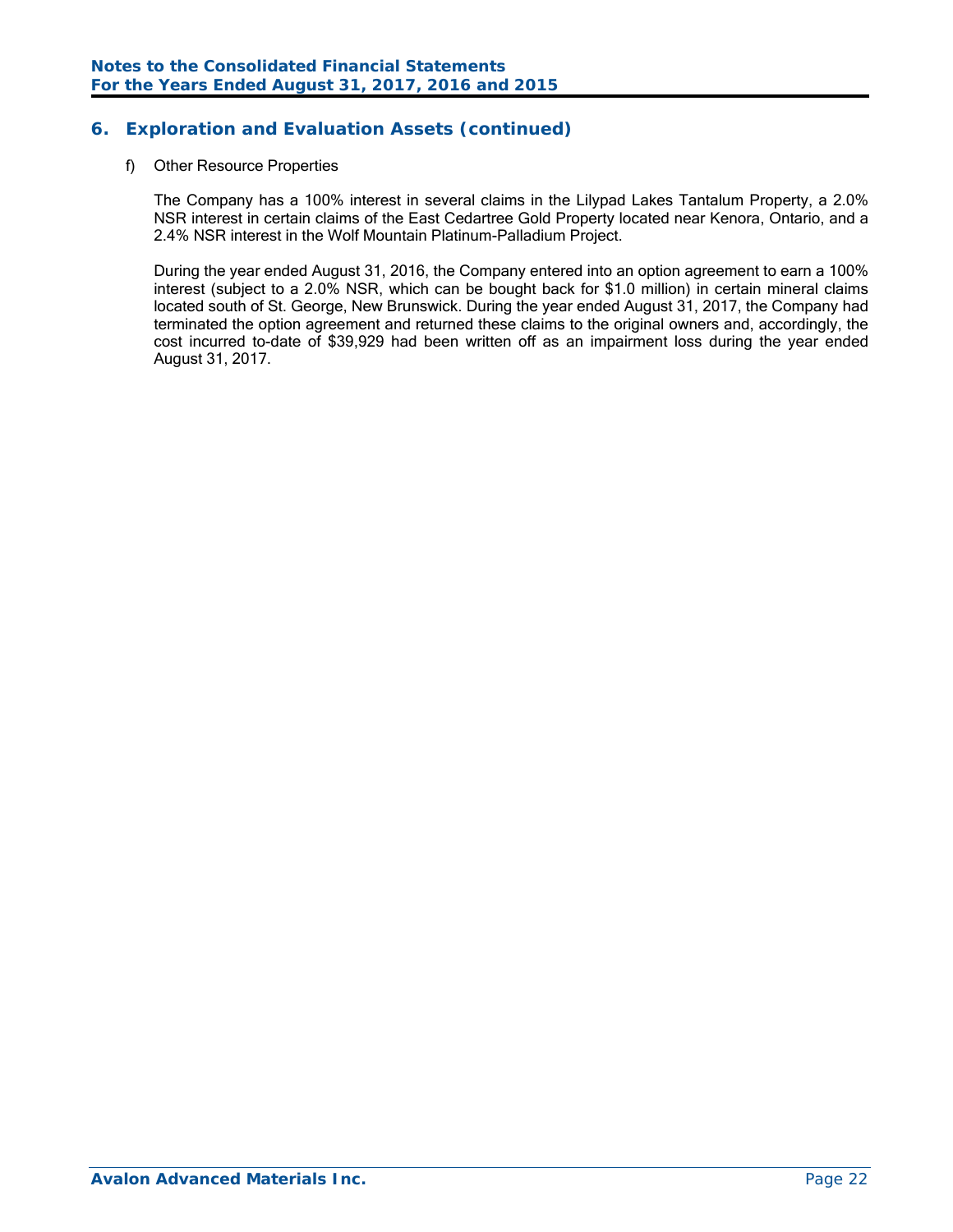# **6. Exploration and Evaluation Assets (continued)**

#### f) Other Resource Properties

The Company has a 100% interest in several claims in the Lilypad Lakes Tantalum Property, a 2.0% NSR interest in certain claims of the East Cedartree Gold Property located near Kenora, Ontario, and a 2.4% NSR interest in the Wolf Mountain Platinum-Palladium Project.

During the year ended August 31, 2016, the Company entered into an option agreement to earn a 100% interest (subject to a 2.0% NSR, which can be bought back for \$1.0 million) in certain mineral claims located south of St. George, New Brunswick. During the year ended August 31, 2017, the Company had terminated the option agreement and returned these claims to the original owners and, accordingly, the cost incurred to-date of \$39,929 had been written off as an impairment loss during the year ended August 31, 2017.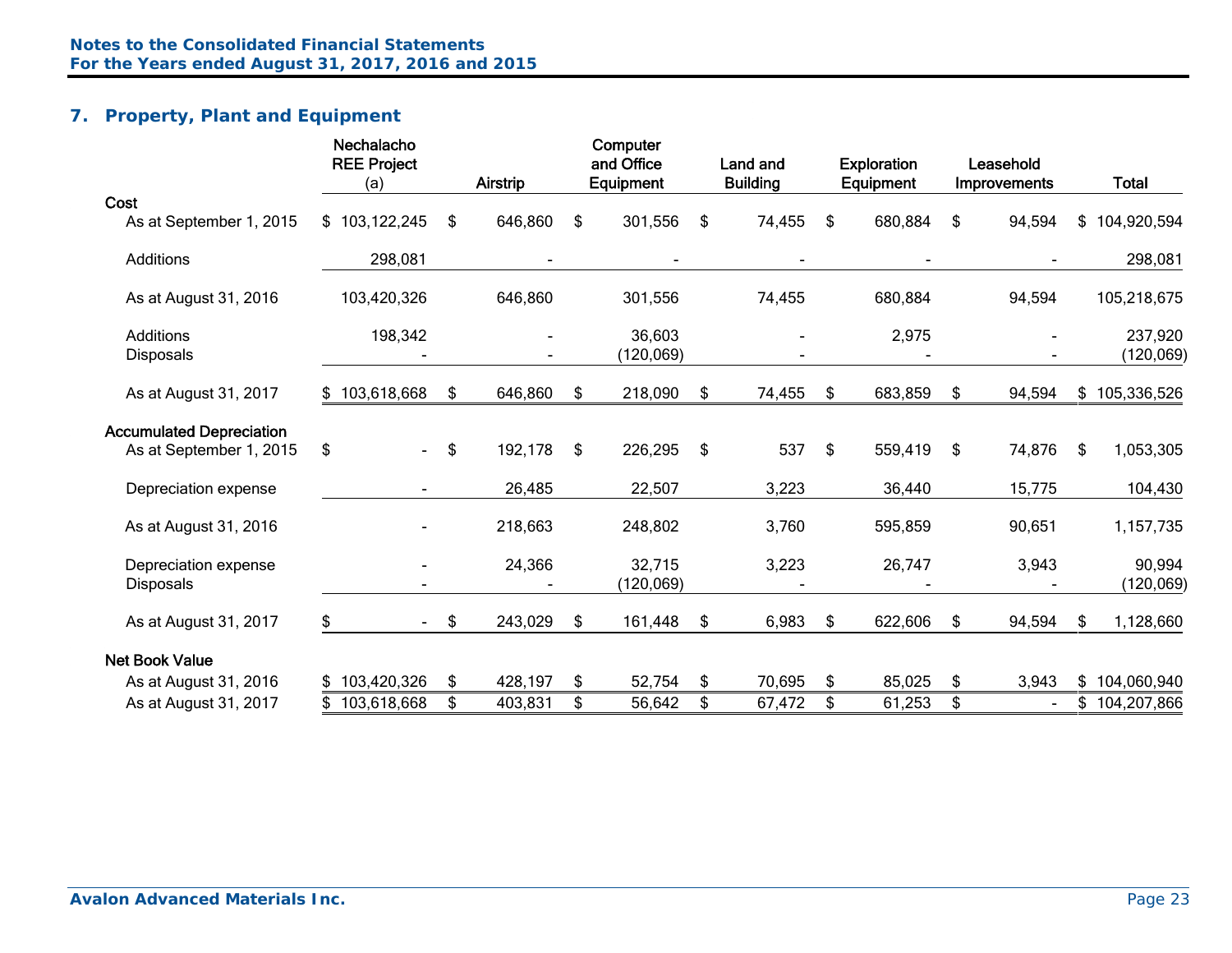# **7. Property, Plant and Equipment**

|                                                            | Nechalacho<br><b>REE Project</b><br>(a) |     | Airstrip |             | Computer<br>and Office<br>Equipment | Land and<br><b>Building</b> | <b>Exploration</b><br><b>Equipment</b> | Leasehold<br>Improvements | <b>Total</b>          |
|------------------------------------------------------------|-----------------------------------------|-----|----------|-------------|-------------------------------------|-----------------------------|----------------------------------------|---------------------------|-----------------------|
| Cost                                                       |                                         |     |          |             |                                     |                             |                                        |                           |                       |
| As at September 1, 2015                                    | \$103,122,245                           | \$  | 646,860  | \$          | 301,556                             | \$<br>74,455                | \$<br>680,884                          | \$<br>94,594              | \$<br>104,920,594     |
| Additions                                                  | 298,081                                 |     |          |             |                                     |                             |                                        |                           | 298,081               |
| As at August 31, 2016                                      | 103,420,326                             |     | 646,860  |             | 301,556                             | 74,455                      | 680,884                                | 94,594                    | 105,218,675           |
| <b>Additions</b><br><b>Disposals</b>                       | 198,342                                 |     |          |             | 36,603<br>(120, 069)                |                             | 2,975                                  |                           | 237,920<br>(120, 069) |
| As at August 31, 2017                                      | \$103,618,668                           | \$  | 646,860  | \$          | 218,090                             | \$<br>74,455                | \$<br>683,859                          | \$<br>94,594              | \$<br>105,336,526     |
| <b>Accumulated Depreciation</b><br>As at September 1, 2015 | \$<br>$\blacksquare$                    | \$  | 192,178  | \$          | 226,295                             | \$<br>537                   | \$<br>559,419                          | \$<br>74,876              | \$<br>1,053,305       |
| Depreciation expense                                       |                                         |     | 26,485   |             | 22,507                              | 3,223                       | 36,440                                 | 15,775                    | 104,430               |
| As at August 31, 2016                                      |                                         |     | 218,663  |             | 248,802                             | 3,760                       | 595,859                                | 90,651                    | 1, 157, 735           |
| Depreciation expense<br><b>Disposals</b>                   |                                         |     | 24,366   |             | 32,715<br>(120, 069)                | 3,223                       | 26,747                                 | 3,943                     | 90,994<br>(120, 069)  |
| As at August 31, 2017                                      | \$<br>$\sim$ 10 $\pm$                   | -\$ | 243,029  | $$^{\circ}$ | 161,448                             | \$<br>6,983                 | \$<br>622,606                          | \$<br>94,594              | \$<br>1,128,660       |
| <b>Net Book Value</b>                                      |                                         |     |          |             |                                     |                             |                                        |                           |                       |
| As at August 31, 2016                                      | \$103,420,326                           | \$  | 428,197  | \$          | 52,754                              | \$<br>70,695                | \$<br>85,025                           | \$<br>3,943               | \$<br>104,060,940     |
| As at August 31, 2017                                      | 103,618,668                             | \$  | 403,831  | \$          | 56,642                              | \$<br>67,472                | \$<br>61,253                           | \$                        | \$<br>104,207,866     |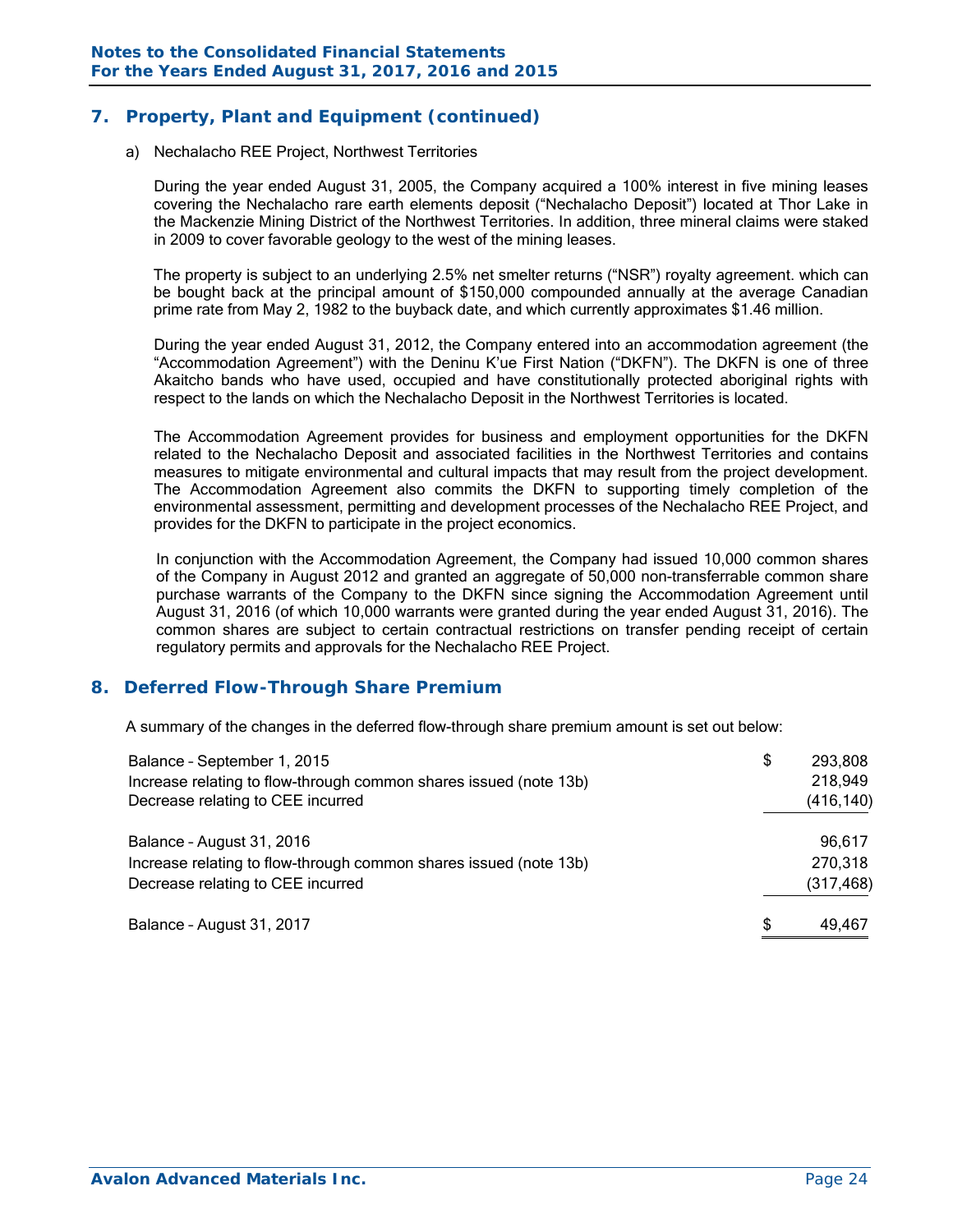# **7. Property, Plant and Equipment (continued)**

a) Nechalacho REE Project, Northwest Territories

During the year ended August 31, 2005, the Company acquired a 100% interest in five mining leases covering the Nechalacho rare earth elements deposit ("Nechalacho Deposit") located at Thor Lake in the Mackenzie Mining District of the Northwest Territories. In addition, three mineral claims were staked in 2009 to cover favorable geology to the west of the mining leases.

The property is subject to an underlying 2.5% net smelter returns ("NSR") royalty agreement. which can be bought back at the principal amount of \$150,000 compounded annually at the average Canadian prime rate from May 2, 1982 to the buyback date, and which currently approximates \$1.46 million.

During the year ended August 31, 2012, the Company entered into an accommodation agreement (the "Accommodation Agreement") with the Deninu K'ue First Nation ("DKFN"). The DKFN is one of three Akaitcho bands who have used, occupied and have constitutionally protected aboriginal rights with respect to the lands on which the Nechalacho Deposit in the Northwest Territories is located.

The Accommodation Agreement provides for business and employment opportunities for the DKFN related to the Nechalacho Deposit and associated facilities in the Northwest Territories and contains measures to mitigate environmental and cultural impacts that may result from the project development. The Accommodation Agreement also commits the DKFN to supporting timely completion of the environmental assessment, permitting and development processes of the Nechalacho REE Project, and provides for the DKFN to participate in the project economics.

In conjunction with the Accommodation Agreement, the Company had issued 10,000 common shares of the Company in August 2012 and granted an aggregate of 50,000 non-transferrable common share purchase warrants of the Company to the DKFN since signing the Accommodation Agreement until August 31, 2016 (of which 10,000 warrants were granted during the year ended August 31, 2016). The common shares are subject to certain contractual restrictions on transfer pending receipt of certain regulatory permits and approvals for the Nechalacho REE Project.

# **8. Deferred Flow-Through Share Premium**

A summary of the changes in the deferred flow-through share premium amount is set out below:

| Balance - September 1, 2015<br>Increase relating to flow-through common shares issued (note 13b)<br>Decrease relating to CEE incurred | \$<br>293,808<br>218,949<br>(416, 140) |
|---------------------------------------------------------------------------------------------------------------------------------------|----------------------------------------|
| Balance - August 31, 2016<br>Increase relating to flow-through common shares issued (note 13b)<br>Decrease relating to CEE incurred   | 96,617<br>270,318<br>(317, 468)        |
| Balance - August 31, 2017                                                                                                             | \$<br>49,467                           |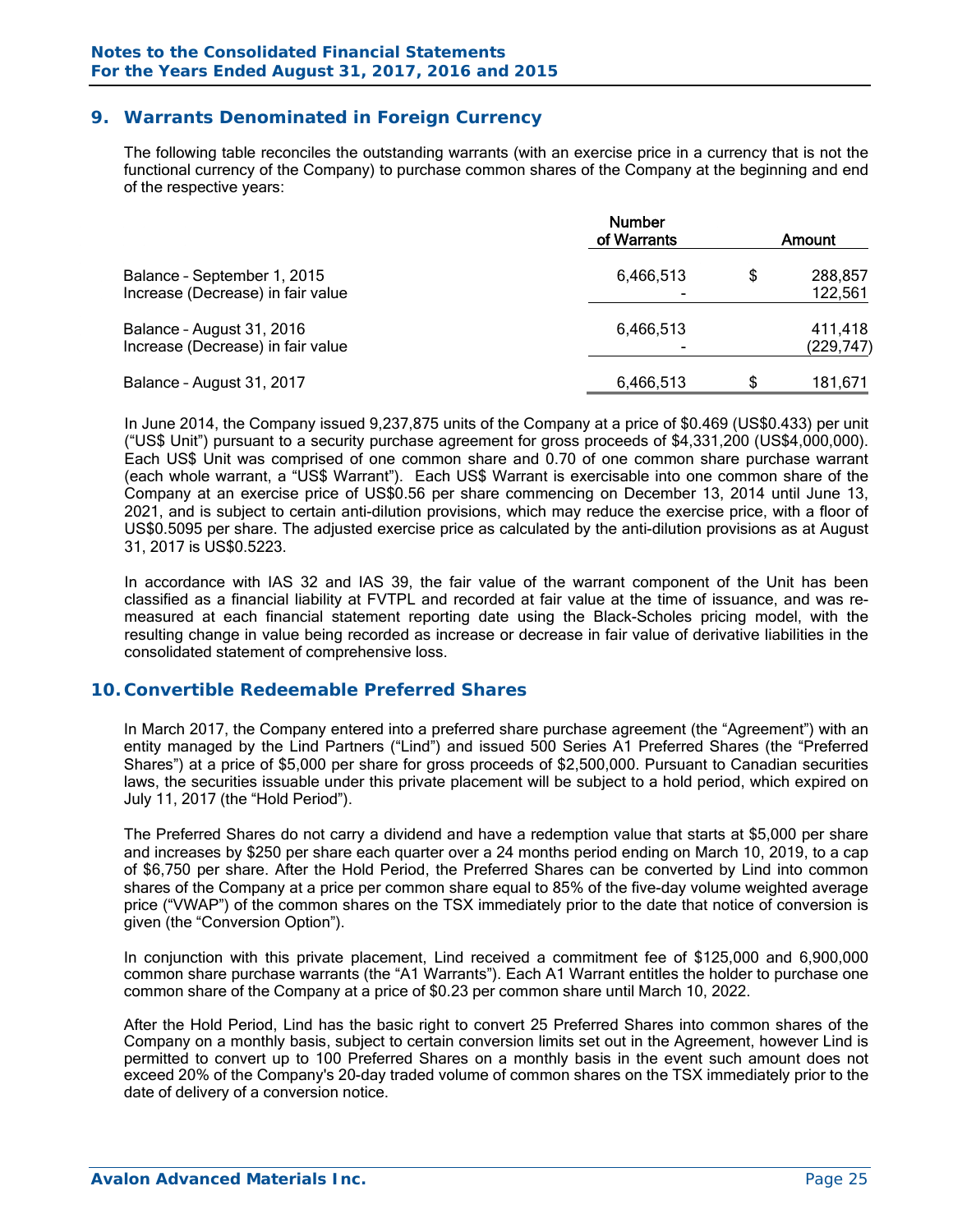#### **9. Warrants Denominated in Foreign Currency**

The following table reconciles the outstanding warrants (with an exercise price in a currency that is not the functional currency of the Company) to purchase common shares of the Company at the beginning and end of the respective years:

|                                                                  | <b>Number</b><br>of Warrants | Amount                   |
|------------------------------------------------------------------|------------------------------|--------------------------|
| Balance - September 1, 2015<br>Increase (Decrease) in fair value | 6,466,513                    | \$<br>288,857<br>122,561 |
| Balance - August 31, 2016<br>Increase (Decrease) in fair value   | 6,466,513                    | 411,418<br>(229, 747)    |
| Balance - August 31, 2017                                        | 6,466,513                    | 181,671                  |

In June 2014, the Company issued 9,237,875 units of the Company at a price of \$0.469 (US\$0.433) per unit ("US\$ Unit") pursuant to a security purchase agreement for gross proceeds of \$4,331,200 (US\$4,000,000). Each US\$ Unit was comprised of one common share and 0.70 of one common share purchase warrant (each whole warrant, a "US\$ Warrant"). Each US\$ Warrant is exercisable into one common share of the Company at an exercise price of US\$0.56 per share commencing on December 13, 2014 until June 13, 2021, and is subject to certain anti-dilution provisions, which may reduce the exercise price, with a floor of US\$0.5095 per share. The adjusted exercise price as calculated by the anti-dilution provisions as at August 31, 2017 is US\$0.5223.

In accordance with IAS 32 and IAS 39, the fair value of the warrant component of the Unit has been classified as a financial liability at FVTPL and recorded at fair value at the time of issuance, and was remeasured at each financial statement reporting date using the Black-Scholes pricing model, with the resulting change in value being recorded as increase or decrease in fair value of derivative liabilities in the consolidated statement of comprehensive loss.

# **10. Convertible Redeemable Preferred Shares**

In March 2017, the Company entered into a preferred share purchase agreement (the "Agreement") with an entity managed by the Lind Partners ("Lind") and issued 500 Series A1 Preferred Shares (the "Preferred Shares") at a price of \$5,000 per share for gross proceeds of \$2,500,000. Pursuant to Canadian securities laws, the securities issuable under this private placement will be subject to a hold period, which expired on July 11, 2017 (the "Hold Period").

The Preferred Shares do not carry a dividend and have a redemption value that starts at \$5,000 per share and increases by \$250 per share each quarter over a 24 months period ending on March 10, 2019, to a cap of \$6,750 per share. After the Hold Period, the Preferred Shares can be converted by Lind into common shares of the Company at a price per common share equal to 85% of the five-day volume weighted average price ("VWAP") of the common shares on the TSX immediately prior to the date that notice of conversion is given (the "Conversion Option").

In conjunction with this private placement, Lind received a commitment fee of \$125,000 and 6,900,000 common share purchase warrants (the "A1 Warrants"). Each A1 Warrant entitles the holder to purchase one common share of the Company at a price of \$0.23 per common share until March 10, 2022.

After the Hold Period, Lind has the basic right to convert 25 Preferred Shares into common shares of the Company on a monthly basis, subject to certain conversion limits set out in the Agreement, however Lind is permitted to convert up to 100 Preferred Shares on a monthly basis in the event such amount does not exceed 20% of the Company's 20-day traded volume of common shares on the TSX immediately prior to the date of delivery of a conversion notice.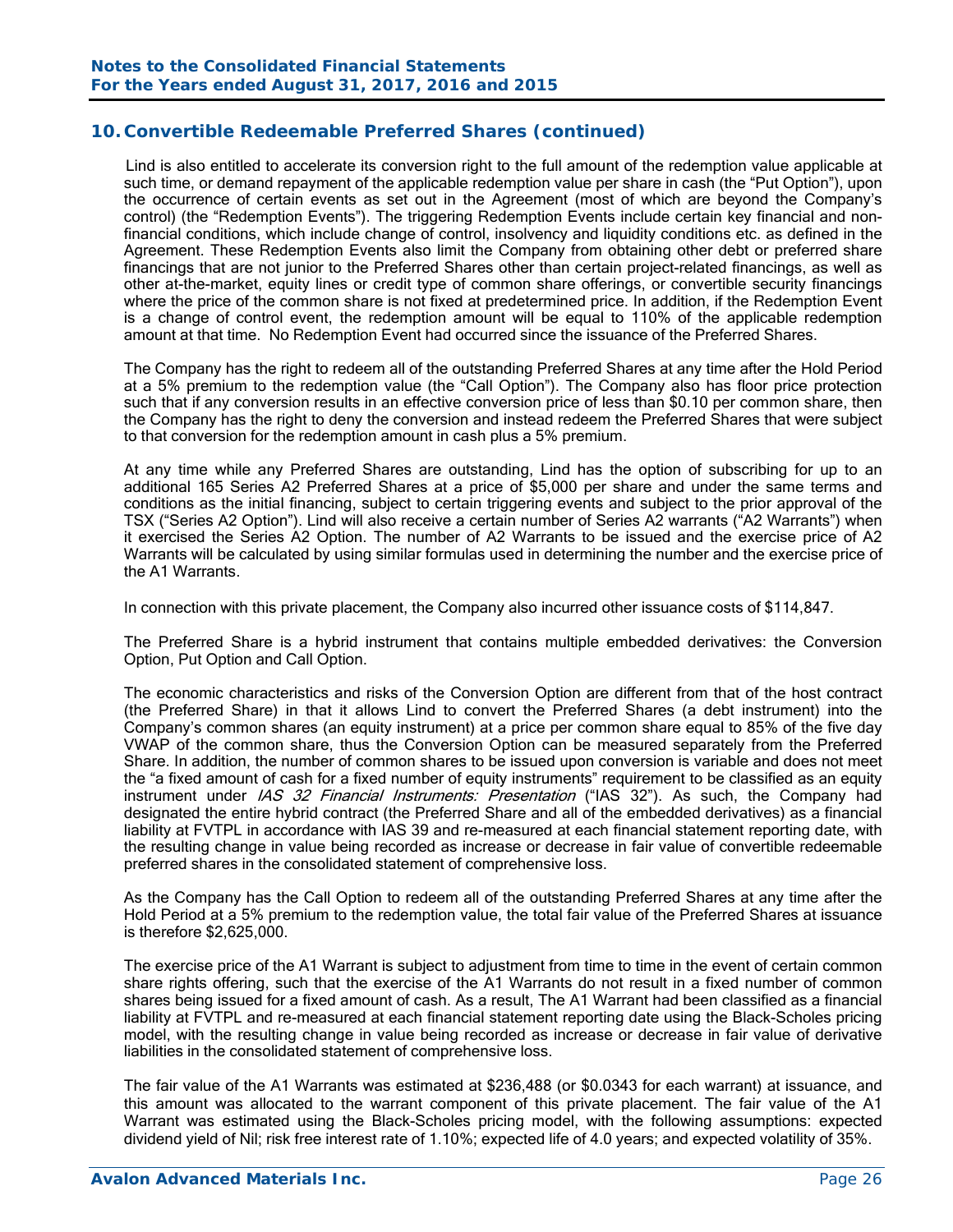# **10. Convertible Redeemable Preferred Shares (continued)**

 Lind is also entitled to accelerate its conversion right to the full amount of the redemption value applicable at such time, or demand repayment of the applicable redemption value per share in cash (the "Put Option"), upon the occurrence of certain events as set out in the Agreement (most of which are beyond the Company's control) (the "Redemption Events"). The triggering Redemption Events include certain key financial and nonfinancial conditions, which include change of control, insolvency and liquidity conditions etc. as defined in the Agreement. These Redemption Events also limit the Company from obtaining other debt or preferred share financings that are not junior to the Preferred Shares other than certain project-related financings, as well as other at-the-market, equity lines or credit type of common share offerings, or convertible security financings where the price of the common share is not fixed at predetermined price. In addition, if the Redemption Event is a change of control event, the redemption amount will be equal to 110% of the applicable redemption amount at that time. No Redemption Event had occurred since the issuance of the Preferred Shares.

The Company has the right to redeem all of the outstanding Preferred Shares at any time after the Hold Period at a 5% premium to the redemption value (the "Call Option"). The Company also has floor price protection such that if any conversion results in an effective conversion price of less than \$0.10 per common share, then the Company has the right to deny the conversion and instead redeem the Preferred Shares that were subject to that conversion for the redemption amount in cash plus a 5% premium.

At any time while any Preferred Shares are outstanding, Lind has the option of subscribing for up to an additional 165 Series A2 Preferred Shares at a price of \$5,000 per share and under the same terms and conditions as the initial financing, subject to certain triggering events and subject to the prior approval of the TSX ("Series A2 Option"). Lind will also receive a certain number of Series A2 warrants ("A2 Warrants") when it exercised the Series A2 Option. The number of A2 Warrants to be issued and the exercise price of A2 Warrants will be calculated by using similar formulas used in determining the number and the exercise price of the A1 Warrants.

In connection with this private placement, the Company also incurred other issuance costs of \$114,847.

The Preferred Share is a hybrid instrument that contains multiple embedded derivatives: the Conversion Option, Put Option and Call Option.

The economic characteristics and risks of the Conversion Option are different from that of the host contract (the Preferred Share) in that it allows Lind to convert the Preferred Shares (a debt instrument) into the Company's common shares (an equity instrument) at a price per common share equal to 85% of the five day VWAP of the common share, thus the Conversion Option can be measured separately from the Preferred Share. In addition, the number of common shares to be issued upon conversion is variable and does not meet the "a fixed amount of cash for a fixed number of equity instruments" requirement to be classified as an equity instrument under IAS 32 Financial Instruments: Presentation ("IAS 32"). As such, the Company had designated the entire hybrid contract (the Preferred Share and all of the embedded derivatives) as a financial liability at FVTPL in accordance with IAS 39 and re-measured at each financial statement reporting date, with the resulting change in value being recorded as increase or decrease in fair value of convertible redeemable preferred shares in the consolidated statement of comprehensive loss.

As the Company has the Call Option to redeem all of the outstanding Preferred Shares at any time after the Hold Period at a 5% premium to the redemption value, the total fair value of the Preferred Shares at issuance is therefore \$2,625,000.

The exercise price of the A1 Warrant is subject to adjustment from time to time in the event of certain common share rights offering, such that the exercise of the A1 Warrants do not result in a fixed number of common shares being issued for a fixed amount of cash. As a result, The A1 Warrant had been classified as a financial liability at FVTPL and re-measured at each financial statement reporting date using the Black-Scholes pricing model, with the resulting change in value being recorded as increase or decrease in fair value of derivative liabilities in the consolidated statement of comprehensive loss.

 The fair value of the A1 Warrants was estimated at \$236,488 (or \$0.0343 for each warrant) at issuance, and this amount was allocated to the warrant component of this private placement. The fair value of the A1 Warrant was estimated using the Black-Scholes pricing model, with the following assumptions: expected dividend yield of Nil; risk free interest rate of 1.10%; expected life of 4.0 years; and expected volatility of 35%.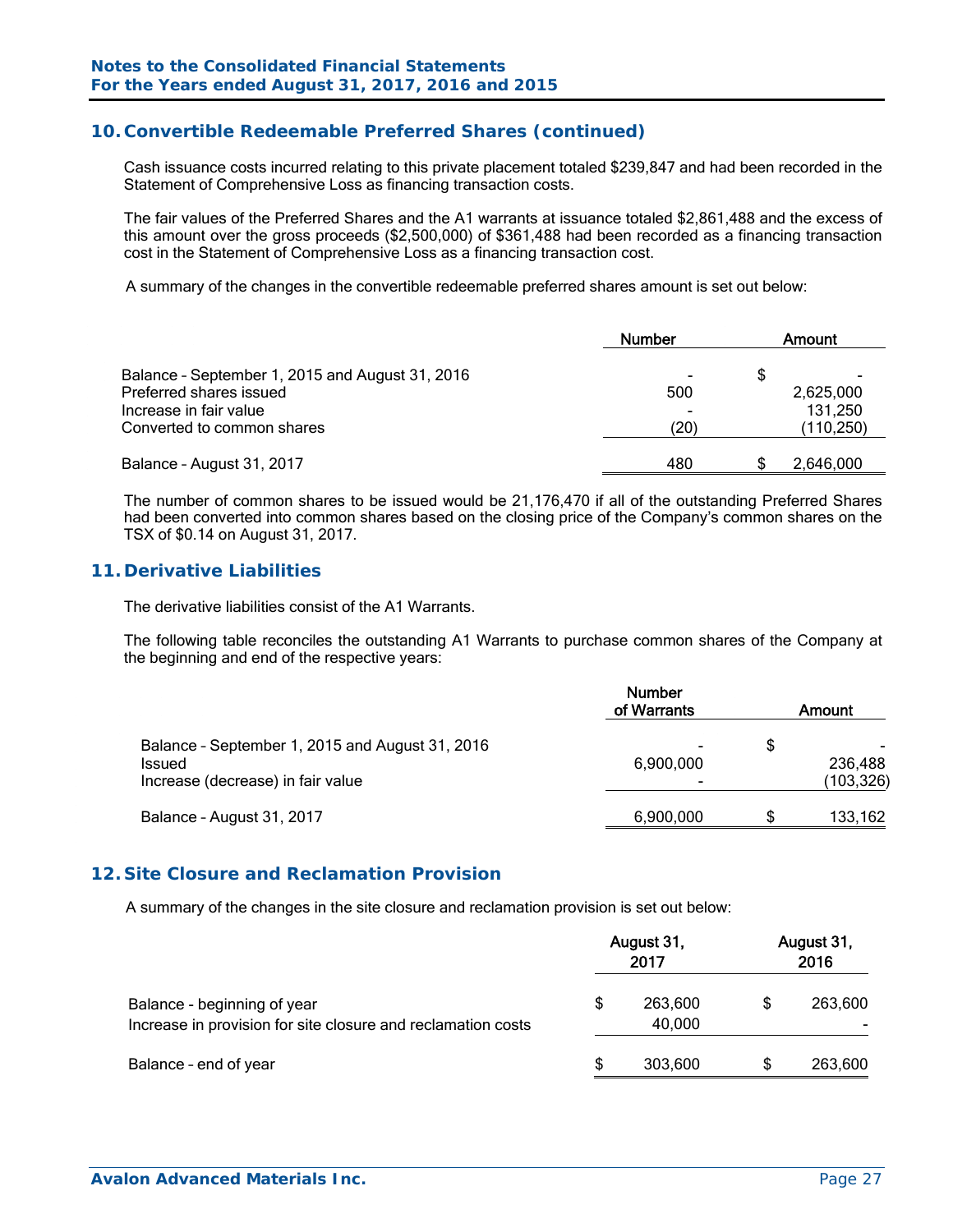# **10. Convertible Redeemable Preferred Shares (continued)**

Cash issuance costs incurred relating to this private placement totaled \$239,847 and had been recorded in the Statement of Comprehensive Loss as financing transaction costs.

The fair values of the Preferred Shares and the A1 warrants at issuance totaled \$2,861,488 and the excess of this amount over the gross proceeds (\$2,500,000) of \$361,488 had been recorded as a financing transaction cost in the Statement of Comprehensive Loss as a financing transaction cost.

A summary of the changes in the convertible redeemable preferred shares amount is set out below:

|                                                 | <b>Number</b> | Amount |            |  |
|-------------------------------------------------|---------------|--------|------------|--|
| Balance - September 1, 2015 and August 31, 2016 | ۰             |        | -          |  |
| Preferred shares issued                         | 500           |        | 2,625,000  |  |
| Increase in fair value                          | ٠             |        | 131,250    |  |
| Converted to common shares                      | (20)          |        | (110, 250) |  |
| Balance - August 31, 2017                       | 480           |        | 2,646,000  |  |

The number of common shares to be issued would be 21,176,470 if all of the outstanding Preferred Shares had been converted into common shares based on the closing price of the Company's common shares on the TSX of \$0.14 on August 31, 2017.

#### **11. Derivative Liabilities**

The derivative liabilities consist of the A1 Warrants.

The following table reconciles the outstanding A1 Warrants to purchase common shares of the Company at the beginning and end of the respective years:

|                                                                                                       | <b>Number</b><br>of Warrants |    | Amount               |  |  |
|-------------------------------------------------------------------------------------------------------|------------------------------|----|----------------------|--|--|
| Balance - September 1, 2015 and August 31, 2016<br><b>Issued</b><br>Increase (decrease) in fair value | ۰<br>6,900,000               | \$ | 236,488<br>(103,326) |  |  |
| Balance - August 31, 2017                                                                             | 6,900,000                    | S  | 133,162              |  |  |

#### **12. Site Closure and Reclamation Provision**

A summary of the changes in the site closure and reclamation provision is set out below:

|                                                                                             |   | August 31,<br>2017 | August 31,<br>2016 |         |  |
|---------------------------------------------------------------------------------------------|---|--------------------|--------------------|---------|--|
| Balance - beginning of year<br>Increase in provision for site closure and reclamation costs | S | 263,600<br>40,000  | \$                 | 263,600 |  |
| Balance - end of year                                                                       |   | 303,600            | S                  | 263,600 |  |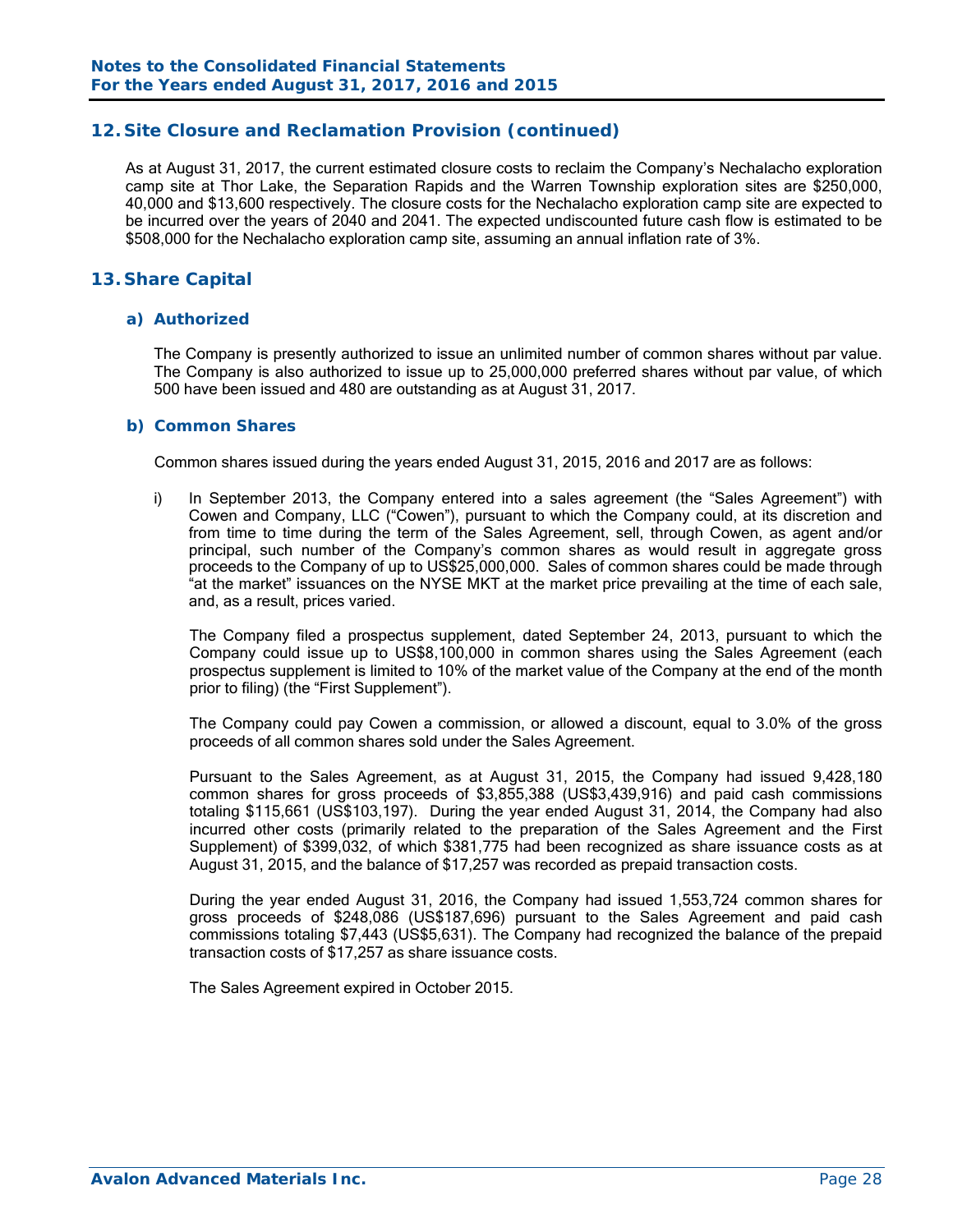#### **12. Site Closure and Reclamation Provision (continued)**

As at August 31, 2017, the current estimated closure costs to reclaim the Company's Nechalacho exploration camp site at Thor Lake, the Separation Rapids and the Warren Township exploration sites are \$250,000, 40,000 and \$13,600 respectively. The closure costs for the Nechalacho exploration camp site are expected to be incurred over the years of 2040 and 2041. The expected undiscounted future cash flow is estimated to be \$508,000 for the Nechalacho exploration camp site, assuming an annual inflation rate of 3%.

#### **13. Share Capital**

#### *a) Authorized*

The Company is presently authorized to issue an unlimited number of common shares without par value. The Company is also authorized to issue up to 25,000,000 preferred shares without par value, of which 500 have been issued and 480 are outstanding as at August 31, 2017.

#### *b) Common Shares*

Common shares issued during the years ended August 31, 2015, 2016 and 2017 are as follows:

i) In September 2013, the Company entered into a sales agreement (the "Sales Agreement") with Cowen and Company, LLC ("Cowen"), pursuant to which the Company could, at its discretion and from time to time during the term of the Sales Agreement, sell, through Cowen, as agent and/or principal, such number of the Company's common shares as would result in aggregate gross proceeds to the Company of up to US\$25,000,000. Sales of common shares could be made through "at the market" issuances on the NYSE MKT at the market price prevailing at the time of each sale, and, as a result, prices varied.

The Company filed a prospectus supplement, dated September 24, 2013, pursuant to which the Company could issue up to US\$8,100,000 in common shares using the Sales Agreement (each prospectus supplement is limited to 10% of the market value of the Company at the end of the month prior to filing) (the "First Supplement").

The Company could pay Cowen a commission, or allowed a discount, equal to 3.0% of the gross proceeds of all common shares sold under the Sales Agreement.

Pursuant to the Sales Agreement, as at August 31, 2015, the Company had issued 9,428,180 common shares for gross proceeds of \$3,855,388 (US\$3,439,916) and paid cash commissions totaling \$115,661 (US\$103,197). During the year ended August 31, 2014, the Company had also incurred other costs (primarily related to the preparation of the Sales Agreement and the First Supplement) of \$399,032, of which \$381,775 had been recognized as share issuance costs as at August 31, 2015, and the balance of \$17,257 was recorded as prepaid transaction costs.

During the year ended August 31, 2016, the Company had issued 1,553,724 common shares for gross proceeds of \$248,086 (US\$187,696) pursuant to the Sales Agreement and paid cash commissions totaling \$7,443 (US\$5,631). The Company had recognized the balance of the prepaid transaction costs of \$17,257 as share issuance costs.

The Sales Agreement expired in October 2015.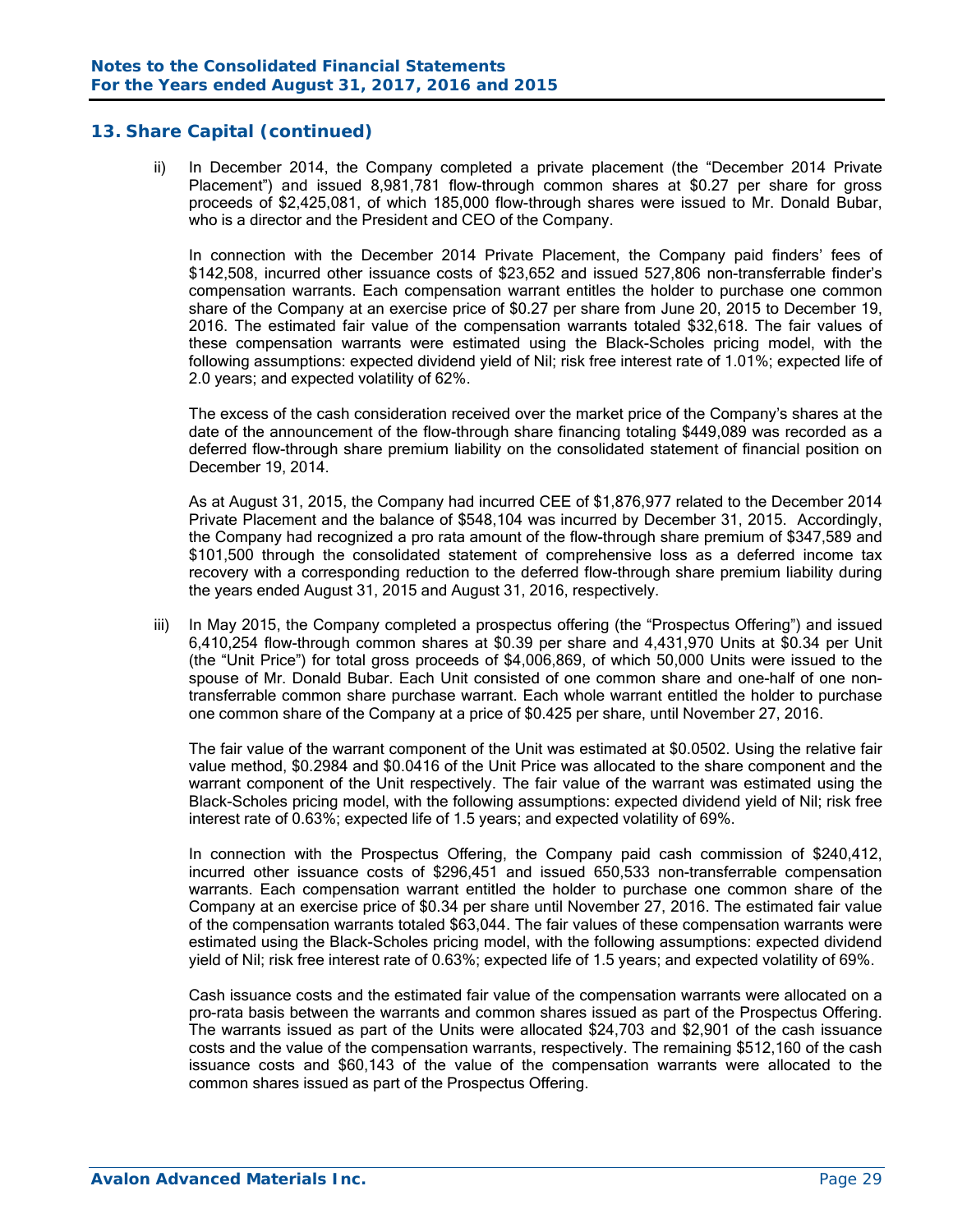ii) In December 2014, the Company completed a private placement (the "December 2014 Private Placement") and issued 8,981,781 flow-through common shares at \$0.27 per share for gross proceeds of \$2,425,081, of which 185,000 flow-through shares were issued to Mr. Donald Bubar, who is a director and the President and CEO of the Company.

 In connection with the December 2014 Private Placement, the Company paid finders' fees of \$142,508, incurred other issuance costs of \$23,652 and issued 527,806 non-transferrable finder's compensation warrants. Each compensation warrant entitles the holder to purchase one common share of the Company at an exercise price of \$0.27 per share from June 20, 2015 to December 19, 2016. The estimated fair value of the compensation warrants totaled \$32,618. The fair values of these compensation warrants were estimated using the Black-Scholes pricing model, with the following assumptions: expected dividend yield of Nil; risk free interest rate of 1.01%; expected life of 2.0 years; and expected volatility of 62%.

 The excess of the cash consideration received over the market price of the Company's shares at the date of the announcement of the flow-through share financing totaling \$449,089 was recorded as a deferred flow-through share premium liability on the consolidated statement of financial position on December 19, 2014.

 As at August 31, 2015, the Company had incurred CEE of \$1,876,977 related to the December 2014 Private Placement and the balance of \$548,104 was incurred by December 31, 2015. Accordingly, the Company had recognized a pro rata amount of the flow-through share premium of \$347,589 and \$101,500 through the consolidated statement of comprehensive loss as a deferred income tax recovery with a corresponding reduction to the deferred flow-through share premium liability during the years ended August 31, 2015 and August 31, 2016, respectively.

iii) In May 2015, the Company completed a prospectus offering (the "Prospectus Offering") and issued 6,410,254 flow-through common shares at \$0.39 per share and 4,431,970 Units at \$0.34 per Unit (the "Unit Price") for total gross proceeds of \$4,006,869, of which 50,000 Units were issued to the spouse of Mr. Donald Bubar. Each Unit consisted of one common share and one-half of one nontransferrable common share purchase warrant. Each whole warrant entitled the holder to purchase one common share of the Company at a price of \$0.425 per share, until November 27, 2016.

The fair value of the warrant component of the Unit was estimated at \$0.0502. Using the relative fair value method, \$0.2984 and \$0.0416 of the Unit Price was allocated to the share component and the warrant component of the Unit respectively. The fair value of the warrant was estimated using the Black-Scholes pricing model, with the following assumptions: expected dividend yield of Nil; risk free interest rate of 0.63%; expected life of 1.5 years; and expected volatility of 69%.

In connection with the Prospectus Offering, the Company paid cash commission of \$240,412, incurred other issuance costs of \$296,451 and issued 650,533 non-transferrable compensation warrants. Each compensation warrant entitled the holder to purchase one common share of the Company at an exercise price of \$0.34 per share until November 27, 2016. The estimated fair value of the compensation warrants totaled \$63,044. The fair values of these compensation warrants were estimated using the Black-Scholes pricing model, with the following assumptions: expected dividend yield of Nil; risk free interest rate of 0.63%; expected life of 1.5 years; and expected volatility of 69%.

Cash issuance costs and the estimated fair value of the compensation warrants were allocated on a pro-rata basis between the warrants and common shares issued as part of the Prospectus Offering. The warrants issued as part of the Units were allocated \$24,703 and \$2,901 of the cash issuance costs and the value of the compensation warrants, respectively. The remaining \$512,160 of the cash issuance costs and \$60,143 of the value of the compensation warrants were allocated to the common shares issued as part of the Prospectus Offering.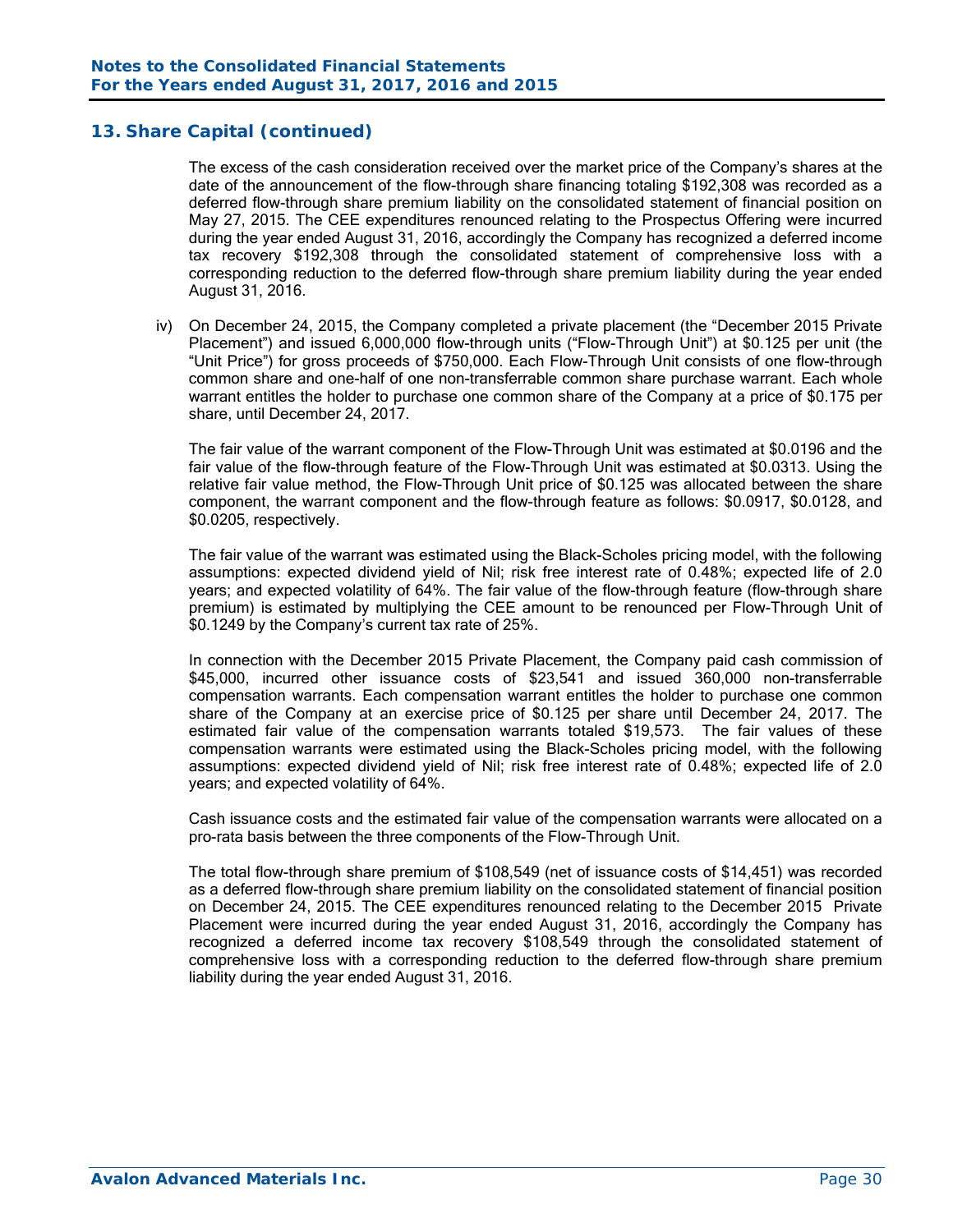The excess of the cash consideration received over the market price of the Company's shares at the date of the announcement of the flow-through share financing totaling \$192,308 was recorded as a deferred flow-through share premium liability on the consolidated statement of financial position on May 27, 2015. The CEE expenditures renounced relating to the Prospectus Offering were incurred during the year ended August 31, 2016, accordingly the Company has recognized a deferred income tax recovery \$192,308 through the consolidated statement of comprehensive loss with a corresponding reduction to the deferred flow-through share premium liability during the year ended August 31, 2016.

iv) On December 24, 2015, the Company completed a private placement (the "December 2015 Private Placement") and issued 6,000,000 flow-through units ("Flow-Through Unit") at \$0.125 per unit (the "Unit Price") for gross proceeds of \$750,000. Each Flow-Through Unit consists of one flow-through common share and one-half of one non-transferrable common share purchase warrant. Each whole warrant entitles the holder to purchase one common share of the Company at a price of \$0.175 per share, until December 24, 2017.

The fair value of the warrant component of the Flow-Through Unit was estimated at \$0.0196 and the fair value of the flow-through feature of the Flow-Through Unit was estimated at \$0.0313. Using the relative fair value method, the Flow-Through Unit price of \$0.125 was allocated between the share component, the warrant component and the flow-through feature as follows: \$0.0917, \$0.0128, and \$0.0205, respectively.

The fair value of the warrant was estimated using the Black-Scholes pricing model, with the following assumptions: expected dividend yield of Nil; risk free interest rate of 0.48%; expected life of 2.0 years; and expected volatility of 64%. The fair value of the flow-through feature (flow-through share premium) is estimated by multiplying the CEE amount to be renounced per Flow-Through Unit of \$0.1249 by the Company's current tax rate of 25%.

In connection with the December 2015 Private Placement, the Company paid cash commission of \$45,000, incurred other issuance costs of \$23,541 and issued 360,000 non-transferrable compensation warrants. Each compensation warrant entitles the holder to purchase one common share of the Company at an exercise price of \$0.125 per share until December 24, 2017. The estimated fair value of the compensation warrants totaled \$19,573. The fair values of these compensation warrants were estimated using the Black-Scholes pricing model, with the following assumptions: expected dividend yield of Nil; risk free interest rate of 0.48%; expected life of 2.0 years; and expected volatility of 64%.

Cash issuance costs and the estimated fair value of the compensation warrants were allocated on a pro-rata basis between the three components of the Flow-Through Unit.

The total flow-through share premium of \$108,549 (net of issuance costs of \$14,451) was recorded as a deferred flow-through share premium liability on the consolidated statement of financial position on December 24, 2015. The CEE expenditures renounced relating to the December 2015 Private Placement were incurred during the year ended August 31, 2016, accordingly the Company has recognized a deferred income tax recovery \$108,549 through the consolidated statement of comprehensive loss with a corresponding reduction to the deferred flow-through share premium liability during the year ended August 31, 2016.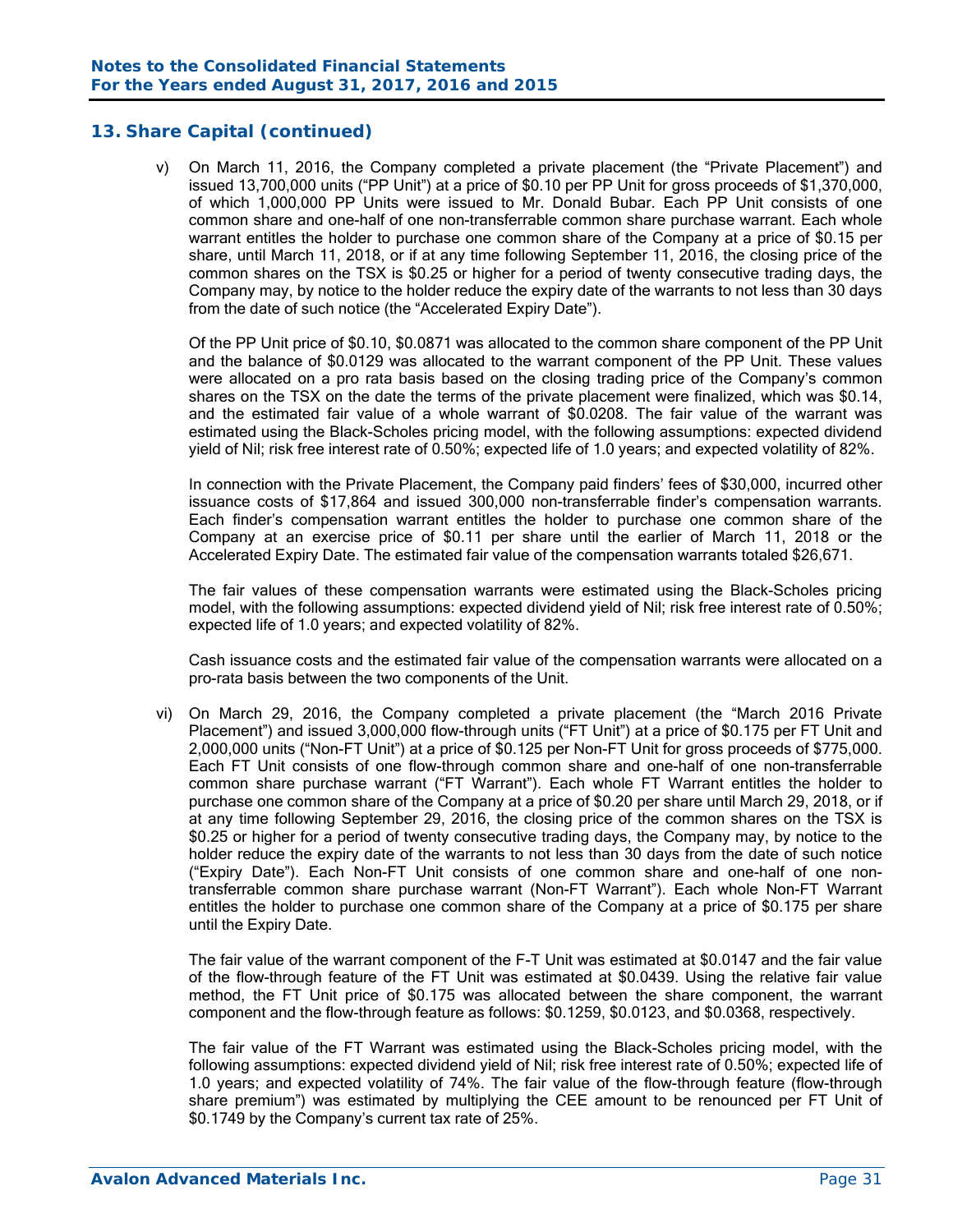v) On March 11, 2016, the Company completed a private placement (the "Private Placement") and issued 13,700,000 units ("PP Unit") at a price of \$0.10 per PP Unit for gross proceeds of \$1,370,000, of which 1,000,000 PP Units were issued to Mr. Donald Bubar. Each PP Unit consists of one common share and one-half of one non-transferrable common share purchase warrant. Each whole warrant entitles the holder to purchase one common share of the Company at a price of \$0.15 per share, until March 11, 2018, or if at any time following September 11, 2016, the closing price of the common shares on the TSX is \$0.25 or higher for a period of twenty consecutive trading days, the Company may, by notice to the holder reduce the expiry date of the warrants to not less than 30 days from the date of such notice (the "Accelerated Expiry Date").

 Of the PP Unit price of \$0.10, \$0.0871 was allocated to the common share component of the PP Unit and the balance of \$0.0129 was allocated to the warrant component of the PP Unit. These values were allocated on a pro rata basis based on the closing trading price of the Company's common shares on the TSX on the date the terms of the private placement were finalized, which was \$0.14, and the estimated fair value of a whole warrant of \$0.0208. The fair value of the warrant was estimated using the Black-Scholes pricing model, with the following assumptions: expected dividend yield of Nil; risk free interest rate of 0.50%; expected life of 1.0 years; and expected volatility of 82%.

In connection with the Private Placement, the Company paid finders' fees of \$30,000, incurred other issuance costs of \$17,864 and issued 300,000 non-transferrable finder's compensation warrants. Each finder's compensation warrant entitles the holder to purchase one common share of the Company at an exercise price of \$0.11 per share until the earlier of March 11, 2018 or the Accelerated Expiry Date. The estimated fair value of the compensation warrants totaled \$26,671.

The fair values of these compensation warrants were estimated using the Black-Scholes pricing model, with the following assumptions: expected dividend yield of Nil; risk free interest rate of 0.50%; expected life of 1.0 years; and expected volatility of 82%.

Cash issuance costs and the estimated fair value of the compensation warrants were allocated on a pro-rata basis between the two components of the Unit.

vi) On March 29, 2016, the Company completed a private placement (the "March 2016 Private Placement") and issued 3,000,000 flow-through units ("FT Unit") at a price of \$0.175 per FT Unit and 2,000,000 units ("Non-FT Unit") at a price of \$0.125 per Non-FT Unit for gross proceeds of \$775,000. Each FT Unit consists of one flow-through common share and one-half of one non-transferrable common share purchase warrant ("FT Warrant"). Each whole FT Warrant entitles the holder to purchase one common share of the Company at a price of \$0.20 per share until March 29, 2018, or if at any time following September 29, 2016, the closing price of the common shares on the TSX is \$0.25 or higher for a period of twenty consecutive trading days, the Company may, by notice to the holder reduce the expiry date of the warrants to not less than 30 days from the date of such notice ("Expiry Date"). Each Non-FT Unit consists of one common share and one-half of one nontransferrable common share purchase warrant (Non-FT Warrant"). Each whole Non-FT Warrant entitles the holder to purchase one common share of the Company at a price of \$0.175 per share until the Expiry Date.

The fair value of the warrant component of the F-T Unit was estimated at \$0.0147 and the fair value of the flow-through feature of the FT Unit was estimated at \$0.0439. Using the relative fair value method, the FT Unit price of \$0.175 was allocated between the share component, the warrant component and the flow-through feature as follows: \$0.1259, \$0.0123, and \$0.0368, respectively.

The fair value of the FT Warrant was estimated using the Black-Scholes pricing model, with the following assumptions: expected dividend yield of Nil; risk free interest rate of 0.50%; expected life of 1.0 years; and expected volatility of 74%. The fair value of the flow-through feature (flow-through share premium") was estimated by multiplying the CEE amount to be renounced per FT Unit of \$0.1749 by the Company's current tax rate of 25%.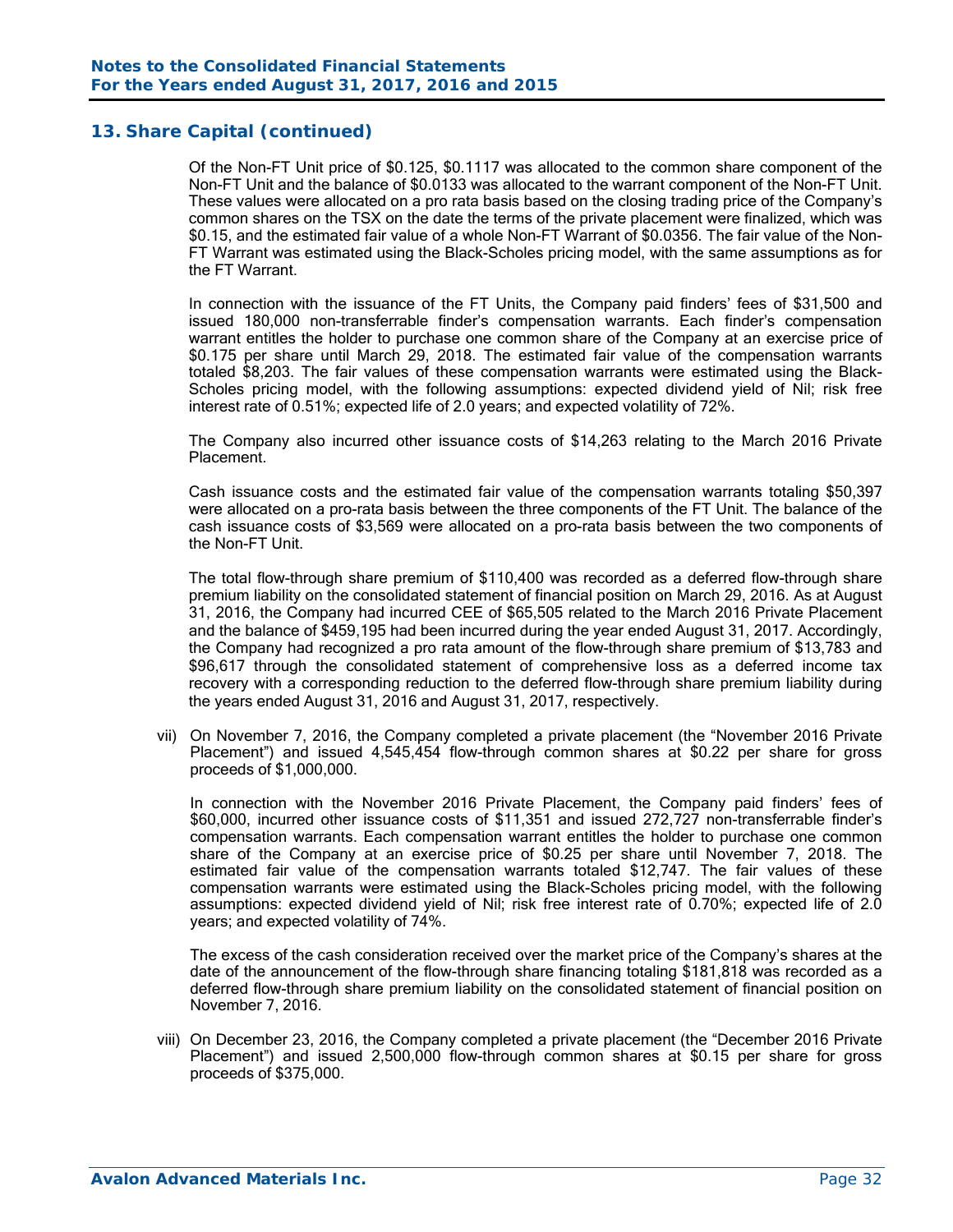Of the Non-FT Unit price of \$0.125, \$0.1117 was allocated to the common share component of the Non-FT Unit and the balance of \$0.0133 was allocated to the warrant component of the Non-FT Unit. These values were allocated on a pro rata basis based on the closing trading price of the Company's common shares on the TSX on the date the terms of the private placement were finalized, which was \$0.15, and the estimated fair value of a whole Non-FT Warrant of \$0.0356. The fair value of the Non-FT Warrant was estimated using the Black-Scholes pricing model, with the same assumptions as for the FT Warrant.

In connection with the issuance of the FT Units, the Company paid finders' fees of \$31,500 and issued 180,000 non-transferrable finder's compensation warrants. Each finder's compensation warrant entitles the holder to purchase one common share of the Company at an exercise price of \$0.175 per share until March 29, 2018. The estimated fair value of the compensation warrants totaled \$8,203. The fair values of these compensation warrants were estimated using the Black-Scholes pricing model, with the following assumptions: expected dividend yield of Nil; risk free interest rate of 0.51%; expected life of 2.0 years; and expected volatility of 72%.

The Company also incurred other issuance costs of \$14,263 relating to the March 2016 Private Placement.

Cash issuance costs and the estimated fair value of the compensation warrants totaling \$50,397 were allocated on a pro-rata basis between the three components of the FT Unit. The balance of the cash issuance costs of \$3,569 were allocated on a pro-rata basis between the two components of the Non-FT Unit.

The total flow-through share premium of \$110,400 was recorded as a deferred flow-through share premium liability on the consolidated statement of financial position on March 29, 2016. As at August 31, 2016, the Company had incurred CEE of \$65,505 related to the March 2016 Private Placement and the balance of \$459,195 had been incurred during the year ended August 31, 2017. Accordingly, the Company had recognized a pro rata amount of the flow-through share premium of \$13,783 and \$96,617 through the consolidated statement of comprehensive loss as a deferred income tax recovery with a corresponding reduction to the deferred flow-through share premium liability during the years ended August 31, 2016 and August 31, 2017, respectively.

vii) On November 7, 2016, the Company completed a private placement (the "November 2016 Private Placement") and issued 4,545,454 flow-through common shares at \$0.22 per share for gross proceeds of \$1,000,000.

In connection with the November 2016 Private Placement, the Company paid finders' fees of \$60,000, incurred other issuance costs of \$11,351 and issued 272,727 non-transferrable finder's compensation warrants. Each compensation warrant entitles the holder to purchase one common share of the Company at an exercise price of \$0.25 per share until November 7, 2018. The estimated fair value of the compensation warrants totaled \$12,747. The fair values of these compensation warrants were estimated using the Black-Scholes pricing model, with the following assumptions: expected dividend yield of Nil; risk free interest rate of 0.70%; expected life of 2.0 years; and expected volatility of 74%.

The excess of the cash consideration received over the market price of the Company's shares at the date of the announcement of the flow-through share financing totaling \$181,818 was recorded as a deferred flow-through share premium liability on the consolidated statement of financial position on November 7, 2016.

viii) On December 23, 2016, the Company completed a private placement (the "December 2016 Private Placement") and issued 2,500,000 flow-through common shares at \$0.15 per share for gross proceeds of \$375,000.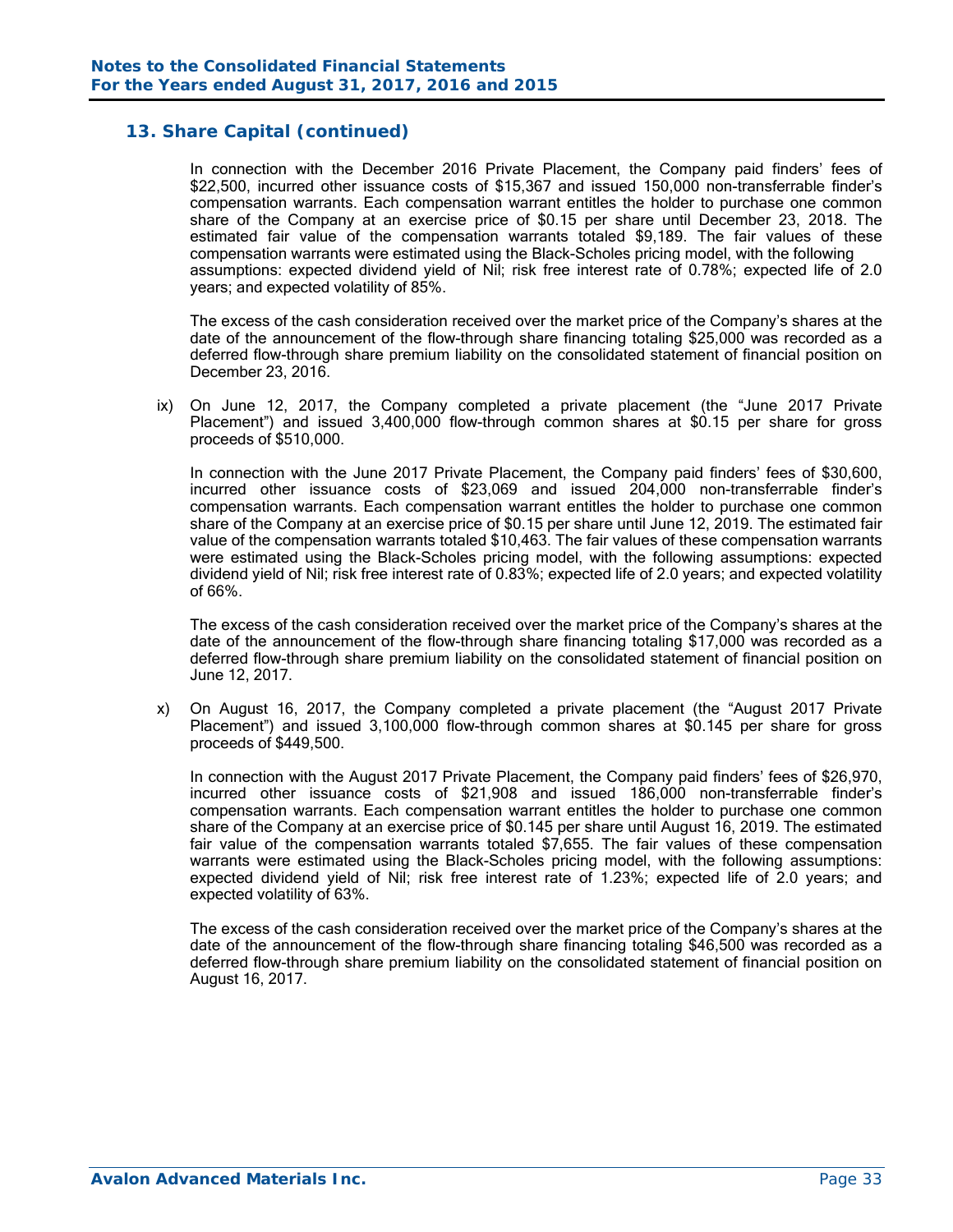In connection with the December 2016 Private Placement, the Company paid finders' fees of \$22,500, incurred other issuance costs of \$15,367 and issued 150,000 non-transferrable finder's compensation warrants. Each compensation warrant entitles the holder to purchase one common share of the Company at an exercise price of \$0.15 per share until December 23, 2018. The estimated fair value of the compensation warrants totaled \$9,189. The fair values of these compensation warrants were estimated using the Black-Scholes pricing model, with the following assumptions: expected dividend yield of Nil; risk free interest rate of 0.78%; expected life of 2.0 years; and expected volatility of 85%.

The excess of the cash consideration received over the market price of the Company's shares at the date of the announcement of the flow-through share financing totaling \$25,000 was recorded as a deferred flow-through share premium liability on the consolidated statement of financial position on December 23, 2016.

ix) On June 12, 2017, the Company completed a private placement (the "June 2017 Private Placement") and issued 3,400,000 flow-through common shares at \$0.15 per share for gross proceeds of \$510,000.

In connection with the June 2017 Private Placement, the Company paid finders' fees of \$30,600, incurred other issuance costs of \$23,069 and issued 204,000 non-transferrable finder's compensation warrants. Each compensation warrant entitles the holder to purchase one common share of the Company at an exercise price of \$0.15 per share until June 12, 2019. The estimated fair value of the compensation warrants totaled \$10,463. The fair values of these compensation warrants were estimated using the Black-Scholes pricing model, with the following assumptions: expected dividend yield of Nil; risk free interest rate of 0.83%; expected life of 2.0 years; and expected volatility of 66%.

The excess of the cash consideration received over the market price of the Company's shares at the date of the announcement of the flow-through share financing totaling \$17,000 was recorded as a deferred flow-through share premium liability on the consolidated statement of financial position on June 12, 2017.

x) On August 16, 2017, the Company completed a private placement (the "August 2017 Private Placement") and issued 3,100,000 flow-through common shares at \$0.145 per share for gross proceeds of \$449,500.

In connection with the August 2017 Private Placement, the Company paid finders' fees of \$26,970, incurred other issuance costs of \$21,908 and issued 186,000 non-transferrable finder's compensation warrants. Each compensation warrant entitles the holder to purchase one common share of the Company at an exercise price of \$0.145 per share until August 16, 2019. The estimated fair value of the compensation warrants totaled \$7,655. The fair values of these compensation warrants were estimated using the Black-Scholes pricing model, with the following assumptions: expected dividend yield of Nil; risk free interest rate of 1.23%; expected life of 2.0 years; and expected volatility of 63%.

The excess of the cash consideration received over the market price of the Company's shares at the date of the announcement of the flow-through share financing totaling \$46,500 was recorded as a deferred flow-through share premium liability on the consolidated statement of financial position on August 16, 2017.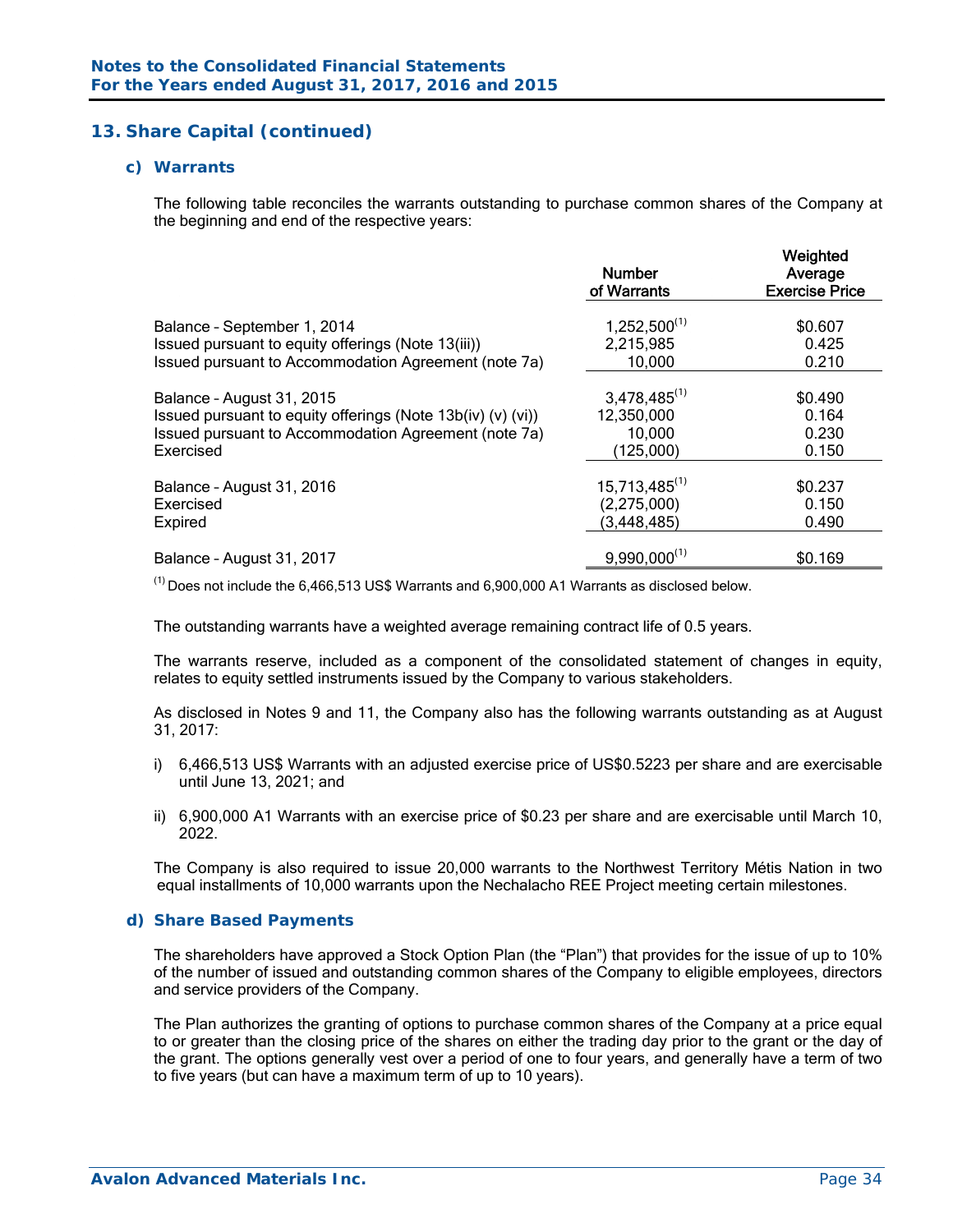#### *c) Warrants*

The following table reconciles the warrants outstanding to purchase common shares of the Company at the beginning and end of the respective years:

|                                                             | <b>Number</b><br>of Warrants | Weighted<br>Average<br><b>Exercise Price</b> |
|-------------------------------------------------------------|------------------------------|----------------------------------------------|
| Balance - September 1, 2014                                 | $1,252,500^{(1)}$            | \$0.607                                      |
| Issued pursuant to equity offerings (Note 13(iii))          | 2,215,985                    | 0.425                                        |
| Issued pursuant to Accommodation Agreement (note 7a)        | 10,000                       | 0.210                                        |
| Balance - August 31, 2015                                   | $3,478,485^{(1)}$            | \$0.490                                      |
| Issued pursuant to equity offerings (Note 13b(iv) (v) (vi)) | 12,350,000                   | 0.164                                        |
| Issued pursuant to Accommodation Agreement (note 7a)        | 10,000                       | 0.230                                        |
| Exercised                                                   | (125,000)                    | 0.150                                        |
| Balance - August 31, 2016                                   | $15,713,485^{(1)}$           | \$0.237                                      |
| Exercised                                                   | (2,275,000)                  | 0.150                                        |
| Expired                                                     | (3, 448, 485)                | 0.490                                        |
| Balance - August 31, 2017                                   | $9,990,000^{(1)}$            | \$0.169                                      |
|                                                             |                              |                                              |

 $<sup>(1)</sup>$  Does not include the 6,466,513 US\$ Warrants and 6,900,000 A1 Warrants as disclosed below.</sup>

The outstanding warrants have a weighted average remaining contract life of 0.5 years.

The warrants reserve, included as a component of the consolidated statement of changes in equity, relates to equity settled instruments issued by the Company to various stakeholders.

As disclosed in Notes 9 and 11, the Company also has the following warrants outstanding as at August 31, 2017:

- i) 6,466,513 US\$ Warrants with an adjusted exercise price of US\$0.5223 per share and are exercisable until June 13, 2021; and
- ii) 6,900,000 A1 Warrants with an exercise price of \$0.23 per share and are exercisable until March 10, 2022.

The Company is also required to issue 20,000 warrants to the Northwest Territory Métis Nation in two equal installments of 10,000 warrants upon the Nechalacho REE Project meeting certain milestones.

#### *d) Share Based Payments*

The shareholders have approved a Stock Option Plan (the "Plan") that provides for the issue of up to 10% of the number of issued and outstanding common shares of the Company to eligible employees, directors and service providers of the Company.

The Plan authorizes the granting of options to purchase common shares of the Company at a price equal to or greater than the closing price of the shares on either the trading day prior to the grant or the day of the grant. The options generally vest over a period of one to four years, and generally have a term of two to five years (but can have a maximum term of up to 10 years).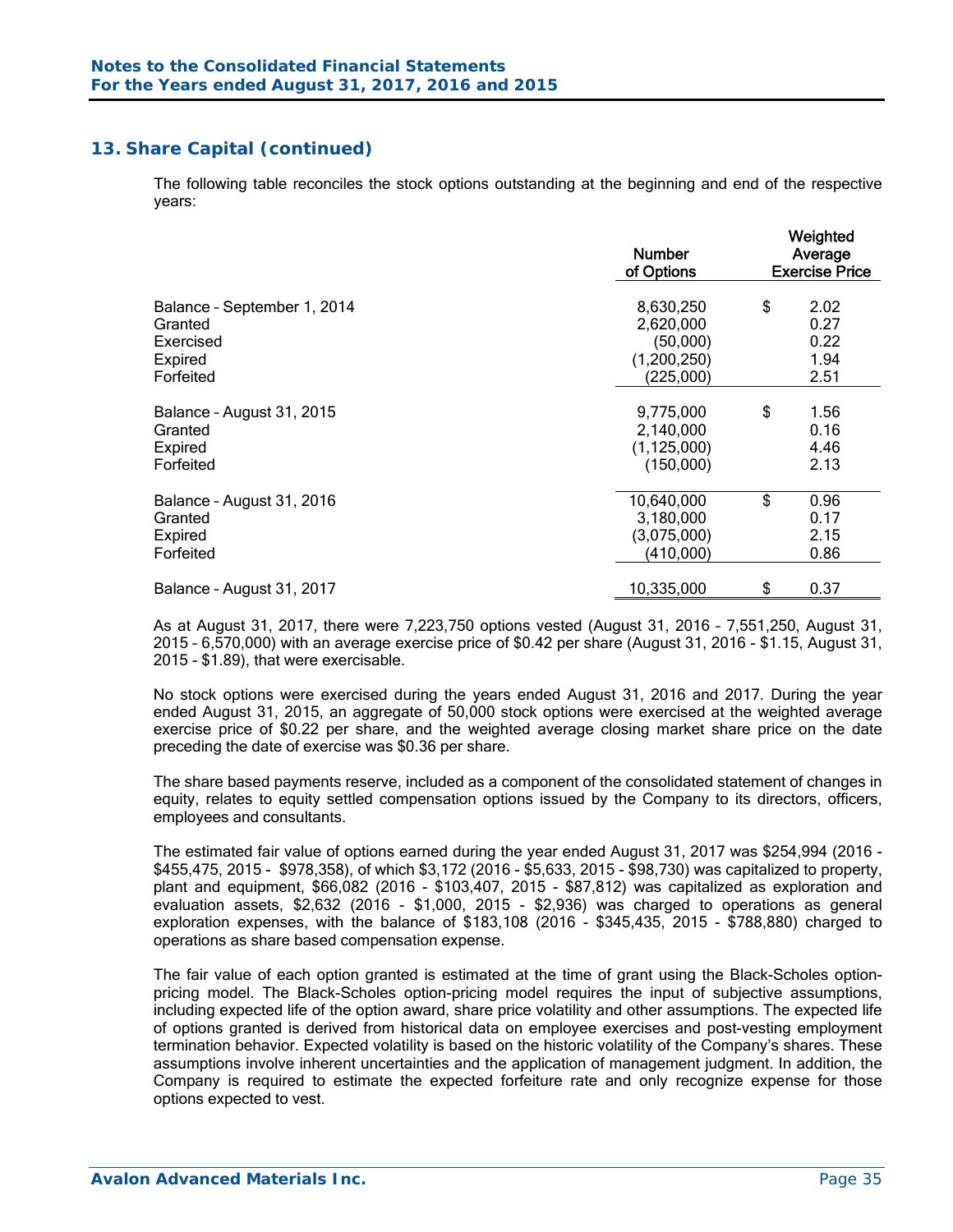The following table reconciles the stock options outstanding at the beginning and end of the respective years:

|                             | <b>Number</b><br>of Options | Weighted<br>Average<br><b>Exercise Price</b> |      |  |  |
|-----------------------------|-----------------------------|----------------------------------------------|------|--|--|
| Balance - September 1, 2014 | 8,630,250                   | \$                                           | 2.02 |  |  |
| Granted                     | 2,620,000                   |                                              | 0.27 |  |  |
| Exercised                   | (50,000)                    |                                              | 0.22 |  |  |
| Expired                     | (1, 200, 250)               |                                              | 1.94 |  |  |
| Forfeited                   | (225,000)                   |                                              | 2.51 |  |  |
| Balance - August 31, 2015   | 9,775,000                   | \$                                           | 1.56 |  |  |
| Granted                     | 2,140,000                   |                                              | 0.16 |  |  |
| Expired                     | (1, 125, 000)               |                                              | 4.46 |  |  |
| Forfeited                   | (150,000)                   |                                              | 2.13 |  |  |
| Balance - August 31, 2016   | 10,640,000                  | \$                                           | 0.96 |  |  |
| Granted                     | 3,180,000                   |                                              | 0.17 |  |  |
| Expired                     | (3,075,000)                 |                                              | 2.15 |  |  |
| Forfeited                   | (410,000)                   |                                              | 0.86 |  |  |
| Balance - August 31, 2017   | 10,335,000                  | \$                                           | 0.37 |  |  |

As at August 31, 2017, there were 7,223,750 options vested (August 31, 2016 – 7,551,250, August 31, 2015 – 6,570,000) with an average exercise price of \$0.42 per share (August 31, 2016 - \$1.15, August 31, 2015 - \$1.89), that were exercisable.

No stock options were exercised during the years ended August 31, 2016 and 2017. During the year ended August 31, 2015, an aggregate of 50,000 stock options were exercised at the weighted average exercise price of \$0.22 per share, and the weighted average closing market share price on the date preceding the date of exercise was \$0.36 per share.

The share based payments reserve, included as a component of the consolidated statement of changes in equity, relates to equity settled compensation options issued by the Company to its directors, officers, employees and consultants.

The estimated fair value of options earned during the year ended August 31, 2017 was \$254,994 (2016 - \$455,475, 2015 - \$978,358), of which \$3,172 (2016 - \$5,633, 2015 - \$98,730) was capitalized to property, plant and equipment, \$66,082 (2016 - \$103,407, 2015 - \$87,812) was capitalized as exploration and evaluation assets, \$2,632 (2016 - \$1,000, 2015 - \$2,936) was charged to operations as general exploration expenses, with the balance of \$183,108 (2016 - \$345,435, 2015 - \$788,880) charged to operations as share based compensation expense.

The fair value of each option granted is estimated at the time of grant using the Black-Scholes optionpricing model. The Black-Scholes option-pricing model requires the input of subjective assumptions, including expected life of the option award, share price volatility and other assumptions. The expected life of options granted is derived from historical data on employee exercises and post-vesting employment termination behavior. Expected volatility is based on the historic volatility of the Company's shares. These assumptions involve inherent uncertainties and the application of management judgment. In addition, the Company is required to estimate the expected forfeiture rate and only recognize expense for those options expected to vest.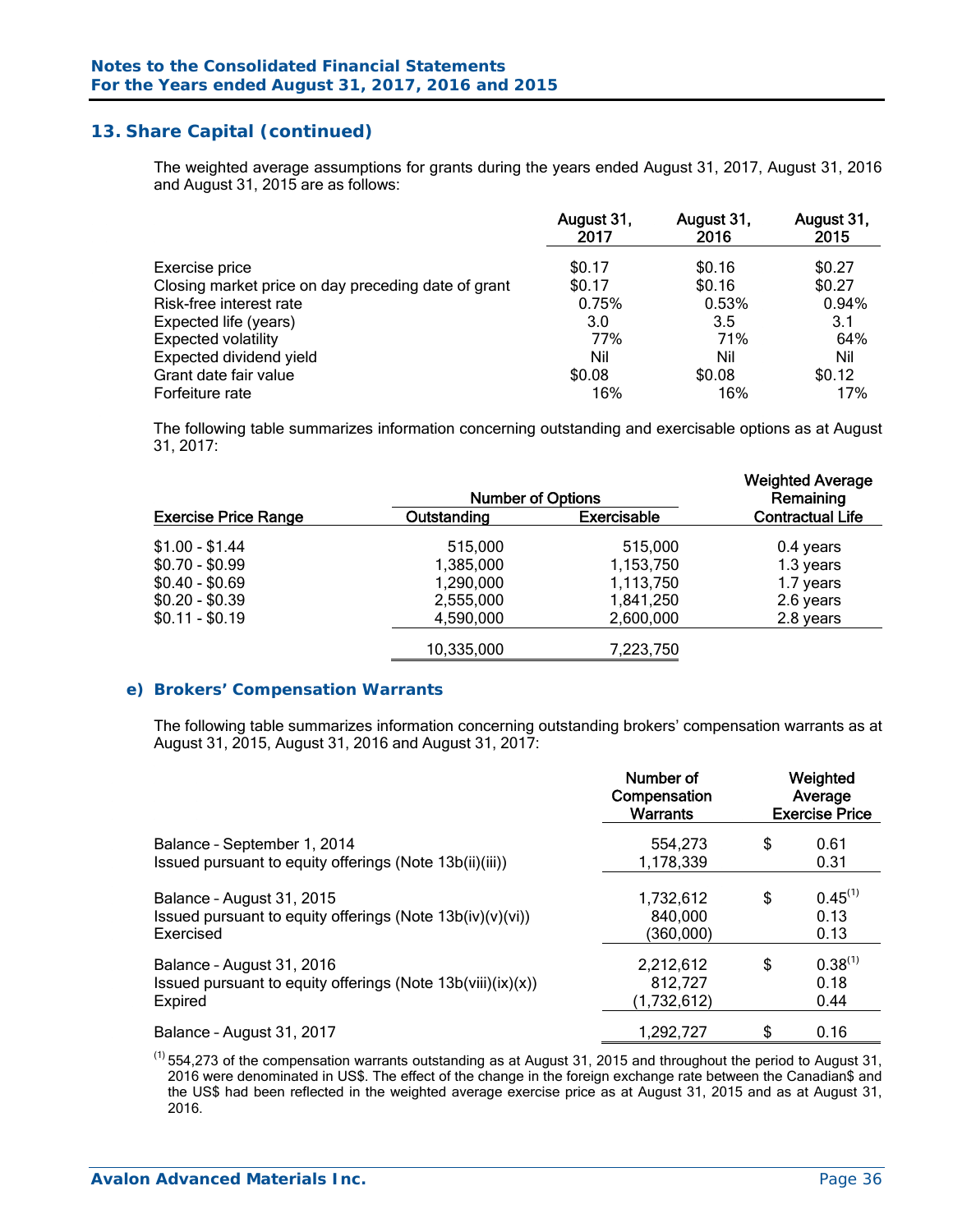The weighted average assumptions for grants during the years ended August 31, 2017, August 31, 2016 and August 31, 2015 are as follows:

|                                                     | August 31,<br>2017 | August 31,<br>2016 | August 31,<br>2015 |
|-----------------------------------------------------|--------------------|--------------------|--------------------|
| Exercise price                                      | \$0.17             | \$0.16             | \$0.27             |
| Closing market price on day preceding date of grant | \$0.17             | \$0.16             | \$0.27             |
| Risk-free interest rate                             | 0.75%              | 0.53%              | 0.94%              |
| Expected life (years)                               | 3.0                | 3.5                | 3.1                |
| <b>Expected volatility</b>                          | 77%                | 71%                | 64%                |
| Expected dividend yield                             | Nil                | Nil                | Nil                |
| Grant date fair value                               | \$0.08             | \$0.08             | \$0.12             |
| Forfeiture rate                                     | 16%                | 16%                | 17%                |

The following table summarizes information concerning outstanding and exercisable options as at August 31, 2017:

| <b>Weighted Average</b><br>Remaining | <b>Number of Options</b> |             |                             |  |  |
|--------------------------------------|--------------------------|-------------|-----------------------------|--|--|
| <b>Contractual Life</b>              | <b>Exercisable</b>       | Outstanding | <b>Exercise Price Range</b> |  |  |
| $0.4$ years                          | 515,000                  | 515,000     | $$1.00 - $1.44$             |  |  |
| 1.3 years                            | 1,153,750                | 1,385,000   | $$0.70 - $0.99$             |  |  |
| 1.7 years                            | 1,113,750                | 1,290,000   | $$0.40 - $0.69$             |  |  |
| 2.6 years                            | 1,841,250                | 2,555,000   | $$0.20 - $0.39$             |  |  |
| 2.8 years                            | 2,600,000                | 4,590,000   | $$0.11 - $0.19$             |  |  |
|                                      | 7,223,750                | 10,335,000  |                             |  |  |
|                                      |                          |             |                             |  |  |

#### *e) Brokers' Compensation Warrants*

The following table summarizes information concerning outstanding brokers' compensation warrants as at August 31, 2015, August 31, 2016 and August 31, 2017:

|                                                              | Number of<br>Compensation<br><b>Warrants</b> | Weighted<br>Average<br><b>Exercise Price</b> |              |  |
|--------------------------------------------------------------|----------------------------------------------|----------------------------------------------|--------------|--|
| Balance - September 1, 2014                                  | 554,273                                      | \$                                           | 0.61         |  |
| Issued pursuant to equity offerings (Note 13b(ii)(iii))      | 1,178,339                                    |                                              | 0.31         |  |
| Balance - August 31, 2015                                    | 1,732,612                                    | \$                                           | $0.45^{(1)}$ |  |
| Issued pursuant to equity offerings (Note $13b(iv)(v)(vi)$ ) | 840,000                                      |                                              | 0.13         |  |
| Exercised                                                    | (360,000)                                    |                                              | 0.13         |  |
| Balance - August 31, 2016                                    | 2,212,612                                    | \$                                           | $0.38^{(1)}$ |  |
| Issued pursuant to equity offerings (Note 13b(viii)(ix)(x))  | 812,727                                      |                                              | 0.18         |  |
| Expired                                                      | (1,732,612)                                  |                                              | 0.44         |  |
| Balance - August 31, 2017                                    | 1,292,727                                    | \$                                           | 0.16         |  |

 $^{(1)}$  554,273 of the compensation warrants outstanding as at August 31, 2015 and throughout the period to August 31, 2016 were denominated in US\$. The effect of the change in the foreign exchange rate between the Canadian\$ and the US\$ had been reflected in the weighted average exercise price as at August 31, 2015 and as at August 31, 2016.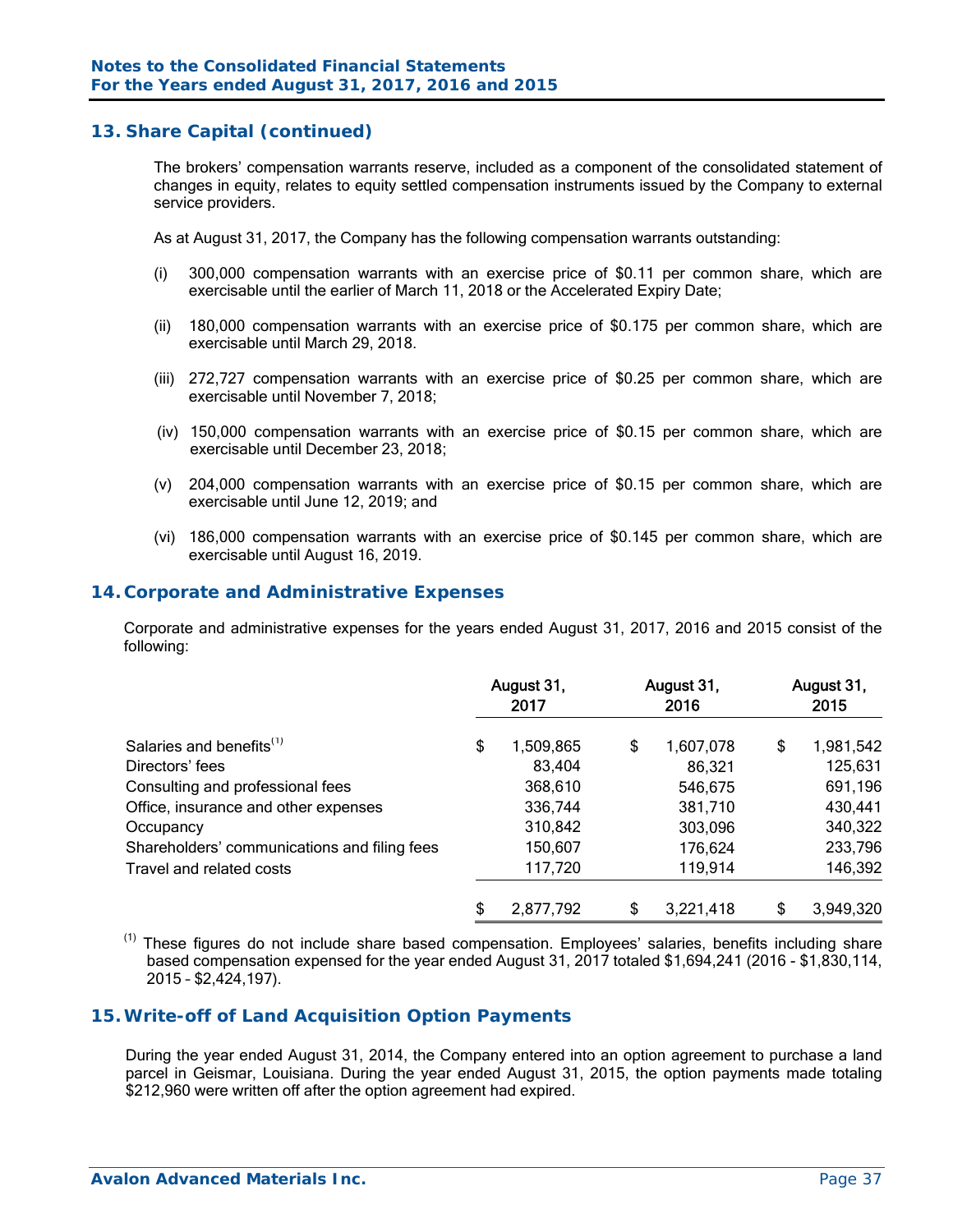The brokers' compensation warrants reserve, included as a component of the consolidated statement of changes in equity, relates to equity settled compensation instruments issued by the Company to external service providers.

As at August 31, 2017, the Company has the following compensation warrants outstanding:

- (i) 300,000 compensation warrants with an exercise price of \$0.11 per common share, which are exercisable until the earlier of March 11, 2018 or the Accelerated Expiry Date;
- (ii) 180,000 compensation warrants with an exercise price of \$0.175 per common share, which are exercisable until March 29, 2018.
- (iii) 272,727 compensation warrants with an exercise price of \$0.25 per common share, which are exercisable until November 7, 2018;
- (iv) 150,000 compensation warrants with an exercise price of \$0.15 per common share, which are exercisable until December 23, 2018;
- (v) 204,000 compensation warrants with an exercise price of \$0.15 per common share, which are exercisable until June 12, 2019; and
- (vi) 186,000 compensation warrants with an exercise price of \$0.145 per common share, which are exercisable until August 16, 2019.

#### **14. Corporate and Administrative Expenses**

 Corporate and administrative expenses for the years ended August 31, 2017, 2016 and 2015 consist of the following:

|                                              |    | August 31,<br>2017 | August 31,<br>2016 | August 31,<br>2015 |           |
|----------------------------------------------|----|--------------------|--------------------|--------------------|-----------|
| Salaries and benefits <sup>(1)</sup>         | \$ | 1,509,865          | \$<br>1,607,078    | \$                 | 1,981,542 |
| Directors' fees                              |    | 83,404             | 86,321             |                    | 125,631   |
| Consulting and professional fees             |    | 368,610            | 546,675            |                    | 691,196   |
| Office, insurance and other expenses         |    | 336,744            | 381,710            |                    | 430,441   |
| Occupancy                                    |    | 310,842            | 303,096            |                    | 340,322   |
| Shareholders' communications and filing fees |    | 150,607            | 176,624            |                    | 233,796   |
| Travel and related costs                     |    | 117,720            | 119,914            |                    | 146,392   |
|                                              | \$ | 2,877,792          | \$<br>3,221,418    | \$                 | 3,949,320 |

 $<sup>(1)</sup>$  These figures do not include share based compensation. Employees' salaries, benefits including share</sup> based compensation expensed for the year ended August 31, 2017 totaled \$1,694,241 (2016 - \$1,830,114, 2015 – \$2,424,197).

#### **15. Write-off of Land Acquisition Option Payments**

During the year ended August 31, 2014, the Company entered into an option agreement to purchase a land parcel in Geismar, Louisiana. During the year ended August 31, 2015, the option payments made totaling \$212,960 were written off after the option agreement had expired.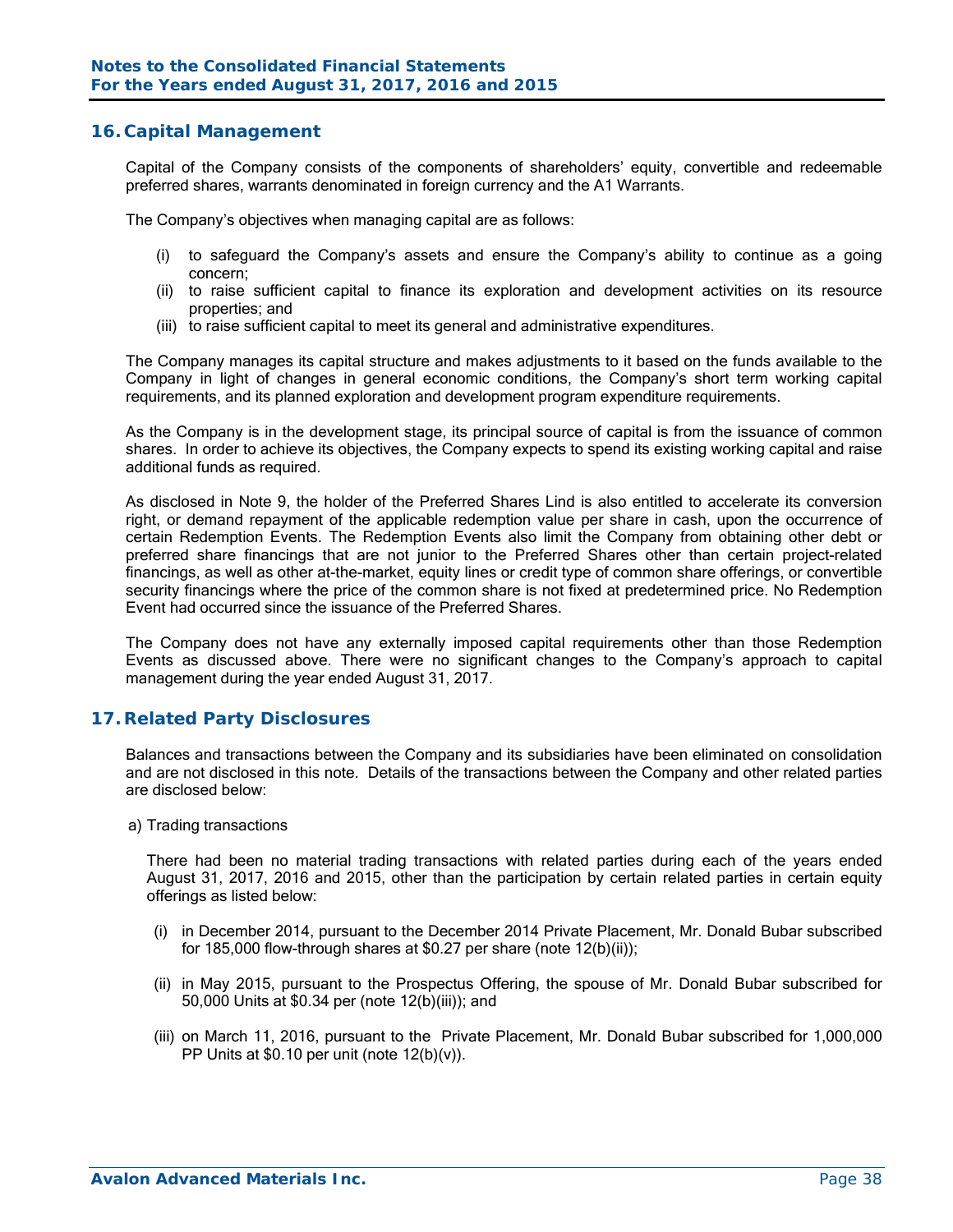#### **16. Capital Management**

Capital of the Company consists of the components of shareholders' equity, convertible and redeemable preferred shares, warrants denominated in foreign currency and the A1 Warrants.

The Company's objectives when managing capital are as follows:

- (i) to safeguard the Company's assets and ensure the Company's ability to continue as a going concern;
- (ii) to raise sufficient capital to finance its exploration and development activities on its resource properties; and
- (iii) to raise sufficient capital to meet its general and administrative expenditures.

The Company manages its capital structure and makes adjustments to it based on the funds available to the Company in light of changes in general economic conditions, the Company's short term working capital requirements, and its planned exploration and development program expenditure requirements.

As the Company is in the development stage, its principal source of capital is from the issuance of common shares. In order to achieve its objectives, the Company expects to spend its existing working capital and raise additional funds as required.

As disclosed in Note 9, the holder of the Preferred Shares Lind is also entitled to accelerate its conversion right, or demand repayment of the applicable redemption value per share in cash, upon the occurrence of certain Redemption Events. The Redemption Events also limit the Company from obtaining other debt or preferred share financings that are not junior to the Preferred Shares other than certain project-related financings, as well as other at-the-market, equity lines or credit type of common share offerings, or convertible security financings where the price of the common share is not fixed at predetermined price. No Redemption Event had occurred since the issuance of the Preferred Shares.

The Company does not have any externally imposed capital requirements other than those Redemption Events as discussed above. There were no significant changes to the Company's approach to capital management during the year ended August 31, 2017.

# **17. Related Party Disclosures**

Balances and transactions between the Company and its subsidiaries have been eliminated on consolidation and are not disclosed in this note. Details of the transactions between the Company and other related parties are disclosed below:

a) Trading transactions

There had been no material trading transactions with related parties during each of the years ended August 31, 2017, 2016 and 2015, other than the participation by certain related parties in certain equity offerings as listed below:

- (i) in December 2014, pursuant to the December 2014 Private Placement, Mr. Donald Bubar subscribed for 185,000 flow-through shares at \$0.27 per share (note 12(b)(ii));
- (ii) in May 2015, pursuant to the Prospectus Offering, the spouse of Mr. Donald Bubar subscribed for 50,000 Units at \$0.34 per (note 12(b)(iii)); and
- (iii) on March 11, 2016, pursuant to the Private Placement, Mr. Donald Bubar subscribed for 1,000,000 PP Units at \$0.10 per unit (note 12(b)(v)).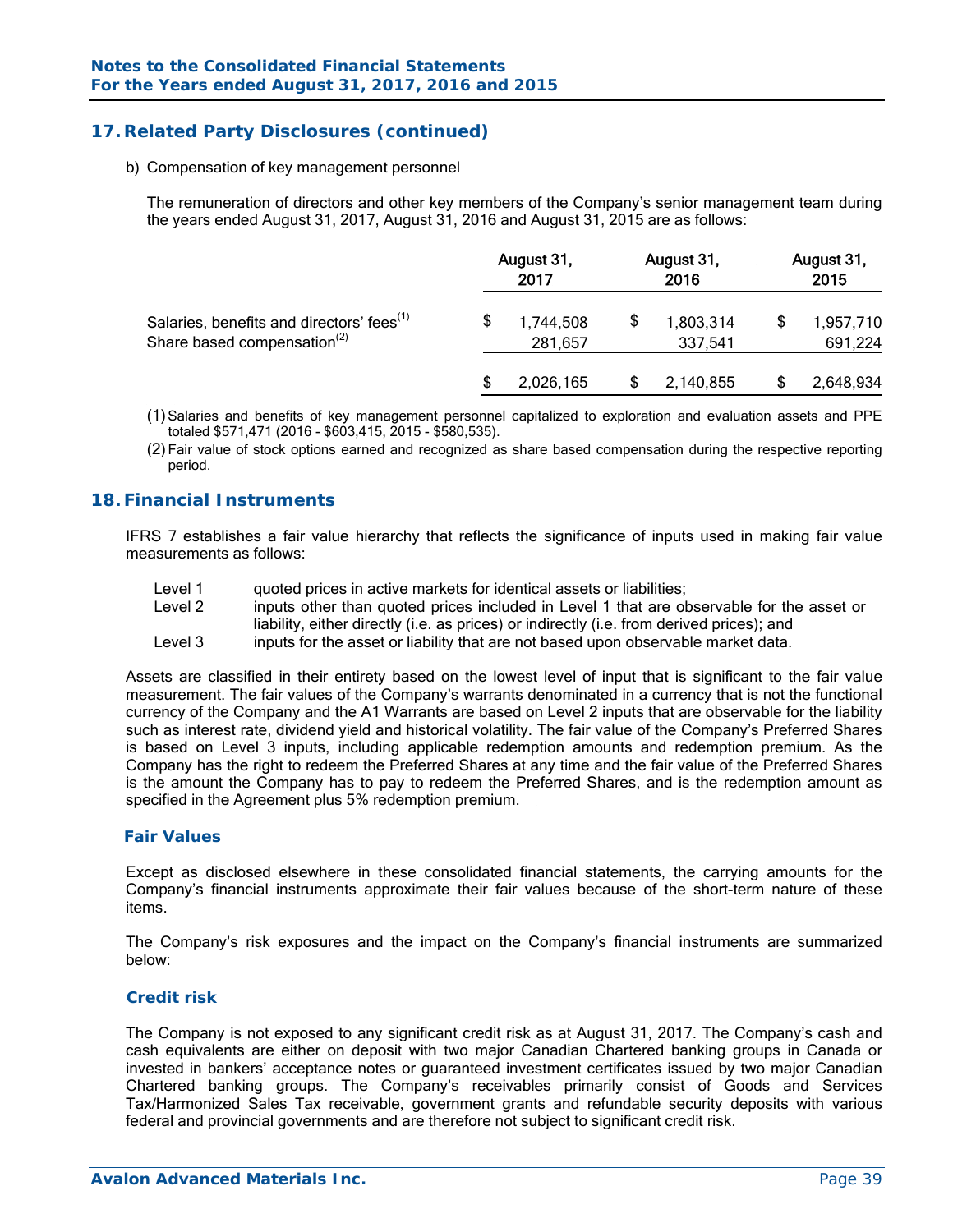# **17. Related Party Disclosures (continued)**

b) Compensation of key management personnel

The remuneration of directors and other key members of the Company's senior management team during the years ended August 31, 2017, August 31, 2016 and August 31, 2015 are as follows:

|                                                                                                  | August 31,<br>2017         | August 31,<br>2016   | August 31,<br>2015 |                      |  |
|--------------------------------------------------------------------------------------------------|----------------------------|----------------------|--------------------|----------------------|--|
| Salaries, benefits and directors' fees <sup>(1)</sup><br>Share based compensation <sup>(2)</sup> | \$<br>1,744,508<br>281,657 | 1,803,314<br>337,541 | \$                 | 1,957,710<br>691,224 |  |
|                                                                                                  | \$<br>2,026,165            | 2,140,855            |                    | 2,648,934            |  |

- (1)Salaries and benefits of key management personnel capitalized to exploration and evaluation assets and PPE totaled \$571,471 (2016 - \$603,415, 2015 - \$580,535).
- (2)Fair value of stock options earned and recognized as share based compensation during the respective reporting period.

# **18. Financial Instruments**

IFRS 7 establishes a fair value hierarchy that reflects the significance of inputs used in making fair value measurements as follows:

- Level 1 quoted prices in active markets for identical assets or liabilities;
- Level 2 inputs other than quoted prices included in Level 1 that are observable for the asset or liability, either directly (i.e. as prices) or indirectly (i.e. from derived prices); and
- Level 3 inputs for the asset or liability that are not based upon observable market data.

Assets are classified in their entirety based on the lowest level of input that is significant to the fair value measurement. The fair values of the Company's warrants denominated in a currency that is not the functional currency of the Company and the A1 Warrants are based on Level 2 inputs that are observable for the liability such as interest rate, dividend yield and historical volatility. The fair value of the Company's Preferred Shares is based on Level 3 inputs, including applicable redemption amounts and redemption premium. As the Company has the right to redeem the Preferred Shares at any time and the fair value of the Preferred Shares is the amount the Company has to pay to redeem the Preferred Shares, and is the redemption amount as specified in the Agreement plus 5% redemption premium.

#### *Fair Values*

Except as disclosed elsewhere in these consolidated financial statements, the carrying amounts for the Company's financial instruments approximate their fair values because of the short-term nature of these items.

The Company's risk exposures and the impact on the Company's financial instruments are summarized below:

#### *Credit risk*

The Company is not exposed to any significant credit risk as at August 31, 2017. The Company's cash and cash equivalents are either on deposit with two major Canadian Chartered banking groups in Canada or invested in bankers' acceptance notes or guaranteed investment certificates issued by two major Canadian Chartered banking groups. The Company's receivables primarily consist of Goods and Services Tax/Harmonized Sales Tax receivable, government grants and refundable security deposits with various federal and provincial governments and are therefore not subject to significant credit risk.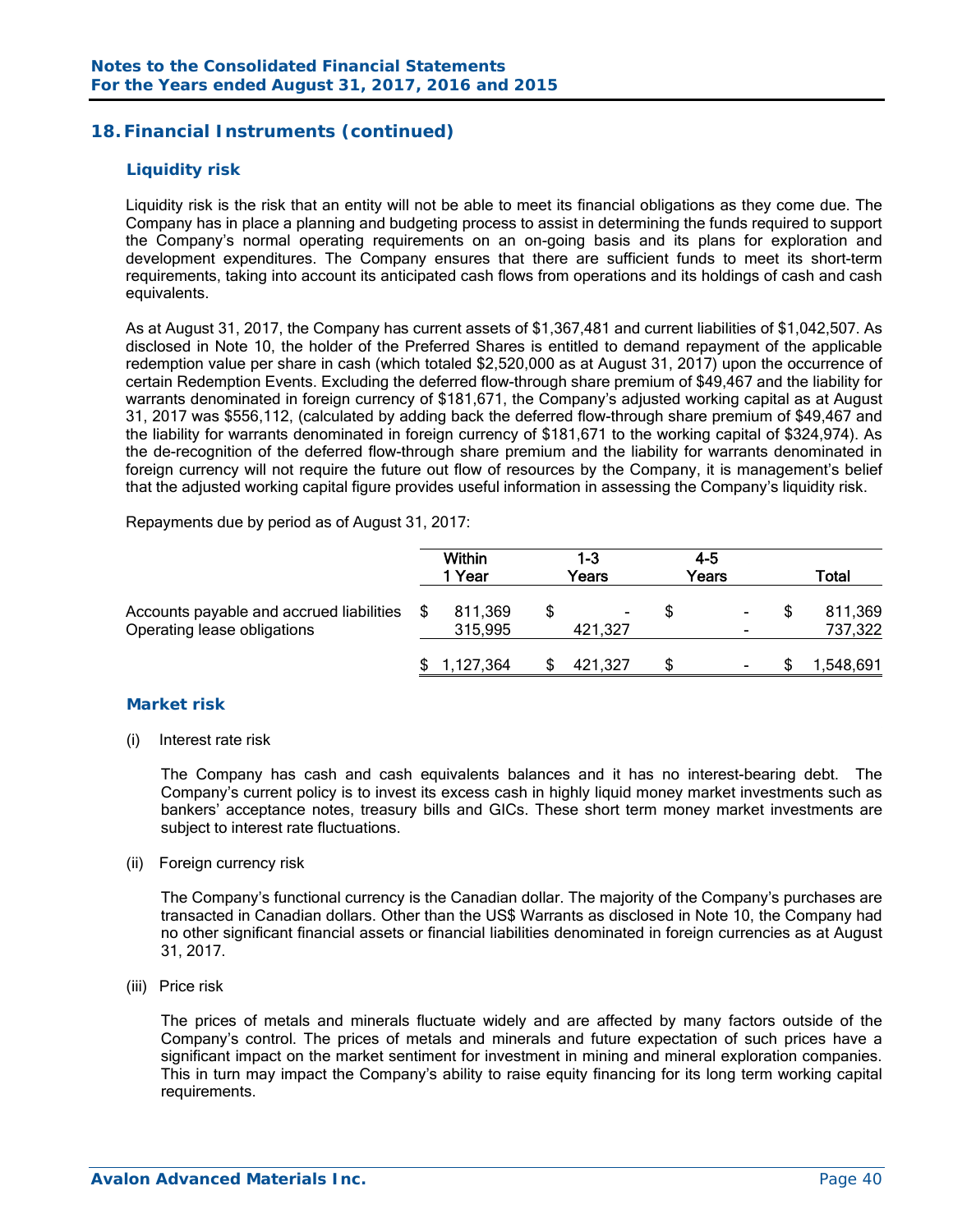# **18. Financial Instruments (continued)**

#### *Liquidity risk*

Liquidity risk is the risk that an entity will not be able to meet its financial obligations as they come due. The Company has in place a planning and budgeting process to assist in determining the funds required to support the Company's normal operating requirements on an on-going basis and its plans for exploration and development expenditures. The Company ensures that there are sufficient funds to meet its short-term requirements, taking into account its anticipated cash flows from operations and its holdings of cash and cash equivalents.

As at August 31, 2017, the Company has current assets of \$1,367,481 and current liabilities of \$1,042,507. As disclosed in Note 10, the holder of the Preferred Shares is entitled to demand repayment of the applicable redemption value per share in cash (which totaled \$2,520,000 as at August 31, 2017) upon the occurrence of certain Redemption Events. Excluding the deferred flow-through share premium of \$49,467 and the liability for warrants denominated in foreign currency of \$181,671, the Company's adjusted working capital as at August 31, 2017 was \$556,112, (calculated by adding back the deferred flow-through share premium of \$49,467 and the liability for warrants denominated in foreign currency of \$181,671 to the working capital of \$324,974). As the de-recognition of the deferred flow-through share premium and the liability for warrants denominated in foreign currency will not require the future out flow of resources by the Company, it is management's belief that the adjusted working capital figure provides useful information in assessing the Company's liquidity risk.

Repayments due by period as of August 31, 2017:

|                                                                            |  | <b>Within</b><br>1 Year |  | 1-3<br>Years |  | $4 - 5$<br>Years    |  | Total              |  |
|----------------------------------------------------------------------------|--|-------------------------|--|--------------|--|---------------------|--|--------------------|--|
| Accounts payable and accrued liabilities \$<br>Operating lease obligations |  | 811,369<br>315,995      |  | ۰<br>421,327 |  | ٠<br>$\blacksquare$ |  | 811,369<br>737,322 |  |
|                                                                            |  | \$1,127,364             |  | 421.327      |  | ۰.                  |  | 1,548,691          |  |

#### *Market risk*

(i) Interest rate risk

 The Company has cash and cash equivalents balances and it has no interest-bearing debt. The Company's current policy is to invest its excess cash in highly liquid money market investments such as bankers' acceptance notes, treasury bills and GICs. These short term money market investments are subject to interest rate fluctuations.

(ii) Foreign currency risk

 The Company's functional currency is the Canadian dollar. The majority of the Company's purchases are transacted in Canadian dollars. Other than the US\$ Warrants as disclosed in Note 10, the Company had no other significant financial assets or financial liabilities denominated in foreign currencies as at August 31, 2017.

(iii) Price risk

 The prices of metals and minerals fluctuate widely and are affected by many factors outside of the Company's control. The prices of metals and minerals and future expectation of such prices have a significant impact on the market sentiment for investment in mining and mineral exploration companies. This in turn may impact the Company's ability to raise equity financing for its long term working capital requirements.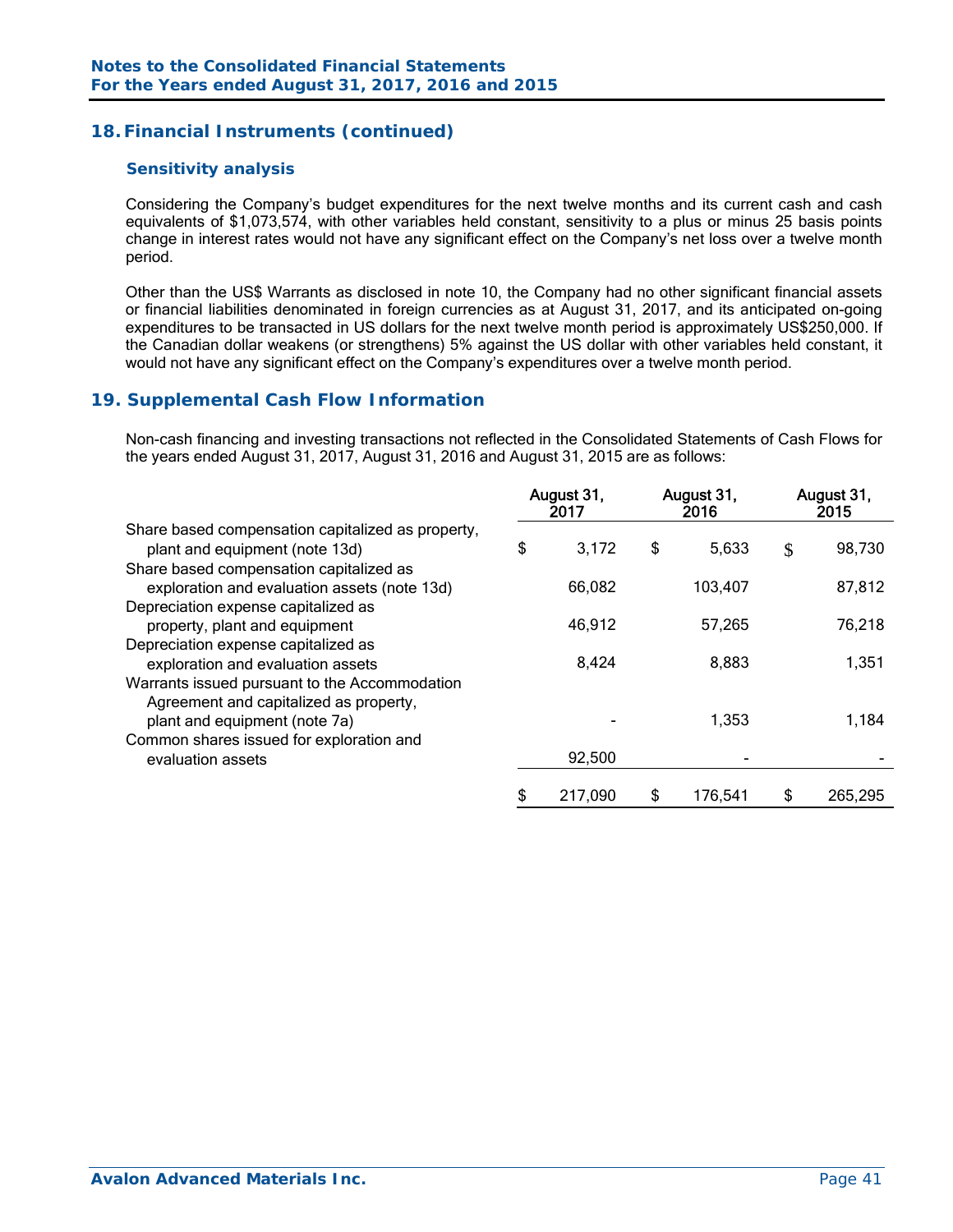# **18. Financial Instruments (continued)**

#### *Sensitivity analysis*

 Considering the Company's budget expenditures for the next twelve months and its current cash and cash equivalents of \$1,073,574, with other variables held constant, sensitivity to a plus or minus 25 basis points change in interest rates would not have any significant effect on the Company's net loss over a twelve month period.

Other than the US\$ Warrants as disclosed in note 10, the Company had no other significant financial assets or financial liabilities denominated in foreign currencies as at August 31, 2017, and its anticipated on-going expenditures to be transacted in US dollars for the next twelve month period is approximately US\$250,000. If the Canadian dollar weakens (or strengthens) 5% against the US dollar with other variables held constant, it would not have any significant effect on the Company's expenditures over a twelve month period.

#### **19. Supplemental Cash Flow Information**

Non-cash financing and investing transactions not reflected in the Consolidated Statements of Cash Flows for the years ended August 31, 2017, August 31, 2016 and August 31, 2015 are as follows:

|                                                                                         | August 31,<br>2017 | August 31,<br>2016 | August 31,<br>2015 |
|-----------------------------------------------------------------------------------------|--------------------|--------------------|--------------------|
| Share based compensation capitalized as property,                                       |                    |                    |                    |
| plant and equipment (note 13d)                                                          | \$<br>3,172        | \$<br>5,633        | \$<br>98,730       |
| Share based compensation capitalized as<br>exploration and evaluation assets (note 13d) | 66,082             | 103,407            | 87,812             |
| Depreciation expense capitalized as<br>property, plant and equipment                    | 46,912             | 57,265             | 76,218             |
| Depreciation expense capitalized as<br>exploration and evaluation assets                | 8,424              | 8,883              | 1,351              |
| Warrants issued pursuant to the Accommodation<br>Agreement and capitalized as property, |                    |                    |                    |
| plant and equipment (note 7a)                                                           |                    | 1,353              | 1,184              |
| Common shares issued for exploration and<br>evaluation assets                           | 92,500             |                    |                    |
|                                                                                         | 217,090            | \$<br>176,541      | \$<br>265,295      |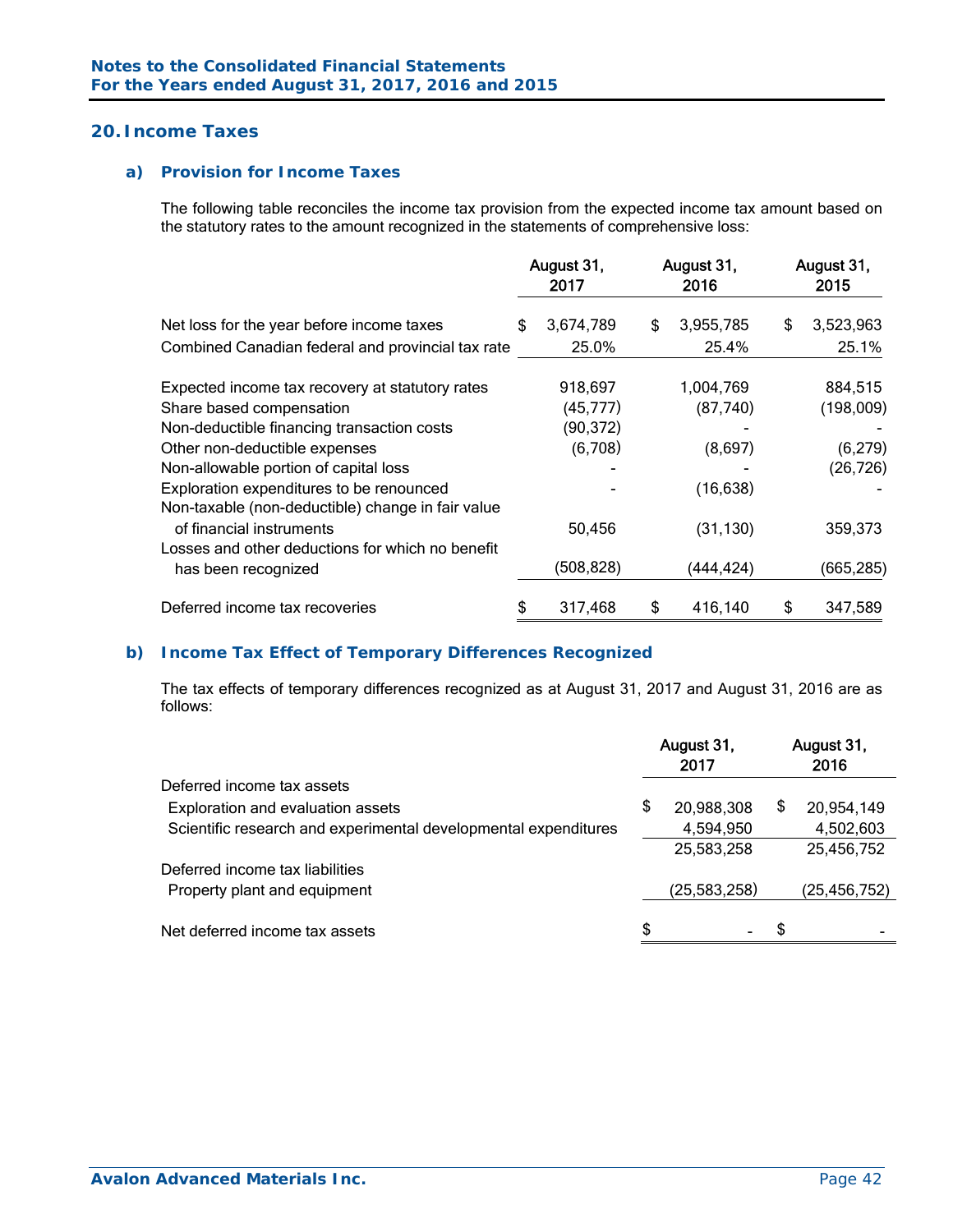# **20. Income Taxes**

# *a) Provision for Income Taxes*

The following table reconciles the income tax provision from the expected income tax amount based on the statutory rates to the amount recognized in the statements of comprehensive loss:

|                                                                                                                    | August 31,<br>2017   |    | August 31,<br>2016    | August 31,<br>2015   |
|--------------------------------------------------------------------------------------------------------------------|----------------------|----|-----------------------|----------------------|
| Net loss for the year before income taxes                                                                          | \$<br>3,674,789      | \$ | 3,955,785             | \$<br>3,523,963      |
| Combined Canadian federal and provincial tax rate                                                                  | 25.0%                |    | 25.4%                 | 25.1%                |
| Expected income tax recovery at statutory rates<br>Share based compensation                                        | 918,697<br>(45, 777) |    | 1,004,769<br>(87,740) | 884,515<br>(198,009) |
| Non-deductible financing transaction costs                                                                         | (90, 372)            |    |                       |                      |
| Other non-deductible expenses<br>Non-allowable portion of capital loss<br>Exploration expenditures to be renounced | (6,708)              |    | (8,697)<br>(16, 638)  | (6,279)<br>(26, 726) |
| Non-taxable (non-deductible) change in fair value<br>of financial instruments                                      | 50,456               |    | (31, 130)             | 359,373              |
| Losses and other deductions for which no benefit<br>has been recognized                                            | (508, 828)           |    | (444, 424)            | (665, 285)           |
| Deferred income tax recoveries                                                                                     | \$<br>317,468        | S  | 416,140               | \$<br>347,589        |

#### *b) Income Tax Effect of Temporary Differences Recognized*

The tax effects of temporary differences recognized as at August 31, 2017 and August 31, 2016 are as follows:

|                                                                 | August 31,<br>2017 | August 31,<br>2016 |
|-----------------------------------------------------------------|--------------------|--------------------|
| Deferred income tax assets                                      |                    |                    |
| Exploration and evaluation assets                               | \$<br>20,988,308   | \$<br>20,954,149   |
| Scientific research and experimental developmental expenditures | 4,594,950          | 4,502,603          |
|                                                                 | 25,583,258         | 25,456,752         |
| Deferred income tax liabilities                                 |                    |                    |
| Property plant and equipment                                    | (25,583,258)       | (25,456,752)       |
|                                                                 |                    |                    |
| Net deferred income tax assets                                  | \$                 | \$                 |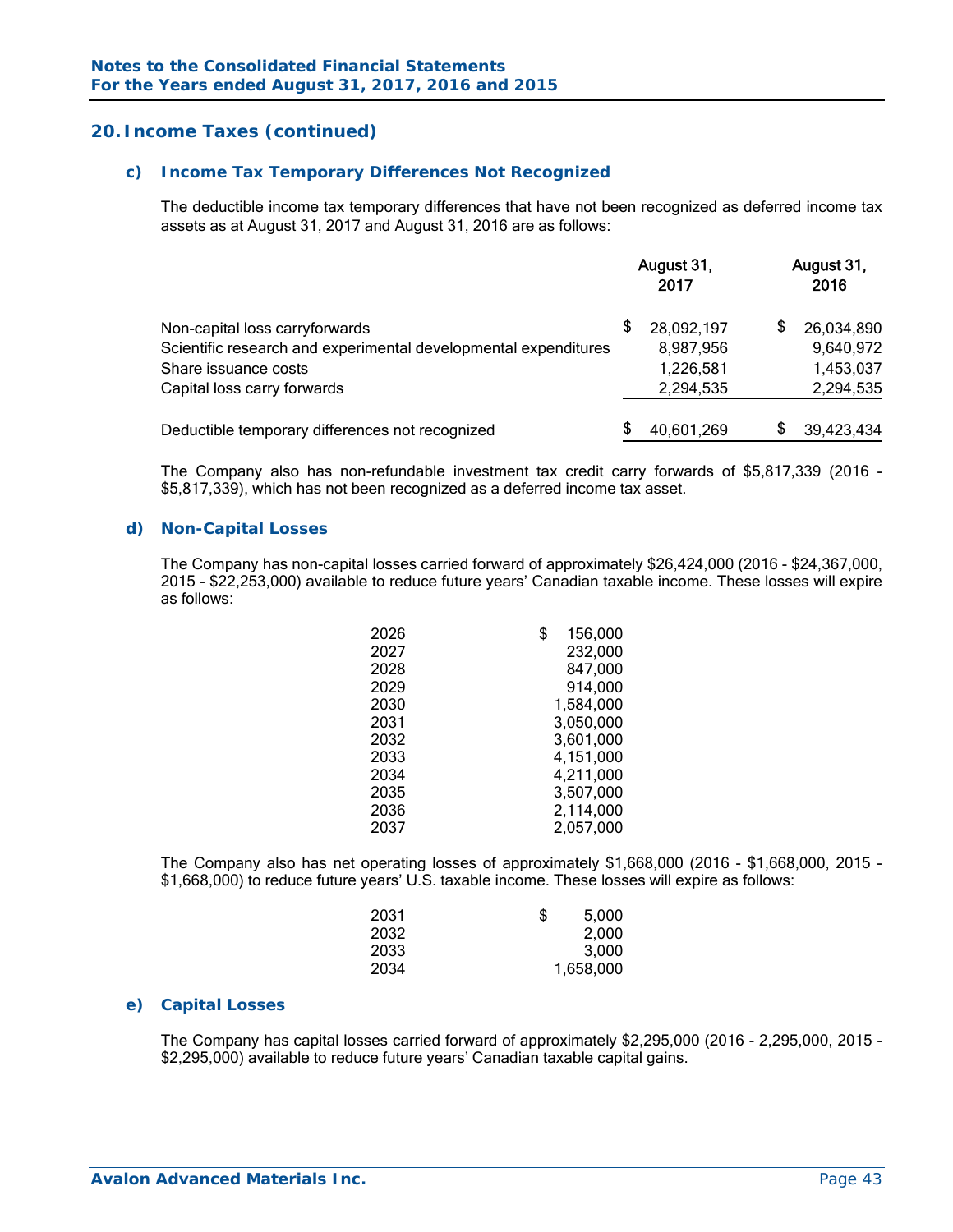# **20. Income Taxes (continued)**

#### *c) Income Tax Temporary Differences Not Recognized*

The deductible income tax temporary differences that have not been recognized as deferred income tax assets as at August 31, 2017 and August 31, 2016 are as follows:

|                                                                 | August 31,<br>2017 | August 31,<br>2016 |
|-----------------------------------------------------------------|--------------------|--------------------|
| Non-capital loss carryforwards                                  | \$<br>28,092,197   | \$<br>26,034,890   |
| Scientific research and experimental developmental expenditures | 8,987,956          | 9,640,972          |
| Share issuance costs                                            | 1,226,581          | 1,453,037          |
| Capital loss carry forwards                                     | 2,294,535          | 2,294,535          |
| Deductible temporary differences not recognized                 | 40,601,269         | \$<br>39,423,434   |

The Company also has non-refundable investment tax credit carry forwards of \$5,817,339 (2016 - \$5,817,339), which has not been recognized as a deferred income tax asset.

#### *d) Non-Capital Losses*

The Company has non-capital losses carried forward of approximately \$26,424,000 (2016 - \$24,367,000, 2015 - \$22,253,000) available to reduce future years' Canadian taxable income. These losses will expire as follows:

| \$<br>156,000 |
|---------------|
| 232,000       |
| 847,000       |
| 914,000       |
| 1,584,000     |
| 3,050,000     |
| 3,601,000     |
| 4,151,000     |
| 4,211,000     |
| 3,507,000     |
| 2,114,000     |
| 2,057,000     |
|               |

 The Company also has net operating losses of approximately \$1,668,000 (2016 - \$1,668,000, 2015 - \$1,668,000) to reduce future years' U.S. taxable income. These losses will expire as follows:

| 2031<br>\$ | 5,000     |
|------------|-----------|
| 2032       | 2,000     |
| 2033       | 3,000     |
| 2034       | 1,658,000 |

#### *e) Capital Losses*

 The Company has capital losses carried forward of approximately \$2,295,000 (2016 - 2,295,000, 2015 - \$2,295,000) available to reduce future years' Canadian taxable capital gains.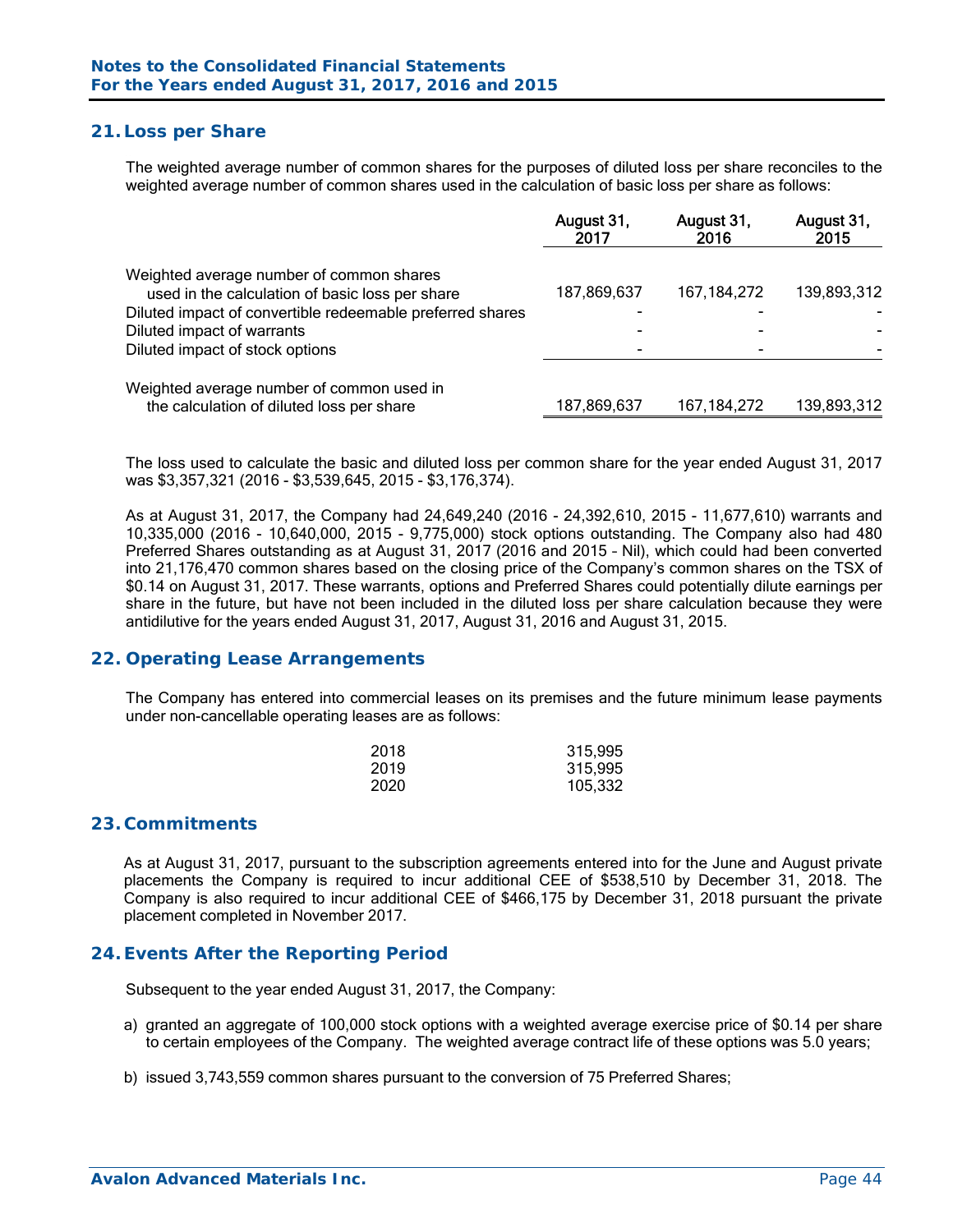# **21. Loss per Share**

The weighted average number of common shares for the purposes of diluted loss per share reconciles to the weighted average number of common shares used in the calculation of basic loss per share as follows:

|                                                                                             | August 31,<br>2017 | August 31,<br>2016 | August 31,<br>2015 |
|---------------------------------------------------------------------------------------------|--------------------|--------------------|--------------------|
| Weighted average number of common shares<br>used in the calculation of basic loss per share | 187,869,637        | 167, 184, 272      | 139,893,312        |
| Diluted impact of convertible redeemable preferred shares                                   |                    |                    |                    |
| Diluted impact of warrants                                                                  |                    |                    |                    |
| Diluted impact of stock options                                                             |                    |                    |                    |
| Weighted average number of common used in<br>the calculation of diluted loss per share      | 187,869,637        | 167, 184, 272      | 139,893,312        |

The loss used to calculate the basic and diluted loss per common share for the year ended August 31, 2017 was \$3,357,321 (2016 - \$3,539,645, 2015 - \$3,176,374).

As at August 31, 2017, the Company had 24,649,240 (2016 - 24,392,610, 2015 - 11,677,610) warrants and 10,335,000 (2016 - 10,640,000, 2015 - 9,775,000) stock options outstanding. The Company also had 480 Preferred Shares outstanding as at August 31, 2017 (2016 and 2015 – Nil), which could had been converted into 21,176,470 common shares based on the closing price of the Company's common shares on the TSX of \$0.14 on August 31, 2017. These warrants, options and Preferred Shares could potentially dilute earnings per share in the future, but have not been included in the diluted loss per share calculation because they were antidilutive for the years ended August 31, 2017, August 31, 2016 and August 31, 2015.

# **22. Operating Lease Arrangements**

The Company has entered into commercial leases on its premises and the future minimum lease payments under non-cancellable operating leases are as follows:

| 2018 | 315,995 |
|------|---------|
| 2019 | 315,995 |
| 2020 | 105,332 |

#### **23. Commitments**

As at August 31, 2017, pursuant to the subscription agreements entered into for the June and August private placements the Company is required to incur additional CEE of \$538,510 by December 31, 2018. The Company is also required to incur additional CEE of \$466,175 by December 31, 2018 pursuant the private placement completed in November 2017.

# **24. Events After the Reporting Period**

Subsequent to the year ended August 31, 2017, the Company:

- a) granted an aggregate of 100,000 stock options with a weighted average exercise price of \$0.14 per share to certain employees of the Company. The weighted average contract life of these options was 5.0 years;
- b) issued 3,743,559 common shares pursuant to the conversion of 75 Preferred Shares;